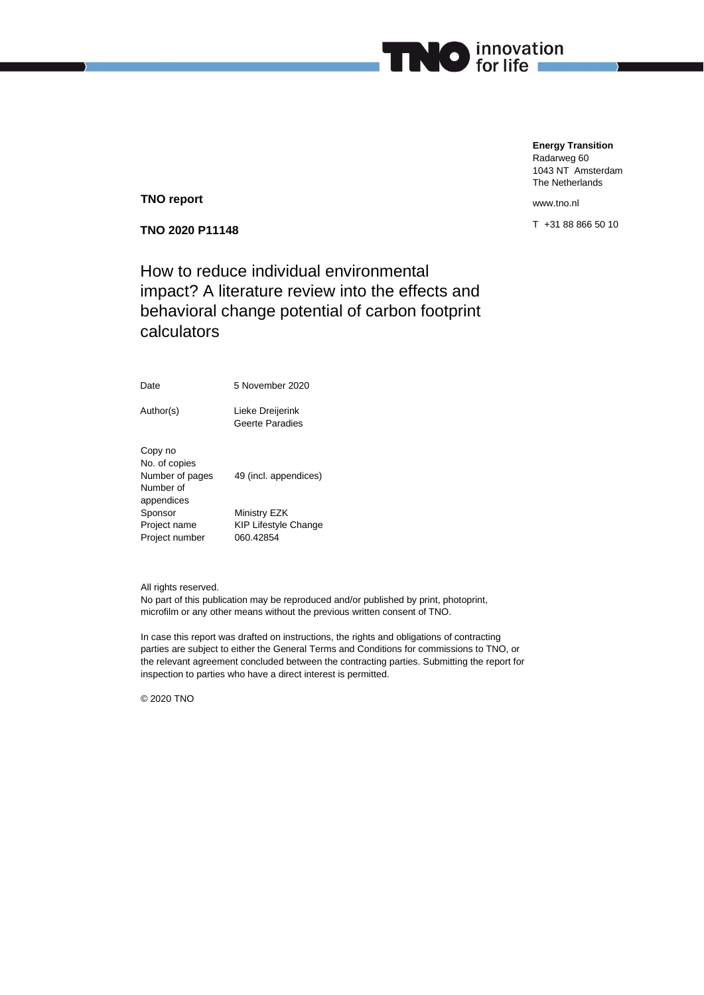

**TNO report**

**TNO 2020 P11148**

How to reduce individual environmental impact? A literature review into the effects and behavioral change potential of carbon footprint calculators

Date 5 November 2020

Author(s) Lieke Dreijerink Geerte Paradies

Copy no No. of copies Number of pages 49 (incl. appendices) Number of appendices Sponsor Ministry EZK Project name KIP Lifestyle Change<br>Project number 060.42854 Project number

All rights reserved.

No part of this publication may be reproduced and/or published by print, photoprint, microfilm or any other means without the previous written consent of TNO.

In case this report was drafted on instructions, the rights and obligations of contracting parties are subject to either the General Terms and Conditions for commissions to TNO, or the relevant agreement concluded between the contracting parties. Submitting the report for inspection to parties who have a direct interest is permitted.

© 2020 TNO

www.tno.nl

**Energy Transition** Radarweg 60 1043 NT Amsterdam The Netherlands

T +31 88 866 50 10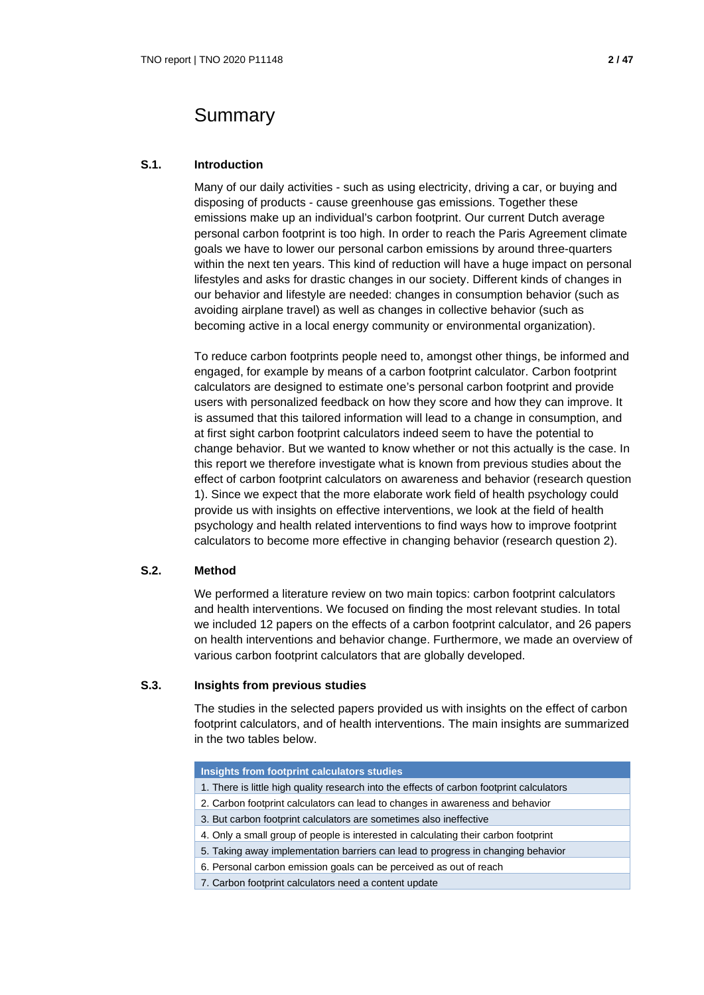## Summary

## **S.1. Introduction**

Many of our daily activities - such as using electricity, driving a car, or buying and disposing of products - cause greenhouse gas emissions. Together these emissions make up an individual's carbon footprint. Our current Dutch average personal carbon footprint is too high. In order to reach the Paris Agreement climate goals we have to lower our personal carbon emissions by around three-quarters within the next ten years. This kind of reduction will have a huge impact on personal lifestyles and asks for drastic changes in our society. Different kinds of changes in our behavior and lifestyle are needed: changes in consumption behavior (such as avoiding airplane travel) as well as changes in collective behavior (such as becoming active in a local energy community or environmental organization).

To reduce carbon footprints people need to, amongst other things, be informed and engaged, for example by means of a carbon footprint calculator. Carbon footprint calculators are designed to estimate one's personal carbon footprint and provide users with personalized feedback on how they score and how they can improve. It is assumed that this tailored information will lead to a change in consumption, and at first sight carbon footprint calculators indeed seem to have the potential to change behavior. But we wanted to know whether or not this actually is the case. In this report we therefore investigate what is known from previous studies about the effect of carbon footprint calculators on awareness and behavior (research question 1). Since we expect that the more elaborate work field of health psychology could provide us with insights on effective interventions, we look at the field of health psychology and health related interventions to find ways how to improve footprint calculators to become more effective in changing behavior (research question 2).

## **S.2. Method**

We performed a literature review on two main topics: carbon footprint calculators and health interventions. We focused on finding the most relevant studies. In total we included 12 papers on the effects of a carbon footprint calculator, and 26 papers on health interventions and behavior change. Furthermore, we made an overview of various carbon footprint calculators that are globally developed.

## **S.3. Insights from previous studies**

The studies in the selected papers provided us with insights on the effect of carbon footprint calculators, and of health interventions. The main insights are summarized in the two tables below.

| Insights from footprint calculators studies                                               |
|-------------------------------------------------------------------------------------------|
| 1. There is little high quality research into the effects of carbon footprint calculators |
| 2. Carbon footprint calculators can lead to changes in awareness and behavior             |
| 3. But carbon footprint calculators are sometimes also ineffective                        |
| 4. Only a small group of people is interested in calculating their carbon footprint       |
| 5. Taking away implementation barriers can lead to progress in changing behavior          |
| 6. Personal carbon emission goals can be perceived as out of reach                        |
| 7. Carbon footprint calculators need a content update                                     |
|                                                                                           |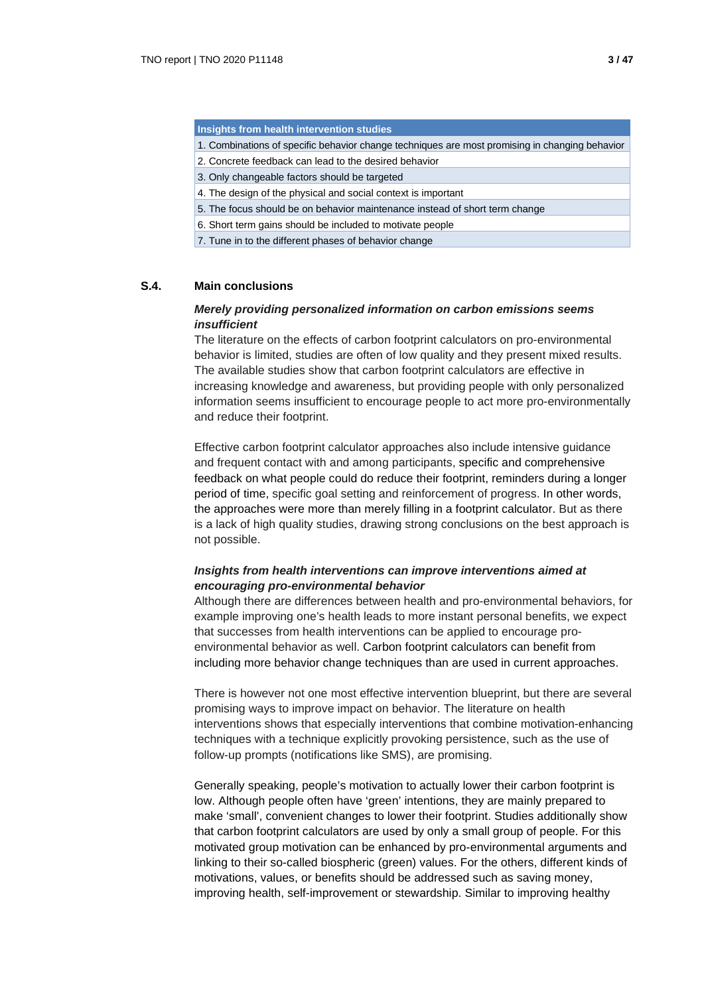**Insights from health intervention studies**

- 1. Combinations of specific behavior change techniques are most promising in changing behavior
- 2. Concrete feedback can lead to the desired behavior
- 3. Only changeable factors should be targeted
- 4. The design of the physical and social context is important
- 5. The focus should be on behavior maintenance instead of short term change
- 6. Short term gains should be included to motivate people
- 7. Tune in to the different phases of behavior change

#### **S.4. Main conclusions**

## *Merely providing personalized information on carbon emissions seems insufficient*

The literature on the effects of carbon footprint calculators on pro-environmental behavior is limited, studies are often of low quality and they present mixed results. The available studies show that carbon footprint calculators are effective in increasing knowledge and awareness, but providing people with only personalized information seems insufficient to encourage people to act more pro-environmentally and reduce their footprint.

Effective carbon footprint calculator approaches also include intensive guidance and frequent contact with and among participants, specific and comprehensive feedback on what people could do reduce their footprint, reminders during a longer period of time, specific goal setting and reinforcement of progress. In other words, the approaches were more than merely filling in a footprint calculator. But as there is a lack of high quality studies, drawing strong conclusions on the best approach is not possible.

## *Insights from health interventions can improve interventions aimed at encouraging pro-environmental behavior*

Although there are differences between health and pro-environmental behaviors, for example improving one's health leads to more instant personal benefits, we expect that successes from health interventions can be applied to encourage proenvironmental behavior as well. Carbon footprint calculators can benefit from including more behavior change techniques than are used in current approaches.

There is however not one most effective intervention blueprint, but there are several promising ways to improve impact on behavior. The literature on health interventions shows that especially interventions that combine motivation-enhancing techniques with a technique explicitly provoking persistence, such as the use of follow-up prompts (notifications like SMS), are promising.

Generally speaking, people's motivation to actually lower their carbon footprint is low. Although people often have 'green' intentions, they are mainly prepared to make 'small', convenient changes to lower their footprint. Studies additionally show that carbon footprint calculators are used by only a small group of people. For this motivated group motivation can be enhanced by pro-environmental arguments and linking to their so-called biospheric (green) values. For the others, different kinds of motivations, values, or benefits should be addressed such as saving money, improving health, self-improvement or stewardship. Similar to improving healthy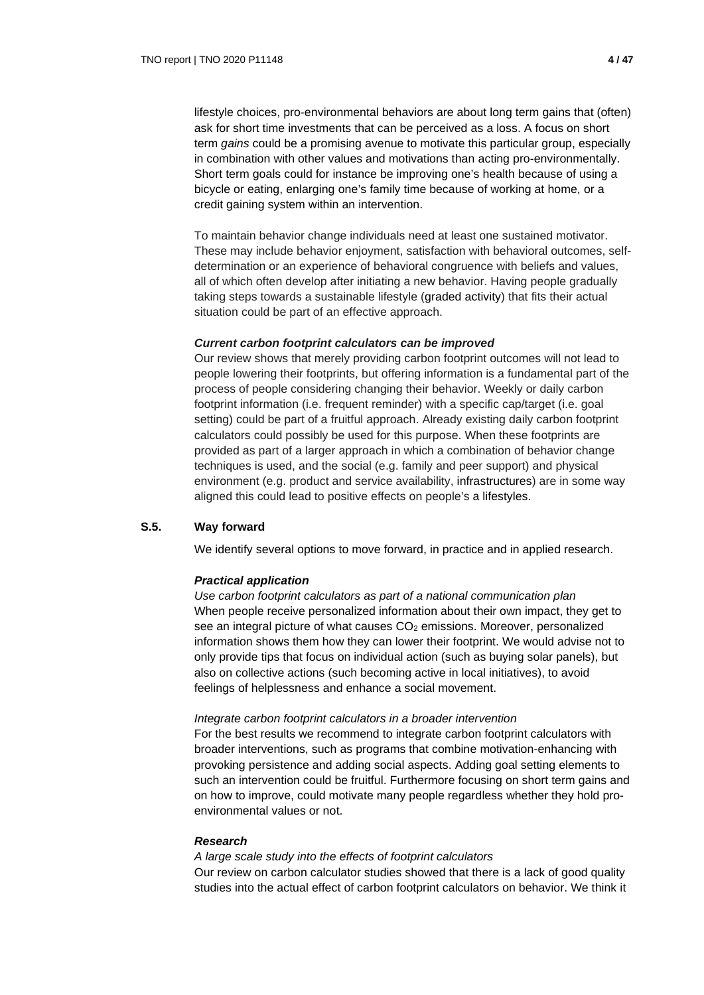lifestyle choices, pro-environmental behaviors are about long term gains that (often) ask for short time investments that can be perceived as a loss. A focus on short term *gains* could be a promising avenue to motivate this particular group, especially in combination with other values and motivations than acting pro-environmentally. Short term goals could for instance be improving one's health because of using a bicycle or eating, enlarging one's family time because of working at home, or a credit gaining system within an intervention.

To maintain behavior change individuals need at least one sustained motivator. These may include behavior enjoyment, satisfaction with behavioral outcomes, selfdetermination or an experience of behavioral congruence with beliefs and values, all of which often develop after initiating a new behavior. Having people gradually taking steps towards a sustainable lifestyle (graded activity) that fits their actual situation could be part of an effective approach.

#### *Current carbon footprint calculators can be improved*

Our review shows that merely providing carbon footprint outcomes will not lead to people lowering their footprints, but offering information is a fundamental part of the process of people considering changing their behavior. Weekly or daily carbon footprint information (i.e. frequent reminder) with a specific cap/target (i.e. goal setting) could be part of a fruitful approach. Already existing daily carbon footprint calculators could possibly be used for this purpose. When these footprints are provided as part of a larger approach in which a combination of behavior change techniques is used, and the social (e.g. family and peer support) and physical environment (e.g. product and service availability, infrastructures) are in some way aligned this could lead to positive effects on people's a lifestyles.

## **S.5. Way forward**

We identify several options to move forward, in practice and in applied research.

## *Practical application*

*Use carbon footprint calculators as part of a national communication plan* When people receive personalized information about their own impact, they get to see an integral picture of what causes  $CO<sub>2</sub>$  emissions. Moreover, personalized information shows them how they can lower their footprint. We would advise not to only provide tips that focus on individual action (such as buying solar panels), but also on collective actions (such becoming active in local initiatives), to avoid feelings of helplessness and enhance a social movement.

#### *Integrate carbon footprint calculators in a broader intervention*

For the best results we recommend to integrate carbon footprint calculators with broader interventions, such as programs that combine motivation-enhancing with provoking persistence and adding social aspects. Adding goal setting elements to such an intervention could be fruitful. Furthermore focusing on short term gains and on how to improve, could motivate many people regardless whether they hold proenvironmental values or not.

#### *Research*

#### *A large scale study into the effects of footprint calculators*

Our review on carbon calculator studies showed that there is a lack of good quality studies into the actual effect of carbon footprint calculators on behavior. We think it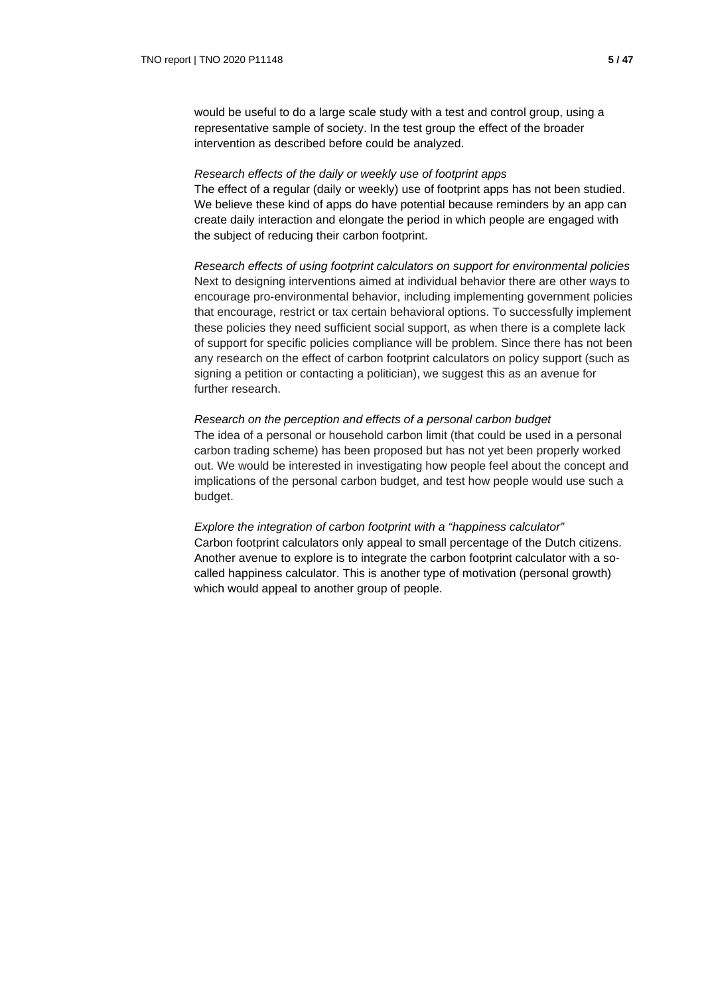would be useful to do a large scale study with a test and control group, using a representative sample of society. In the test group the effect of the broader intervention as described before could be analyzed.

#### *Research effects of the daily or weekly use of footprint apps*

The effect of a regular (daily or weekly) use of footprint apps has not been studied. We believe these kind of apps do have potential because reminders by an app can create daily interaction and elongate the period in which people are engaged with the subject of reducing their carbon footprint.

*Research effects of using footprint calculators on support for environmental policies*  Next to designing interventions aimed at individual behavior there are other ways to encourage pro-environmental behavior, including implementing government policies that encourage, restrict or tax certain behavioral options. To successfully implement these policies they need sufficient social support, as when there is a complete lack of support for specific policies compliance will be problem. Since there has not been any research on the effect of carbon footprint calculators on policy support (such as signing a petition or contacting a politician), we suggest this as an avenue for further research.

### *Research on the perception and effects of a personal carbon budget*

The idea of a personal or household carbon limit (that could be used in a personal carbon trading scheme) has been proposed but has not yet been properly worked out. We would be interested in investigating how people feel about the concept and implications of the personal carbon budget, and test how people would use such a budget.

*Explore the integration of carbon footprint with a "happiness calculator"* Carbon footprint calculators only appeal to small percentage of the Dutch citizens. Another avenue to explore is to integrate the carbon footprint calculator with a socalled happiness calculator. This is another type of motivation (personal growth) which would appeal to another group of people.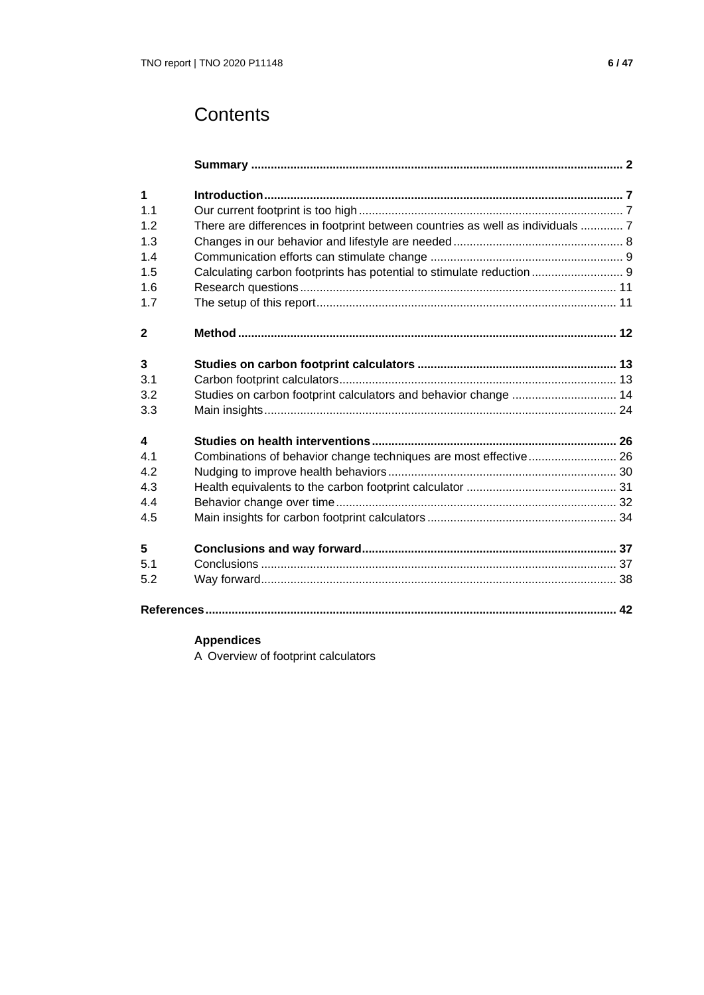# **Contents**

| $\mathbf 1$             |                                                                                |  |
|-------------------------|--------------------------------------------------------------------------------|--|
| 1.1                     |                                                                                |  |
| 1.2                     | There are differences in footprint between countries as well as individuals  7 |  |
| 1.3                     |                                                                                |  |
| 1.4                     |                                                                                |  |
|                         |                                                                                |  |
| 1.5                     |                                                                                |  |
| 1.6                     |                                                                                |  |
| 1.7                     |                                                                                |  |
| $\mathbf{2}$            |                                                                                |  |
| $\overline{\mathbf{3}}$ |                                                                                |  |
| 3.1                     |                                                                                |  |
| 3.2                     | Studies on carbon footprint calculators and behavior change  14                |  |
| 3.3                     |                                                                                |  |
| $\overline{\mathbf{4}}$ |                                                                                |  |
| 41                      | Combinations of behavior change techniques are most effective 26               |  |
| 4.2                     |                                                                                |  |
| 4.3                     |                                                                                |  |
| 4.4                     |                                                                                |  |
| 4.5                     |                                                                                |  |
| 5                       |                                                                                |  |
| 5.1                     |                                                                                |  |
| 5.2                     |                                                                                |  |
|                         |                                                                                |  |

## **Appendices**

A Overview of footprint calculators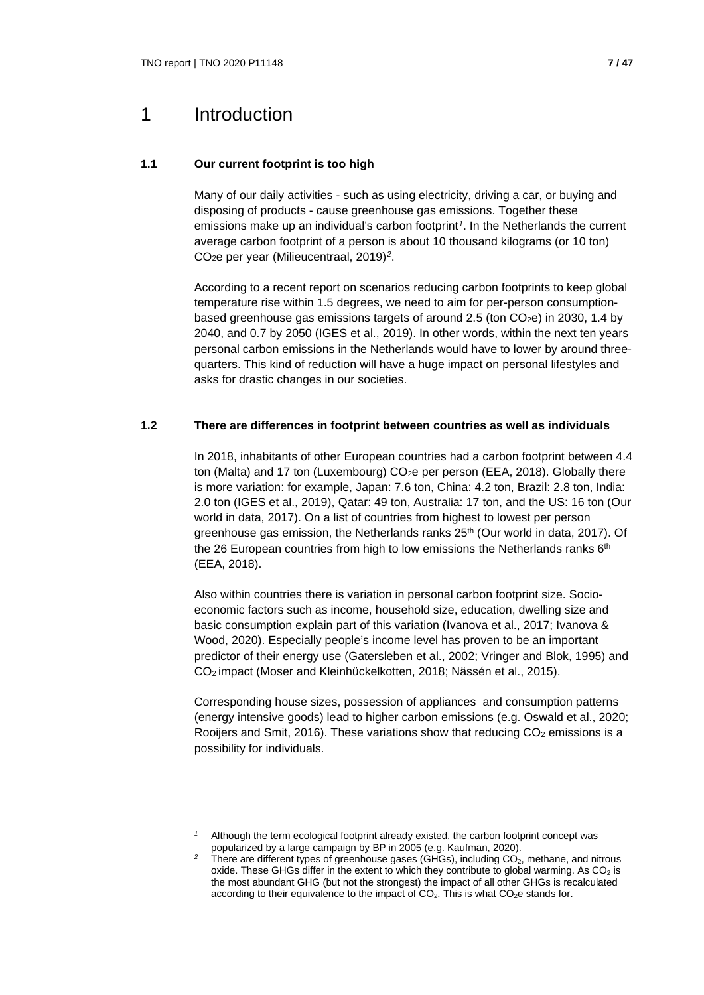## 1 Introduction

## **1.1 Our current footprint is too high**

Many of our daily activities - such as using electricity, driving a car, or buying and disposing of products - cause greenhouse gas emissions. Together these emissions make up an individual's carbon footprint*[1](#page-6-0)*. In the Netherlands the current average carbon footprint of a person is about 10 thousand kilograms (or 10 ton) CO2e per year (Milieucentraal, 2019)*[2](#page-6-1)*.

According to a recent report on scenarios reducing carbon footprints to keep global temperature rise within 1.5 degrees, we need to aim for per-person consumptionbased greenhouse gas emissions targets of around 2.5 (ton  $CO<sub>2</sub>e$ ) in 2030, 1.4 by 2040, and 0.7 by 2050 (IGES et al., 2019). In other words, within the next ten years personal carbon emissions in the Netherlands would have to lower by around threequarters. This kind of reduction will have a huge impact on personal lifestyles and asks for drastic changes in our societies.

## **1.2 There are differences in footprint between countries as well as individuals**

In 2018, inhabitants of other European countries had a carbon footprint between 4.4 ton (Malta) and 17 ton (Luxembourg) CO<sub>2</sub>e per person (EEA, 2018). Globally there is more variation: for example, Japan: 7.6 ton, China: 4.2 ton, Brazil: 2.8 ton, India: 2.0 ton (IGES et al., 2019), Qatar: 49 ton, Australia: 17 ton, and the US: 16 ton (Our world in data, 2017). On a list of countries from highest to lowest per person greenhouse gas emission, the Netherlands ranks  $25<sup>th</sup>$  (Our world in data, 2017). Of the 26 European countries from high to low emissions the Netherlands ranks 6<sup>th</sup> (EEA, 2018).

Also within countries there is variation in personal carbon footprint size. Socioeconomic factors such as income, household size, education, dwelling size and basic consumption explain part of this variation (Ivanova et al., 2017; Ivanova & Wood, 2020). Especially people's income level has proven to be an important predictor of their energy use (Gatersleben et al., 2002; Vringer and Blok, 1995) and CO2 impact (Moser and Kleinhückelkotten, 2018; Nässén et al., 2015).

Corresponding house sizes, possession of appliances and consumption patterns (energy intensive goods) lead to higher carbon emissions (e.g. Oswald et al., 2020; Rooijers and Smit, 2016). These variations show that reducing  $CO<sub>2</sub>$  emissions is a possibility for individuals.

<span id="page-6-1"></span><span id="page-6-0"></span>*<sup>1</sup>* Although the term ecological footprint already existed, the carbon footprint concept was popularized by a large campaign by BP in 2005 (e.g. Kaufman, 2020).

There are different types of greenhouse gases (GHGs), including CO<sub>2</sub>, methane, and nitrous oxide. These GHGs differ in the extent to which they contribute to global warming. As  $CO<sub>2</sub>$  is the most abundant GHG (but not the strongest) the impact of all other GHGs is recalculated according to their equivalence to the impact of  $CO<sub>2</sub>$ . This is what  $CO<sub>2</sub>e$  stands for.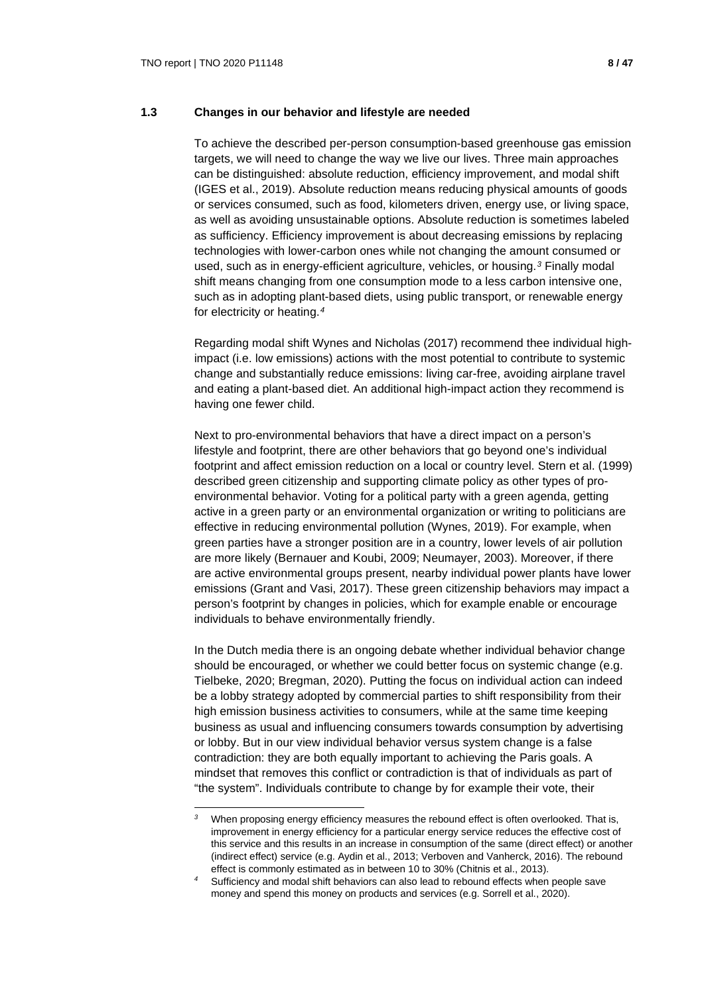## **1.3 Changes in our behavior and lifestyle are needed**

To achieve the described per-person consumption-based greenhouse gas emission targets, we will need to change the way we live our lives. Three main approaches can be distinguished: absolute reduction, efficiency improvement, and modal shift (IGES et al., 2019). Absolute reduction means reducing physical amounts of goods or services consumed, such as food, kilometers driven, energy use, or living space, as well as avoiding unsustainable options. Absolute reduction is sometimes labeled as sufficiency. Efficiency improvement is about decreasing emissions by replacing technologies with lower-carbon ones while not changing the amount consumed or used, such as in energy-efficient agriculture, vehicles, or housing.*[3](#page-7-0)* Finally modal shift means changing from one consumption mode to a less carbon intensive one, such as in adopting plant-based diets, using public transport, or renewable energy for electricity or heating.*[4](#page-7-1)*

Regarding modal shift Wynes and Nicholas (2017) recommend thee individual highimpact (i.e. low emissions) actions with the most potential to contribute to systemic change and substantially reduce emissions: living car-free, avoiding airplane travel and eating a plant-based diet. An additional high-impact action they recommend is having one fewer child.

Next to pro-environmental behaviors that have a direct impact on a person's lifestyle and footprint, there are other behaviors that go beyond one's individual footprint and affect emission reduction on a local or country level. Stern et al. (1999) described green citizenship and supporting climate policy as other types of proenvironmental behavior. Voting for a political party with a green agenda, getting active in a green party or an environmental organization or writing to politicians are effective in reducing environmental pollution (Wynes, 2019). For example, when green parties have a stronger position are in a country, lower levels of air pollution are more likely (Bernauer and Koubi, 2009; Neumayer, 2003). Moreover, if there are active environmental groups present, nearby individual power plants have lower emissions (Grant and Vasi, 2017). These green citizenship behaviors may impact a person's footprint by changes in policies, which for example enable or encourage individuals to behave environmentally friendly.

In the Dutch media there is an ongoing debate whether individual behavior change should be encouraged, or whether we could better focus on systemic change (e.g. Tielbeke, 2020; Bregman, 2020). Putting the focus on individual action can indeed be a lobby strategy adopted by commercial parties to shift responsibility from their high emission business activities to consumers, while at the same time keeping business as usual and influencing consumers towards consumption by advertising or lobby. But in our view individual behavior versus system change is a false contradiction: they are both equally important to achieving the Paris goals. A mindset that removes this conflict or contradiction is that of individuals as part of "the system". Individuals contribute to change by for example their vote, their

<span id="page-7-0"></span>*<sup>3</sup>* When proposing energy efficiency measures the rebound effect is often overlooked. That is, improvement in energy efficiency for a particular energy service reduces the effective cost of this service and this results in an increase in consumption of the same (direct effect) or another (indirect effect) service (e.g. Aydin et al., 2013; Verboven and Vanherck, 2016). The rebound effect is commonly estimated as in between 10 to 30% (Chitnis et al., 2013).

<span id="page-7-1"></span>*<sup>4</sup>* Sufficiency and modal shift behaviors can also lead to rebound effects when people save money and spend this money on products and services (e.g. Sorrell et al., 2020).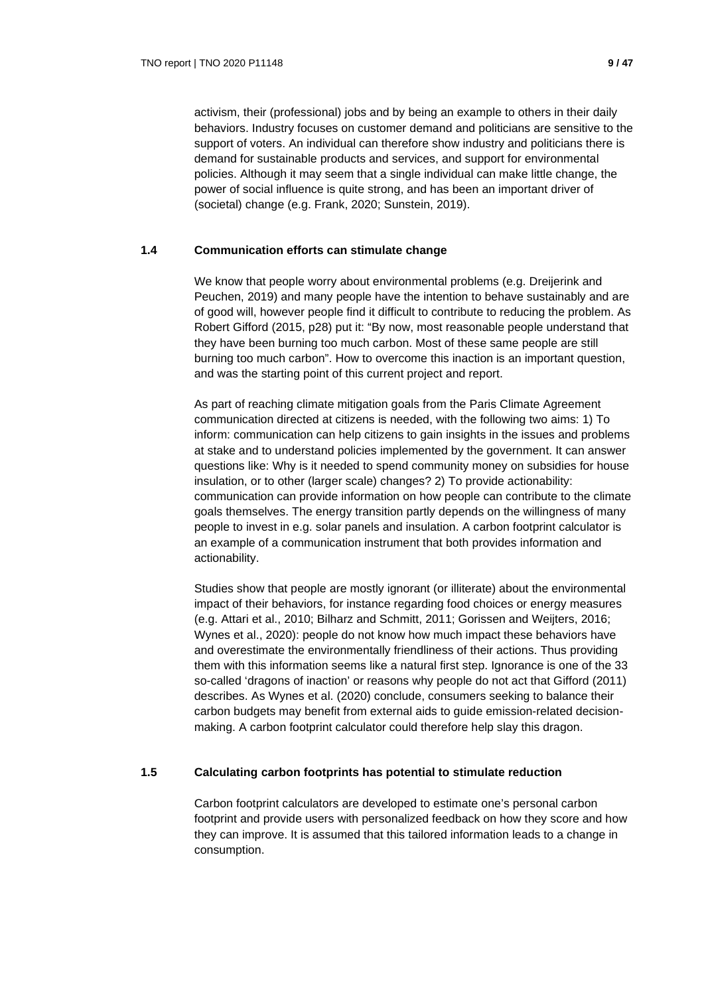activism, their (professional) jobs and by being an example to others in their daily behaviors. Industry focuses on customer demand and politicians are sensitive to the support of voters. An individual can therefore show industry and politicians there is demand for sustainable products and services, and support for environmental policies. Although it may seem that a single individual can make little change, the power of social influence is quite strong, and has been an important driver of (societal) change (e.g. Frank, 2020; Sunstein, 2019).

## **1.4 Communication efforts can stimulate change**

We know that people worry about environmental problems (e.g. Dreijerink and Peuchen, 2019) and many people have the intention to behave sustainably and are of good will, however people find it difficult to contribute to reducing the problem. As Robert Gifford (2015, p28) put it: "By now, most reasonable people understand that they have been burning too much carbon. Most of these same people are still burning too much carbon". How to overcome this inaction is an important question, and was the starting point of this current project and report.

As part of reaching climate mitigation goals from the Paris Climate Agreement communication directed at citizens is needed, with the following two aims: 1) To inform: communication can help citizens to gain insights in the issues and problems at stake and to understand policies implemented by the government. It can answer questions like: Why is it needed to spend community money on subsidies for house insulation, or to other (larger scale) changes? 2) To provide actionability: communication can provide information on how people can contribute to the climate goals themselves. The energy transition partly depends on the willingness of many people to invest in e.g. solar panels and insulation. A carbon footprint calculator is an example of a communication instrument that both provides information and actionability.

Studies show that people are mostly ignorant (or illiterate) about the environmental impact of their behaviors, for instance regarding food choices or energy measures (e.g. Attari et al., 2010; Bilharz and Schmitt, 2011; Gorissen and Weijters, 2016; Wynes et al., 2020): people do not know how much impact these behaviors have and overestimate the environmentally friendliness of their actions. Thus providing them with this information seems like a natural first step. Ignorance is one of the 33 so-called 'dragons of inaction' or reasons why people do not act that Gifford (2011) describes. As Wynes et al. (2020) conclude, consumers seeking to balance their carbon budgets may benefit from external aids to guide emission-related decisionmaking. A carbon footprint calculator could therefore help slay this dragon.

## **1.5 Calculating carbon footprints has potential to stimulate reduction**

Carbon footprint calculators are developed to estimate one's personal carbon footprint and provide users with personalized feedback on how they score and how they can improve. It is assumed that this tailored information leads to a change in consumption.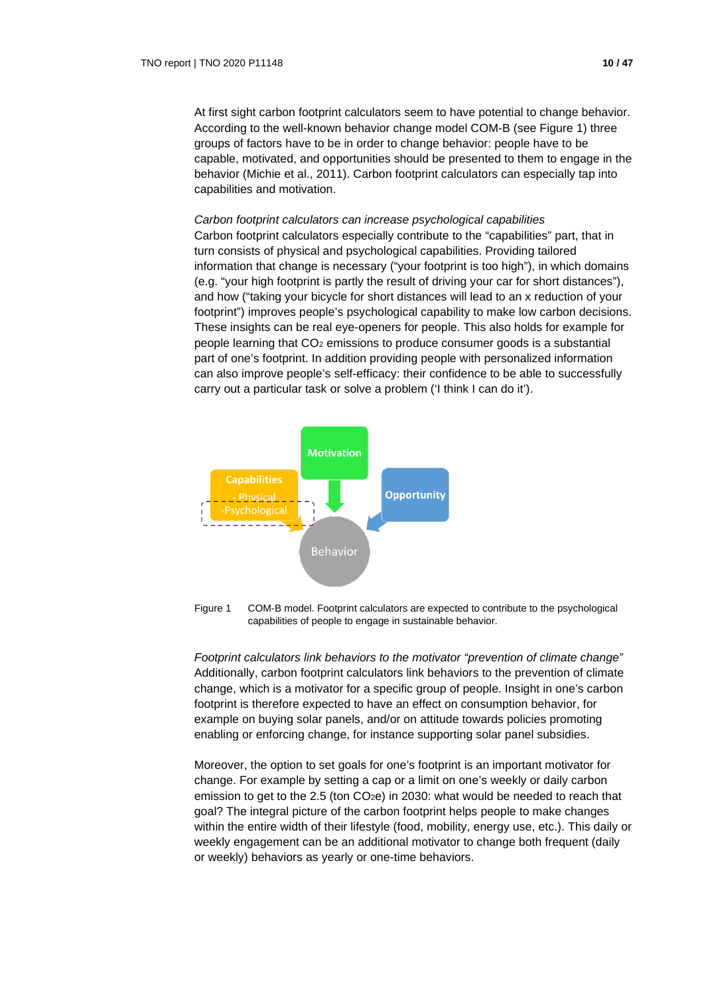At first sight carbon footprint calculators seem to have potential to change behavior. According to the well-known behavior change model COM-B (see Figure 1) three groups of factors have to be in order to change behavior: people have to be capable, motivated, and opportunities should be presented to them to engage in the behavior (Michie et al., 2011). Carbon footprint calculators can especially tap into capabilities and motivation.

#### *Carbon footprint calculators can increase psychological capabilities*

Carbon footprint calculators especially contribute to the "capabilities" part, that in turn consists of physical and psychological capabilities. Providing tailored information that change is necessary ("your footprint is too high"), in which domains (e.g. "your high footprint is partly the result of driving your car for short distances"), and how ("taking your bicycle for short distances will lead to an x reduction of your footprint") improves people's psychological capability to make low carbon decisions. These insights can be real eye-openers for people. This also holds for example for people learning that  $CO<sub>2</sub>$  emissions to produce consumer goods is a substantial part of one's footprint. In addition providing people with personalized information can also improve people's self-efficacy: their confidence to be able to successfully carry out a particular task or solve a problem ('I think I can do it').



Figure 1 COM-B model. Footprint calculators are expected to contribute to the psychological capabilities of people to engage in sustainable behavior.

*Footprint calculators link behaviors to the motivator "prevention of climate change"* Additionally, carbon footprint calculators link behaviors to the prevention of climate change, which is a motivator for a specific group of people. Insight in one's carbon footprint is therefore expected to have an effect on consumption behavior, for example on buying solar panels, and/or on attitude towards policies promoting enabling or enforcing change, for instance supporting solar panel subsidies.

Moreover, the option to set goals for one's footprint is an important motivator for change. For example by setting a cap or a limit on one's weekly or daily carbon emission to get to the 2.5 (ton  $CO<sub>2</sub>e$ ) in 2030: what would be needed to reach that goal? The integral picture of the carbon footprint helps people to make changes within the entire width of their lifestyle (food, mobility, energy use, etc.). This daily or weekly engagement can be an additional motivator to change both frequent (daily or weekly) behaviors as yearly or one-time behaviors.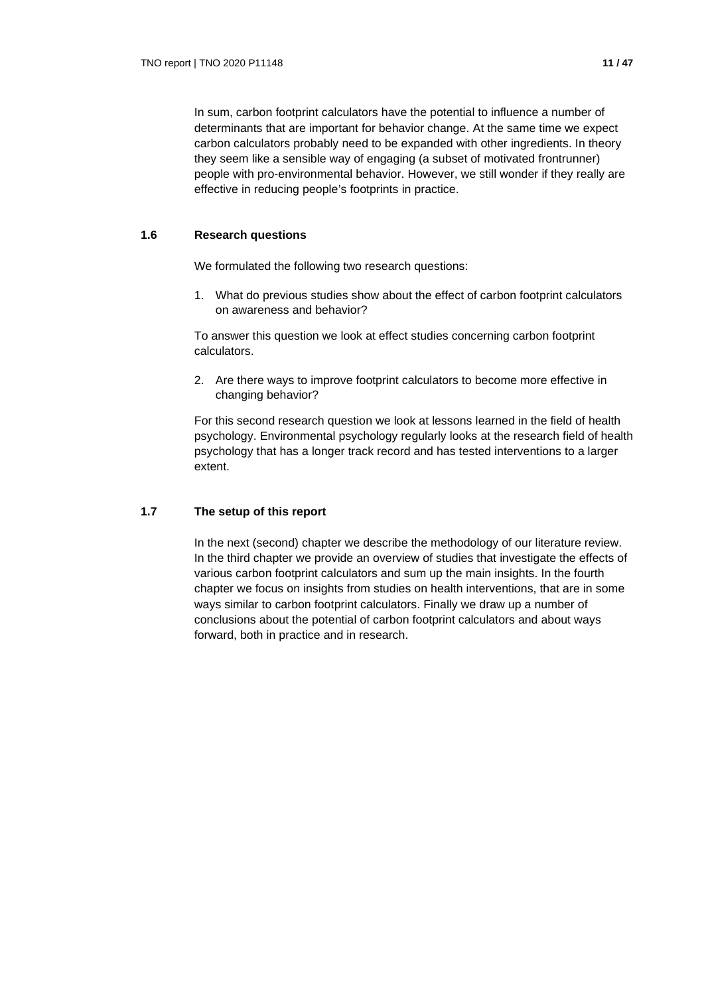In sum, carbon footprint calculators have the potential to influence a number of determinants that are important for behavior change. At the same time we expect carbon calculators probably need to be expanded with other ingredients. In theory they seem like a sensible way of engaging (a subset of motivated frontrunner) people with pro-environmental behavior. However, we still wonder if they really are effective in reducing people's footprints in practice.

## **1.6 Research questions**

We formulated the following two research questions:

1. What do previous studies show about the effect of carbon footprint calculators on awareness and behavior?

To answer this question we look at effect studies concerning carbon footprint calculators.

2. Are there ways to improve footprint calculators to become more effective in changing behavior?

For this second research question we look at lessons learned in the field of health psychology. Environmental psychology regularly looks at the research field of health psychology that has a longer track record and has tested interventions to a larger extent.

## **1.7 The setup of this report**

In the next (second) chapter we describe the methodology of our literature review. In the third chapter we provide an overview of studies that investigate the effects of various carbon footprint calculators and sum up the main insights. In the fourth chapter we focus on insights from studies on health interventions, that are in some ways similar to carbon footprint calculators. Finally we draw up a number of conclusions about the potential of carbon footprint calculators and about ways forward, both in practice and in research.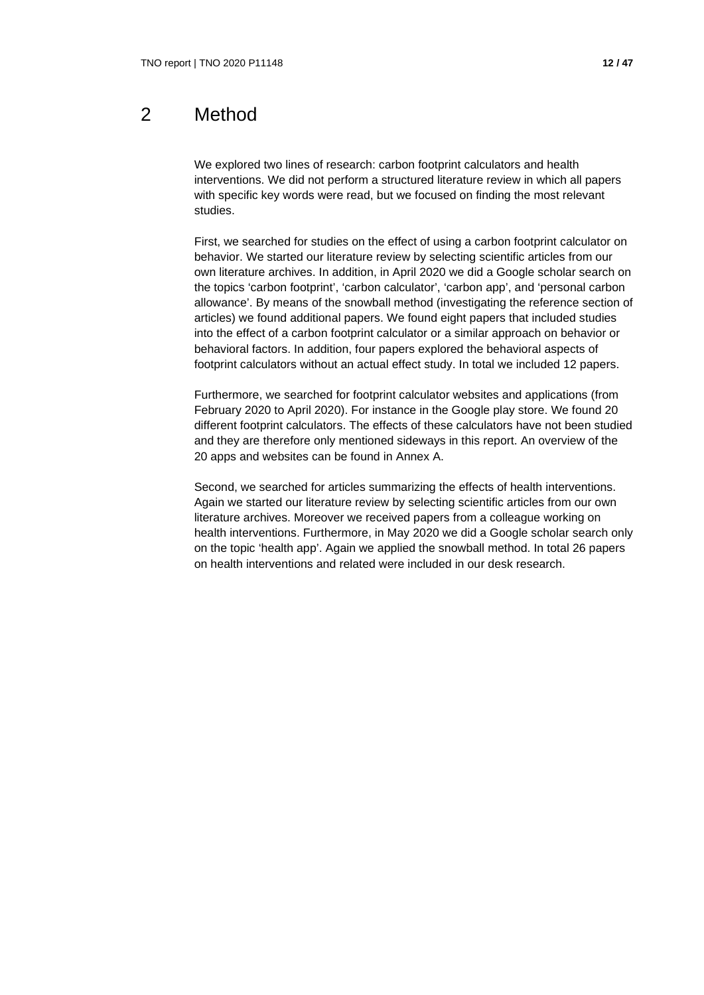## 2 Method

We explored two lines of research: carbon footprint calculators and health interventions. We did not perform a structured literature review in which all papers with specific key words were read, but we focused on finding the most relevant studies.

First, we searched for studies on the effect of using a carbon footprint calculator on behavior. We started our literature review by selecting scientific articles from our own literature archives. In addition, in April 2020 we did a Google scholar search on the topics 'carbon footprint', 'carbon calculator', 'carbon app', and 'personal carbon allowance'. By means of the snowball method (investigating the reference section of articles) we found additional papers. We found eight papers that included studies into the effect of a carbon footprint calculator or a similar approach on behavior or behavioral factors. In addition, four papers explored the behavioral aspects of footprint calculators without an actual effect study. In total we included 12 papers.

Furthermore, we searched for footprint calculator websites and applications (from February 2020 to April 2020). For instance in the Google play store. We found 20 different footprint calculators. The effects of these calculators have not been studied and they are therefore only mentioned sideways in this report. An overview of the 20 apps and websites can be found in Annex A.

Second, we searched for articles summarizing the effects of health interventions. Again we started our literature review by selecting scientific articles from our own literature archives. Moreover we received papers from a colleague working on health interventions. Furthermore, in May 2020 we did a Google scholar search only on the topic 'health app'. Again we applied the snowball method. In total 26 papers on health interventions and related were included in our desk research.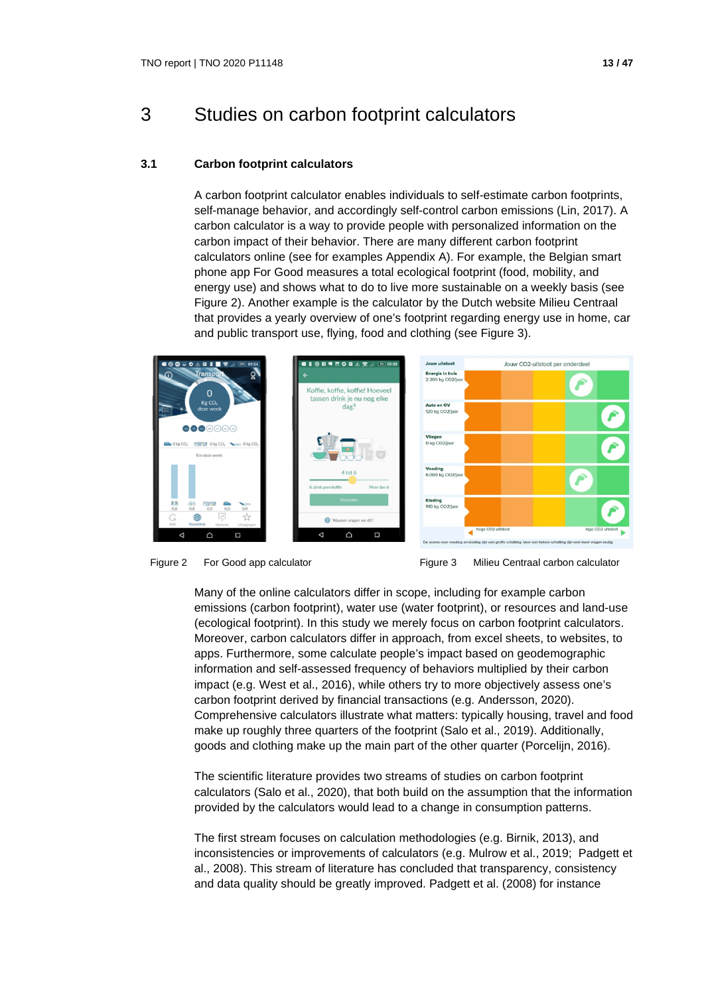## 3 Studies on carbon footprint calculators

## **3.1 Carbon footprint calculators**

A carbon footprint calculator enables individuals to self-estimate carbon footprints, self-manage behavior, and accordingly self-control carbon emissions (Lin, 2017). A carbon calculator is a way to provide people with personalized information on the carbon impact of their behavior. There are many different carbon footprint calculators online (see for examples Appendix A). For example, the Belgian smart phone app For Good measures a total ecological footprint (food, mobility, and energy use) and shows what to do to live more sustainable on a weekly basis (see Figure 2). Another example is the calculator by the Dutch website Milieu Centraal that provides a yearly overview of one's footprint regarding energy use in home, car and public transport use, flying, food and clothing (see Figure 3).





Many of the online calculators differ in scope, including for example carbon emissions (carbon footprint), water use (water footprint), or resources and land-use (ecological footprint). In this study we merely focus on carbon footprint calculators. Moreover, carbon calculators differ in approach, from excel sheets, to websites, to apps. Furthermore, some calculate people's impact based on geodemographic information and self-assessed frequency of behaviors multiplied by their carbon impact (e.g. West et al., 2016), while others try to more objectively assess one's carbon footprint derived by financial transactions (e.g. Andersson, 2020). Comprehensive calculators illustrate what matters: typically housing, travel and food make up roughly three quarters of the footprint (Salo et al., 2019). Additionally, goods and clothing make up the main part of the other quarter (Porcelijn, 2016).

The scientific literature provides two streams of studies on carbon footprint calculators (Salo et al., 2020), that both build on the assumption that the information provided by the calculators would lead to a change in consumption patterns.

The first stream focuses on calculation methodologies (e.g. Birnik, 2013), and inconsistencies or improvements of calculators (e.g. Mulrow et al., 2019; Padgett et al., 2008). This stream of literature has concluded that transparency, consistency and data quality should be greatly improved. Padgett et al. (2008) for instance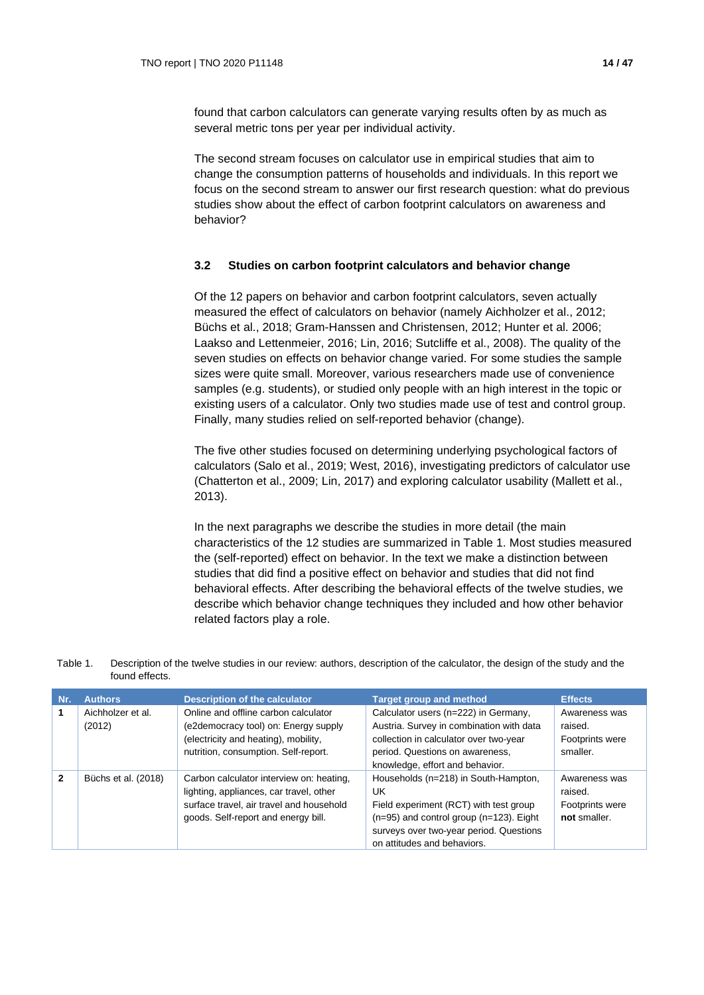found that carbon calculators can generate varying results often by as much as several metric tons per year per individual activity.

The second stream focuses on calculator use in empirical studies that aim to change the consumption patterns of households and individuals. In this report we focus on the second stream to answer our first research question: what do previous studies show about the effect of carbon footprint calculators on awareness and behavior?

## **3.2 Studies on carbon footprint calculators and behavior change**

Of the 12 papers on behavior and carbon footprint calculators, seven actually measured the effect of calculators on behavior (namely Aichholzer et al., 2012; Büchs et al., 2018; Gram-Hanssen and Christensen, 2012; Hunter et al. 2006; Laakso and Lettenmeier, 2016; Lin, 2016; Sutcliffe et al., 2008). The quality of the seven studies on effects on behavior change varied. For some studies the sample sizes were quite small. Moreover, various researchers made use of convenience samples (e.g. students), or studied only people with an high interest in the topic or existing users of a calculator. Only two studies made use of test and control group. Finally, many studies relied on self-reported behavior (change).

The five other studies focused on determining underlying psychological factors of calculators (Salo et al., 2019; West, 2016), investigating predictors of calculator use (Chatterton et al., 2009; Lin, 2017) and exploring calculator usability (Mallett et al., 2013).

In the next paragraphs we describe the studies in more detail (the main characteristics of the 12 studies are summarized in Table 1. Most studies measured the (self-reported) effect on behavior. In the text we make a distinction between studies that did find a positive effect on behavior and studies that did not find behavioral effects. After describing the behavioral effects of the twelve studies, we describe which behavior change techniques they included and how other behavior related factors play a role.

| Table 1. | Description of the twelve studies in our review: authors, description of the calculator, the design of the study and the |
|----------|--------------------------------------------------------------------------------------------------------------------------|
|          | found effects.                                                                                                           |

| Nr. | <b>Authors</b>              | <b>Description of the calculator</b>                                                                                                                                   | <b>Target group and method</b>                                                                                                                                                                                 | <b>Effects</b>                                              |
|-----|-----------------------------|------------------------------------------------------------------------------------------------------------------------------------------------------------------------|----------------------------------------------------------------------------------------------------------------------------------------------------------------------------------------------------------------|-------------------------------------------------------------|
|     | Aichholzer et al.<br>(2012) | Online and offline carbon calculator<br>(e2democracy tool) on: Energy supply<br>(electricity and heating), mobility,<br>nutrition, consumption. Self-report.           | Calculator users (n=222) in Germany,<br>Austria. Survey in combination with data<br>collection in calculator over two-year<br>period. Questions on awareness,<br>knowledge, effort and behavior.               | Awareness was<br>raised.<br>Footprints were<br>smaller.     |
| 2   | Büchs et al. (2018)         | Carbon calculator interview on: heating,<br>lighting, appliances, car travel, other<br>surface travel, air travel and household<br>goods. Self-report and energy bill. | Households (n=218) in South-Hampton,<br>UK<br>Field experiment (RCT) with test group<br>$(n=95)$ and control group $(n=123)$ . Eight<br>surveys over two-year period. Questions<br>on attitudes and behaviors. | Awareness was<br>raised.<br>Footprints were<br>not smaller. |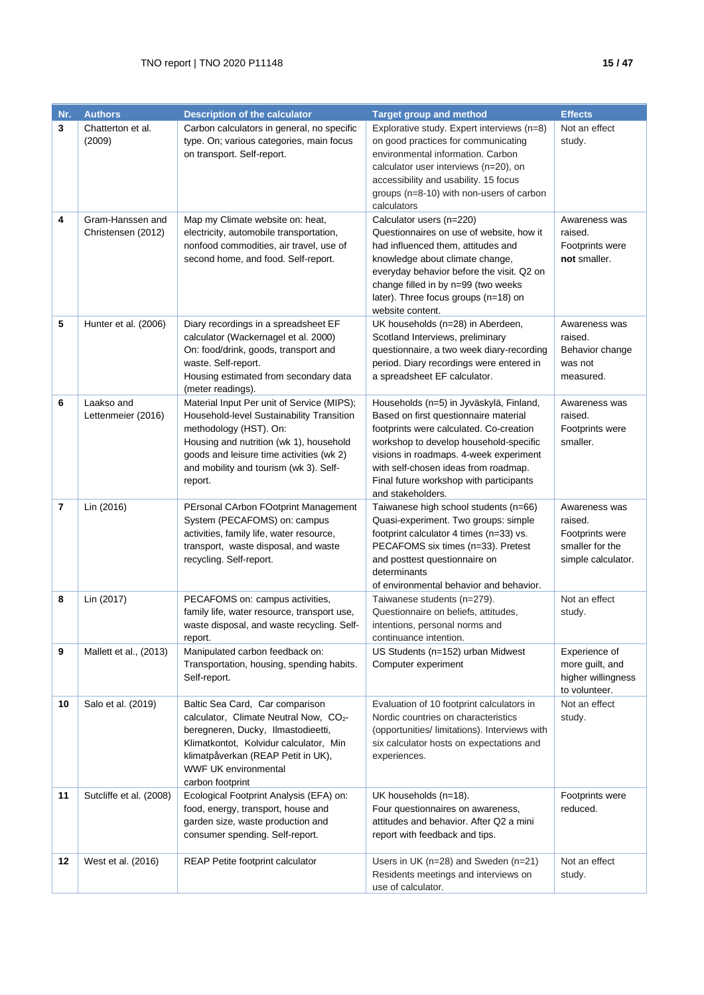| Nr. | <b>Authors</b>                         | <b>Description of the calculator</b>                                                                                                                                                                                                                          | <b>Target group and method</b>                                                                                                                                                                                                                                                                                          | <b>Effects</b>                                                                       |
|-----|----------------------------------------|---------------------------------------------------------------------------------------------------------------------------------------------------------------------------------------------------------------------------------------------------------------|-------------------------------------------------------------------------------------------------------------------------------------------------------------------------------------------------------------------------------------------------------------------------------------------------------------------------|--------------------------------------------------------------------------------------|
| 3   | Chatterton et al.<br>(2009)            | Carbon calculators in general, no specific<br>type. On; various categories, main focus<br>on transport. Self-report.                                                                                                                                          | Explorative study. Expert interviews (n=8)<br>on good practices for communicating<br>environmental information. Carbon<br>calculator user interviews (n=20), on<br>accessibility and usability. 15 focus<br>groups (n=8-10) with non-users of carbon<br>calculators                                                     | Not an effect<br>study.                                                              |
| 4   | Gram-Hanssen and<br>Christensen (2012) | Map my Climate website on: heat,<br>electricity, automobile transportation,<br>nonfood commodities, air travel, use of<br>second home, and food. Self-report.                                                                                                 | Calculator users (n=220)<br>Questionnaires on use of website, how it<br>had influenced them, attitudes and<br>knowledge about climate change,<br>everyday behavior before the visit. Q2 on<br>change filled in by n=99 (two weeks<br>later). Three focus groups (n=18) on<br>website content.                           | Awareness was<br>raised.<br>Footprints were<br>not smaller.                          |
| 5   | Hunter et al. (2006)                   | Diary recordings in a spreadsheet EF<br>calculator (Wackernagel et al. 2000)<br>On: food/drink, goods, transport and<br>waste. Self-report.<br>Housing estimated from secondary data<br>(meter readings).                                                     | UK households (n=28) in Aberdeen,<br>Scotland Interviews, preliminary<br>questionnaire, a two week diary-recording<br>period. Diary recordings were entered in<br>a spreadsheet EF calculator.                                                                                                                          | Awareness was<br>raised.<br>Behavior change<br>was not<br>measured.                  |
| 6   | Laakso and<br>Lettenmeier (2016)       | Material Input Per unit of Service (MIPS);<br>Household-level Sustainability Transition<br>methodology (HST). On:<br>Housing and nutrition (wk 1), household<br>goods and leisure time activities (wk 2)<br>and mobility and tourism (wk 3). Self-<br>report. | Households (n=5) in Jyväskylä, Finland,<br>Based on first questionnaire material<br>footprints were calculated. Co-creation<br>workshop to develop household-specific<br>visions in roadmaps. 4-week experiment<br>with self-chosen ideas from roadmap.<br>Final future workshop with participants<br>and stakeholders. | Awareness was<br>raised.<br>Footprints were<br>smaller.                              |
| 7   | Lin (2016)                             | PErsonal CArbon FOotprint Management<br>System (PECAFOMS) on: campus<br>activities, family life, water resource,<br>transport, waste disposal, and waste<br>recycling. Self-report.                                                                           | Taiwanese high school students (n=66)<br>Quasi-experiment. Two groups: simple<br>footprint calculator 4 times (n=33) vs.<br>PECAFOMS six times (n=33). Pretest<br>and posttest questionnaire on<br>determinants<br>of environmental behavior and behavior.                                                              | Awareness was<br>raised.<br>Footprints were<br>smaller for the<br>simple calculator. |
| 8   | Lin (2017)                             | PECAFOMS on: campus activities,<br>family life, water resource, transport use,<br>waste disposal, and waste recycling. Self-<br>report.                                                                                                                       | Taiwanese students (n=279).<br>Questionnaire on beliefs, attitudes,<br>intentions, personal norms and<br>continuance intention.                                                                                                                                                                                         | Not an effect<br>study.                                                              |
| 9   | Mallett et al., (2013)                 | Manipulated carbon feedback on:<br>Transportation, housing, spending habits.<br>Self-report.                                                                                                                                                                  | US Students (n=152) urban Midwest<br>Computer experiment                                                                                                                                                                                                                                                                | Experience of<br>more guilt, and<br>higher willingness<br>to volunteer.              |
| 10  | Salo et al. (2019)                     | Baltic Sea Card, Car comparison<br>calculator, Climate Neutral Now, CO <sub>2</sub> -<br>beregneren, Ducky, Ilmastodieetti,<br>Klimatkontot, Kolvidur calculator, Min<br>klimatpåverkan (REAP Petit in UK),<br>WWF UK environmental<br>carbon footprint       | Evaluation of 10 footprint calculators in<br>Nordic countries on characteristics<br>(opportunities/ limitations). Interviews with<br>six calculator hosts on expectations and<br>experiences.                                                                                                                           | Not an effect<br>study.                                                              |
| 11  | Sutcliffe et al. (2008)                | Ecological Footprint Analysis (EFA) on:<br>food, energy, transport, house and<br>garden size, waste production and<br>consumer spending. Self-report.                                                                                                         | UK households (n=18).<br>Four questionnaires on awareness,<br>attitudes and behavior. After Q2 a mini<br>report with feedback and tips.                                                                                                                                                                                 | Footprints were<br>reduced.                                                          |
| 12  | West et al. (2016)                     | REAP Petite footprint calculator                                                                                                                                                                                                                              | Users in UK ( $n=28$ ) and Sweden ( $n=21$ )<br>Residents meetings and interviews on<br>use of calculator.                                                                                                                                                                                                              | Not an effect<br>study.                                                              |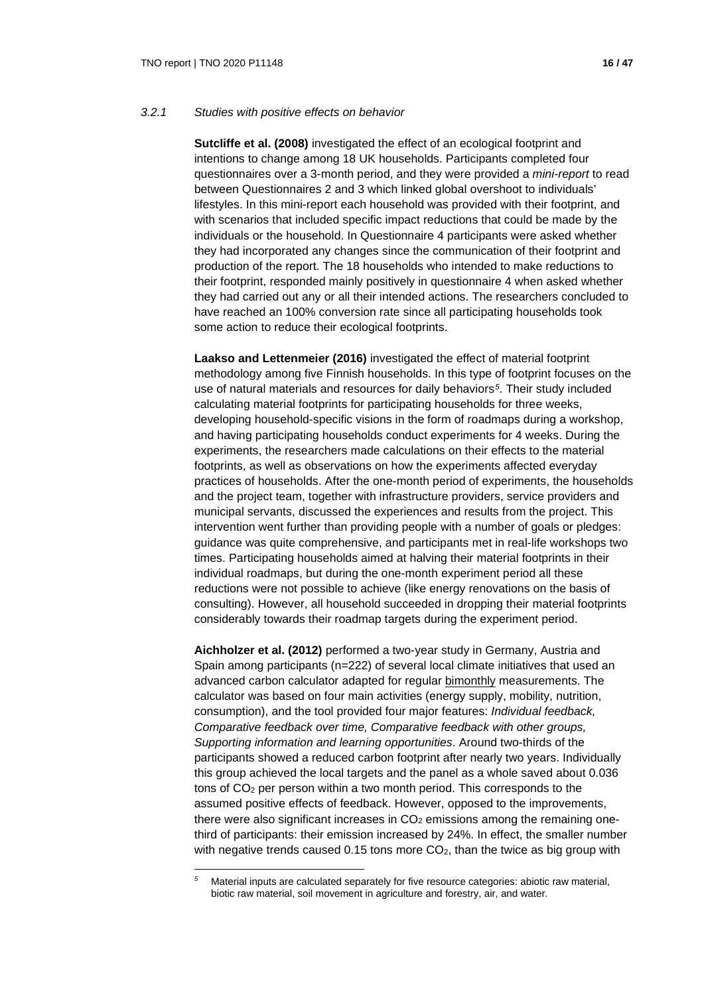## *3.2.1 Studies with positive effects on behavior*

**Sutcliffe et al. (2008)** investigated the effect of an ecological footprint and intentions to change among 18 UK households. Participants completed four questionnaires over a 3-month period, and they were provided a *mini-report* to read between Questionnaires 2 and 3 which linked global overshoot to individuals' lifestyles. In this mini-report each household was provided with their footprint, and with scenarios that included specific impact reductions that could be made by the individuals or the household. In Questionnaire 4 participants were asked whether they had incorporated any changes since the communication of their footprint and production of the report. The 18 households who intended to make reductions to their footprint, responded mainly positively in questionnaire 4 when asked whether they had carried out any or all their intended actions. The researchers concluded to have reached an 100% conversion rate since all participating households took some action to reduce their ecological footprints.

**Laakso and Lettenmeier (2016)** investigated the effect of material footprint methodology among five Finnish households. In this type of footprint focuses on the use of natural materials and resources for daily behaviors*[5](#page-15-0)*. Their study included calculating material footprints for participating households for three weeks, developing household-specific visions in the form of roadmaps during a workshop, and having participating households conduct experiments for 4 weeks. During the experiments, the researchers made calculations on their effects to the material footprints, as well as observations on how the experiments affected everyday practices of households. After the one-month period of experiments, the households and the project team, together with infrastructure providers, service providers and municipal servants, discussed the experiences and results from the project. This intervention went further than providing people with a number of goals or pledges: guidance was quite comprehensive, and participants met in real-life workshops two times. Participating households aimed at halving their material footprints in their individual roadmaps, but during the one-month experiment period all these reductions were not possible to achieve (like energy renovations on the basis of consulting). However, all household succeeded in dropping their material footprints considerably towards their roadmap targets during the experiment period.

**Aichholzer et al. (2012)** performed a two-year study in Germany, Austria and Spain among participants (n=222) of several local climate initiatives that used an advanced carbon calculator adapted for regular bimonthly measurements. The calculator was based on four main activities (energy supply, mobility, nutrition, consumption), and the tool provided four major features: *Individual feedback, Comparative feedback over time, Comparative feedback with other groups, Supporting information and learning opportunities*. Around two-thirds of the participants showed a reduced carbon footprint after nearly two years. Individually this group achieved the local targets and the panel as a whole saved about 0.036 tons of CO2 per person within a two month period. This corresponds to the assumed positive effects of feedback. However, opposed to the improvements, there were also significant increases in  $CO<sub>2</sub>$  emissions among the remaining onethird of participants: their emission increased by 24%. In effect, the smaller number with negative trends caused 0.15 tons more  $CO<sub>2</sub>$ , than the twice as big group with

<span id="page-15-0"></span>*<sup>5</sup>* Material inputs are calculated separately for five resource categories: abiotic raw material, biotic raw material, soil movement in agriculture and forestry, air, and water.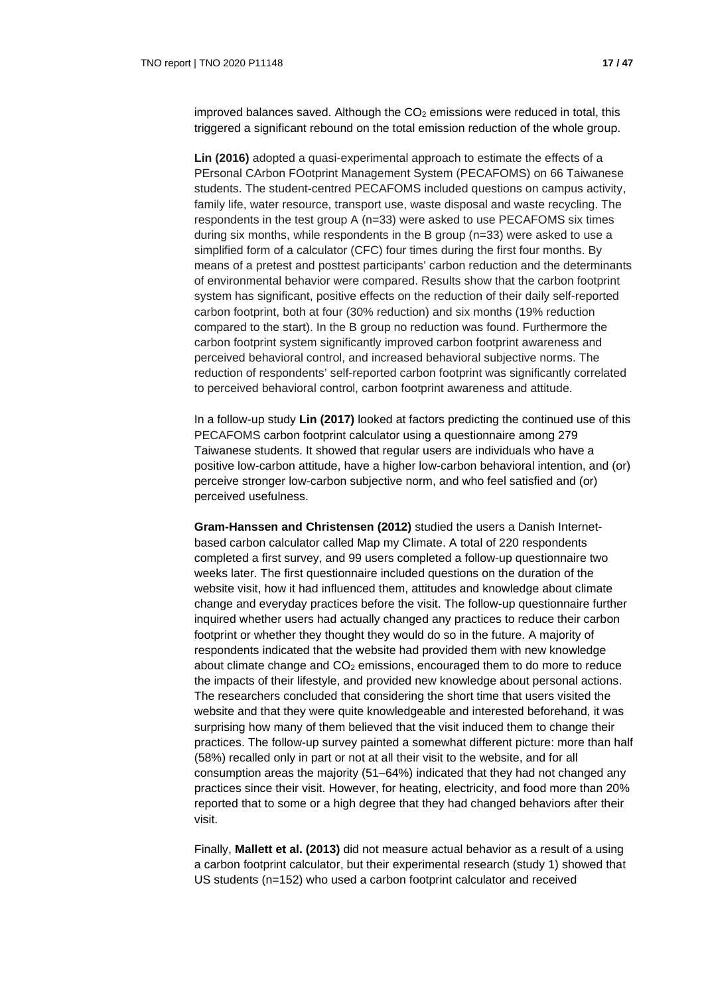improved balances saved. Although the  $CO<sub>2</sub>$  emissions were reduced in total, this triggered a significant rebound on the total emission reduction of the whole group.

**Lin (2016)** adopted a quasi-experimental approach to estimate the effects of a PErsonal CArbon FOotprint Management System (PECAFOMS) on 66 Taiwanese students. The student-centred PECAFOMS included questions on campus activity, family life, water resource, transport use, waste disposal and waste recycling. The respondents in the test group A (n=33) were asked to use PECAFOMS six times during six months, while respondents in the B group (n=33) were asked to use a simplified form of a calculator (CFC) four times during the first four months. By means of a pretest and posttest participants' carbon reduction and the determinants of environmental behavior were compared. Results show that the carbon footprint system has significant, positive effects on the reduction of their daily self-reported carbon footprint, both at four (30% reduction) and six months (19% reduction compared to the start). In the B group no reduction was found. Furthermore the carbon footprint system significantly improved carbon footprint awareness and perceived behavioral control, and increased behavioral subjective norms. The reduction of respondents' self-reported carbon footprint was significantly correlated to perceived behavioral control, carbon footprint awareness and attitude.

In a follow-up study **Lin (2017)** looked at factors predicting the continued use of this PECAFOMS carbon footprint calculator using a questionnaire among 279 Taiwanese students. It showed that regular users are individuals who have a positive low-carbon attitude, have a higher low-carbon behavioral intention, and (or) perceive stronger low-carbon subjective norm, and who feel satisfied and (or) perceived usefulness.

**Gram-Hanssen and Christensen (2012)** studied the users a Danish Internetbased carbon calculator called Map my Climate. A total of 220 respondents completed a first survey, and 99 users completed a follow-up questionnaire two weeks later. The first questionnaire included questions on the duration of the website visit, how it had influenced them, attitudes and knowledge about climate change and everyday practices before the visit. The follow-up questionnaire further inquired whether users had actually changed any practices to reduce their carbon footprint or whether they thought they would do so in the future. A majority of respondents indicated that the website had provided them with new knowledge about climate change and  $CO<sub>2</sub>$  emissions, encouraged them to do more to reduce the impacts of their lifestyle, and provided new knowledge about personal actions. The researchers concluded that considering the short time that users visited the website and that they were quite knowledgeable and interested beforehand, it was surprising how many of them believed that the visit induced them to change their practices. The follow-up survey painted a somewhat different picture: more than half (58%) recalled only in part or not at all their visit to the website, and for all consumption areas the majority (51–64%) indicated that they had not changed any practices since their visit. However, for heating, electricity, and food more than 20% reported that to some or a high degree that they had changed behaviors after their visit.

Finally, **Mallett et al. (2013)** did not measure actual behavior as a result of a using a carbon footprint calculator, but their experimental research (study 1) showed that US students (n=152) who used a carbon footprint calculator and received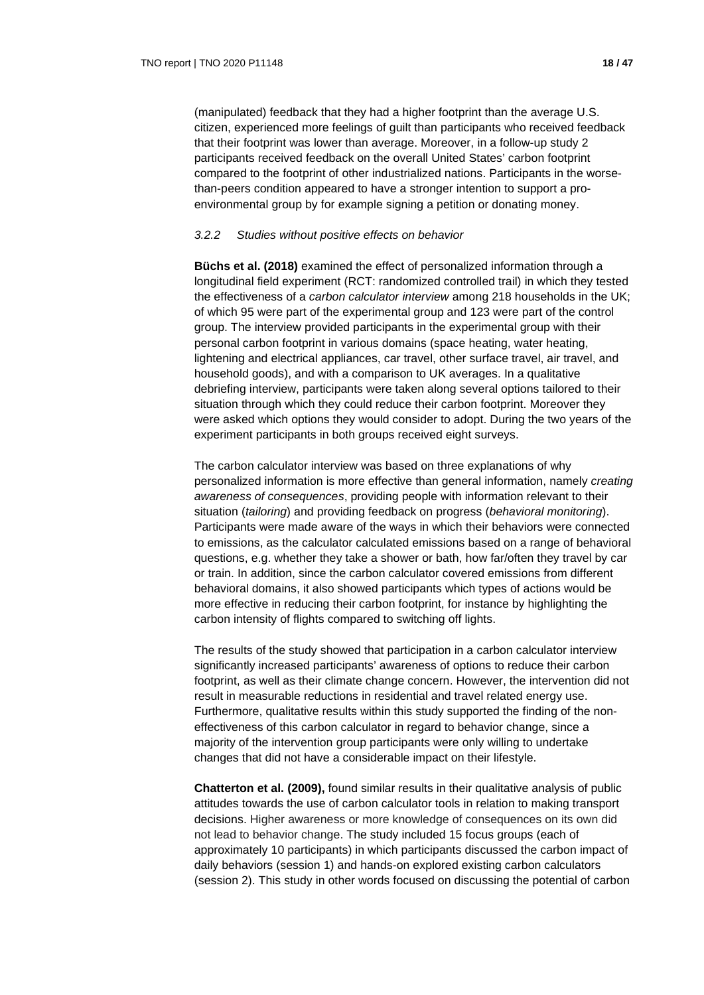(manipulated) feedback that they had a higher footprint than the average U.S. citizen, experienced more feelings of guilt than participants who received feedback that their footprint was lower than average. Moreover, in a follow-up study 2 participants received feedback on the overall United States' carbon footprint compared to the footprint of other industrialized nations. Participants in the worsethan-peers condition appeared to have a stronger intention to support a proenvironmental group by for example signing a petition or donating money.

#### *3.2.2 Studies without positive effects on behavior*

**Büchs et al. (2018)** examined the effect of personalized information through a longitudinal field experiment (RCT: randomized controlled trail) in which they tested the effectiveness of a *carbon calculator interview* among 218 households in the UK; of which 95 were part of the experimental group and 123 were part of the control group. The interview provided participants in the experimental group with their personal carbon footprint in various domains (space heating, water heating, lightening and electrical appliances, car travel, other surface travel, air travel, and household goods), and with a comparison to UK averages. In a qualitative debriefing interview, participants were taken along several options tailored to their situation through which they could reduce their carbon footprint. Moreover they were asked which options they would consider to adopt. During the two years of the experiment participants in both groups received eight surveys.

The carbon calculator interview was based on three explanations of why personalized information is more effective than general information, namely *creating awareness of consequences*, providing people with information relevant to their situation (*tailoring*) and providing feedback on progress (*behavioral monitoring*). Participants were made aware of the ways in which their behaviors were connected to emissions, as the calculator calculated emissions based on a range of behavioral questions, e.g. whether they take a shower or bath, how far/often they travel by car or train. In addition, since the carbon calculator covered emissions from different behavioral domains, it also showed participants which types of actions would be more effective in reducing their carbon footprint, for instance by highlighting the carbon intensity of flights compared to switching off lights.

The results of the study showed that participation in a carbon calculator interview significantly increased participants' awareness of options to reduce their carbon footprint, as well as their climate change concern. However, the intervention did not result in measurable reductions in residential and travel related energy use. Furthermore, qualitative results within this study supported the finding of the noneffectiveness of this carbon calculator in regard to behavior change, since a majority of the intervention group participants were only willing to undertake changes that did not have a considerable impact on their lifestyle.

**Chatterton et al. (2009),** found similar results in their qualitative analysis of public attitudes towards the use of carbon calculator tools in relation to making transport decisions. Higher awareness or more knowledge of consequences on its own did not lead to behavior change. The study included 15 focus groups (each of approximately 10 participants) in which participants discussed the carbon impact of daily behaviors (session 1) and hands-on explored existing carbon calculators (session 2). This study in other words focused on discussing the potential of carbon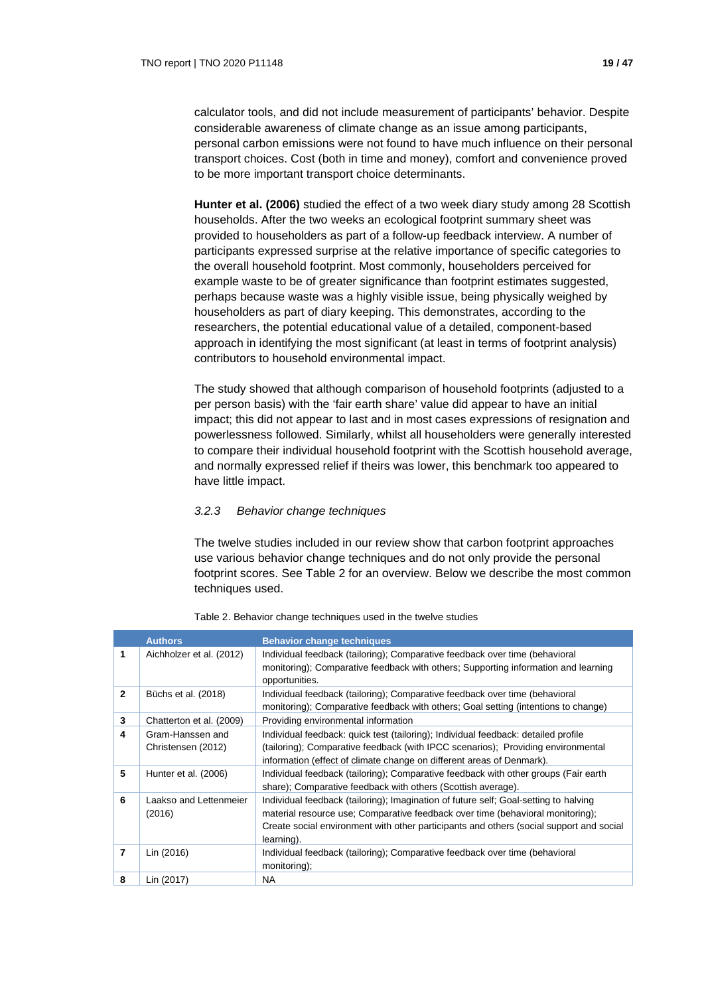calculator tools, and did not include measurement of participants' behavior. Despite considerable awareness of climate change as an issue among participants, personal carbon emissions were not found to have much influence on their personal transport choices. Cost (both in time and money), comfort and convenience proved to be more important transport choice determinants.

**Hunter et al. (2006)** studied the effect of a two week diary study among 28 Scottish households. After the two weeks an ecological footprint summary sheet was provided to householders as part of a follow-up feedback interview. A number of participants expressed surprise at the relative importance of specific categories to the overall household footprint. Most commonly, householders perceived for example waste to be of greater significance than footprint estimates suggested, perhaps because waste was a highly visible issue, being physically weighed by householders as part of diary keeping. This demonstrates, according to the researchers, the potential educational value of a detailed, component-based approach in identifying the most significant (at least in terms of footprint analysis) contributors to household environmental impact.

The study showed that although comparison of household footprints (adjusted to a per person basis) with the 'fair earth share' value did appear to have an initial impact; this did not appear to last and in most cases expressions of resignation and powerlessness followed. Similarly, whilst all householders were generally interested to compare their individual household footprint with the Scottish household average, and normally expressed relief if theirs was lower, this benchmark too appeared to have little impact.

## *3.2.3 Behavior change techniques*

The twelve studies included in our review show that carbon footprint approaches use various behavior change techniques and do not only provide the personal footprint scores. See Table 2 for an overview. Below we describe the most common techniques used.

|                | <b>Authors</b>                         | <b>Behavior change techniques</b>                                                                                                                                                                                                                                               |
|----------------|----------------------------------------|---------------------------------------------------------------------------------------------------------------------------------------------------------------------------------------------------------------------------------------------------------------------------------|
| 1              | Aichholzer et al. (2012)               | Individual feedback (tailoring); Comparative feedback over time (behavioral<br>monitoring); Comparative feedback with others; Supporting information and learning<br>opportunities.                                                                                             |
| $\overline{2}$ | Büchs et al. (2018)                    | Individual feedback (tailoring); Comparative feedback over time (behavioral<br>monitoring); Comparative feedback with others; Goal setting (intentions to change)                                                                                                               |
| 3              | Chatterton et al. (2009)               | Providing environmental information                                                                                                                                                                                                                                             |
| 4              | Gram-Hanssen and<br>Christensen (2012) | Individual feedback: quick test (tailoring); Individual feedback: detailed profile<br>(tailoring); Comparative feedback (with IPCC scenarios); Providing environmental<br>information (effect of climate change on different areas of Denmark).                                 |
| 5              | Hunter et al. (2006)                   | Individual feedback (tailoring); Comparative feedback with other groups (Fair earth<br>share); Comparative feedback with others (Scottish average).                                                                                                                             |
| 6              | Laakso and Lettenmeier<br>(2016)       | Individual feedback (tailoring); Imagination of future self; Goal-setting to halving<br>material resource use; Comparative feedback over time (behavioral monitoring);<br>Create social environment with other participants and others (social support and social<br>learning). |
| $\overline{7}$ | Lin (2016)                             | Individual feedback (tailoring); Comparative feedback over time (behavioral<br>monitoring);                                                                                                                                                                                     |
| 8              | Lin (2017)                             | NA.                                                                                                                                                                                                                                                                             |

#### Table 2. Behavior change techniques used in the twelve studies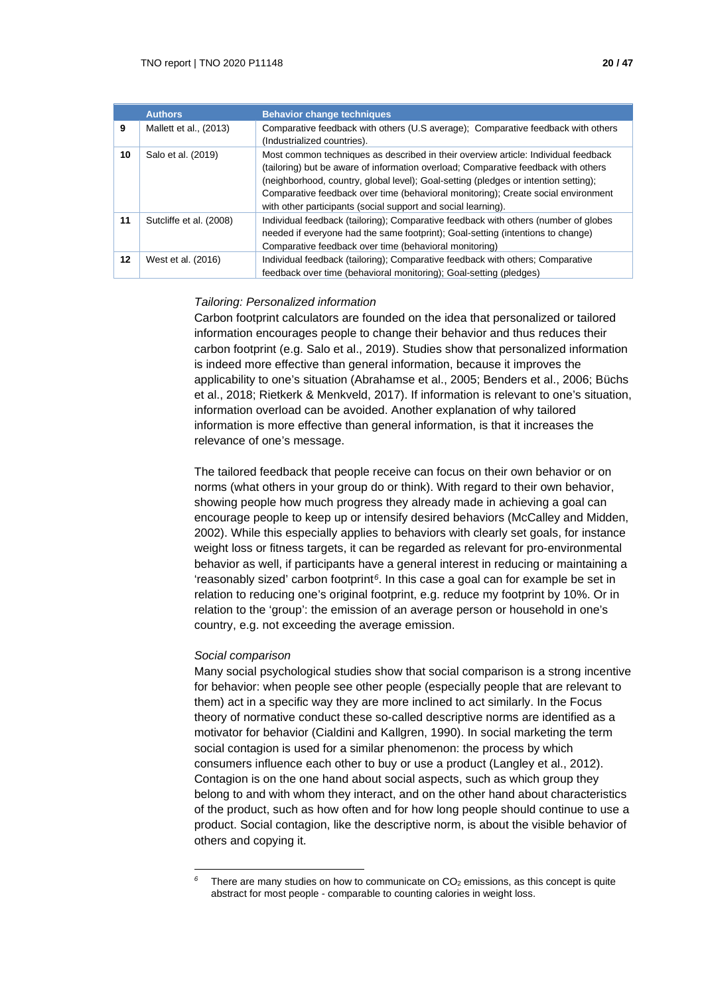|    | <b>Authors</b>          | <b>Behavior change techniques</b>                                                                                                                                                                                                                                                                                                                                                                                     |
|----|-------------------------|-----------------------------------------------------------------------------------------------------------------------------------------------------------------------------------------------------------------------------------------------------------------------------------------------------------------------------------------------------------------------------------------------------------------------|
| 9  | Mallett et al., (2013)  | Comparative feedback with others (U.S average); Comparative feedback with others<br>(Industrialized countries).                                                                                                                                                                                                                                                                                                       |
| 10 | Salo et al. (2019)      | Most common techniques as described in their overview article: Individual feedback<br>(tailoring) but be aware of information overload; Comparative feedback with others<br>(neighborhood, country, global level); Goal-setting (pledges or intention setting);<br>Comparative feedback over time (behavioral monitoring); Create social environment<br>with other participants (social support and social learning). |
| 11 | Sutcliffe et al. (2008) | Individual feedback (tailoring); Comparative feedback with others (number of globes<br>needed if everyone had the same footprint); Goal-setting (intentions to change)<br>Comparative feedback over time (behavioral monitoring)                                                                                                                                                                                      |
| 12 | West et al. (2016)      | Individual feedback (tailoring); Comparative feedback with others; Comparative<br>feedback over time (behavioral monitoring); Goal-setting (pledges)                                                                                                                                                                                                                                                                  |

## *Tailoring: Personalized information*

Carbon footprint calculators are founded on the idea that personalized or tailored information encourages people to change their behavior and thus reduces their carbon footprint (e.g. Salo et al., 2019). Studies show that personalized information is indeed more effective than general information, because it improves the applicability to one's situation (Abrahamse et al., 2005; Benders et al., 2006; Büchs et al., 2018; Rietkerk & Menkveld, 2017). If information is relevant to one's situation, information overload can be avoided. Another explanation of why tailored information is more effective than general information, is that it increases the relevance of one's message.

The tailored feedback that people receive can focus on their own behavior or on norms (what others in your group do or think). With regard to their own behavior, showing people how much progress they already made in achieving a goal can encourage people to keep up or intensify desired behaviors (McCalley and Midden, 2002). While this especially applies to behaviors with clearly set goals, for instance weight loss or fitness targets, it can be regarded as relevant for pro-environmental behavior as well, if participants have a general interest in reducing or maintaining a 'reasonably sized' carbon footprint*[6](#page-19-0)*. In this case a goal can for example be set in relation to reducing one's original footprint, e.g. reduce my footprint by 10%. Or in relation to the 'group': the emission of an average person or household in one's country, e.g. not exceeding the average emission.

## *Social comparison*

Many social psychological studies show that social comparison is a strong incentive for behavior: when people see other people (especially people that are relevant to them) act in a specific way they are more inclined to act similarly. In the Focus theory of normative conduct these so-called descriptive norms are identified as a motivator for behavior (Cialdini and Kallgren, 1990). In social marketing the term social contagion is used for a similar phenomenon: the process by which consumers influence each other to buy or use a product (Langley et al., 2012). Contagion is on the one hand about social aspects, such as which group they belong to and with whom they interact, and on the other hand about characteristics of the product, such as how often and for how long people should continue to use a product. Social contagion, like the descriptive norm, is about the visible behavior of others and copying it.

<span id="page-19-0"></span> $6$  There are many studies on how to communicate on  $CO<sub>2</sub>$  emissions, as this concept is quite abstract for most people - comparable to counting calories in weight loss.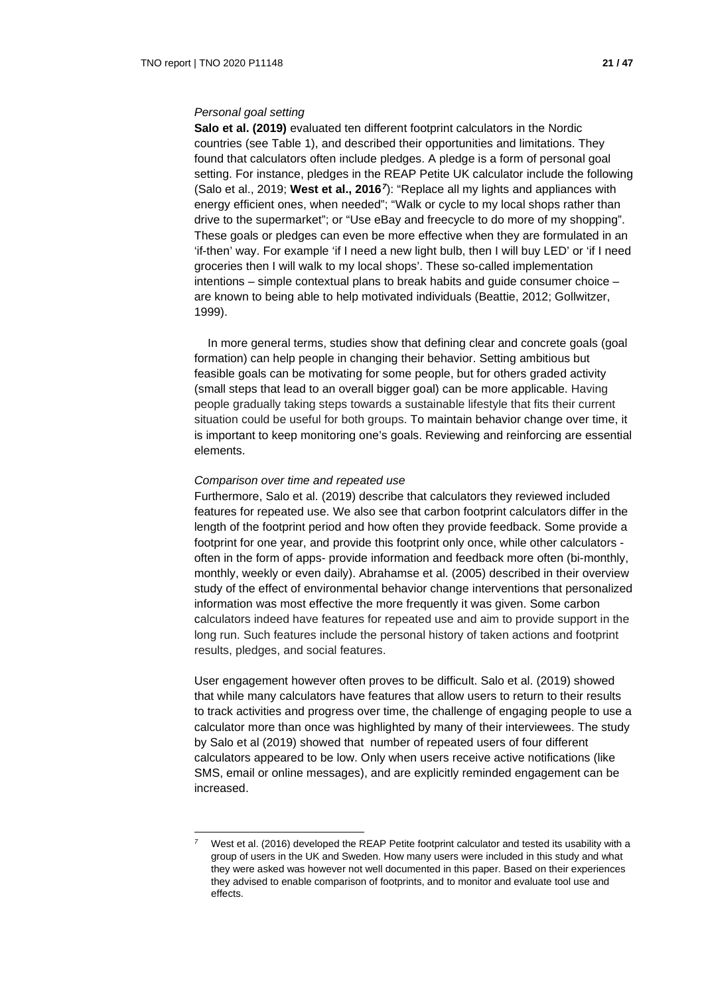**Salo et al. (2019)** evaluated ten different footprint calculators in the Nordic countries (see Table 1), and described their opportunities and limitations. They found that calculators often include pledges. A pledge is a form of personal goal setting. For instance, pledges in the REAP Petite UK calculator include the following (Salo et al., 2019; **West et al., 2016***[7](#page-20-0)*): "Replace all my lights and appliances with energy efficient ones, when needed"; "Walk or cycle to my local shops rather than drive to the supermarket"; or "Use eBay and freecycle to do more of my shopping". These goals or pledges can even be more effective when they are formulated in an 'if-then' way. For example 'if I need a new light bulb, then I will buy LED' or 'if I need groceries then I will walk to my local shops'. These so-called implementation intentions – simple contextual plans to break habits and guide consumer choice – are known to being able to help motivated individuals (Beattie, 2012; Gollwitzer, 1999).

In more general terms, studies show that defining clear and concrete goals (goal formation) can help people in changing their behavior. Setting ambitious but feasible goals can be motivating for some people, but for others graded activity (small steps that lead to an overall bigger goal) can be more applicable. Having people gradually taking steps towards a sustainable lifestyle that fits their current situation could be useful for both groups. To maintain behavior change over time, it is important to keep monitoring one's goals. Reviewing and reinforcing are essential elements.

#### *Comparison over time and repeated use*

Furthermore, Salo et al. (2019) describe that calculators they reviewed included features for repeated use. We also see that carbon footprint calculators differ in the length of the footprint period and how often they provide feedback. Some provide a footprint for one year, and provide this footprint only once, while other calculators often in the form of apps- provide information and feedback more often (bi-monthly, monthly, weekly or even daily). Abrahamse et al. (2005) described in their overview study of the effect of environmental behavior change interventions that personalized information was most effective the more frequently it was given. Some carbon calculators indeed have features for repeated use and aim to provide support in the long run. Such features include the personal history of taken actions and footprint results, pledges, and social features.

User engagement however often proves to be difficult. Salo et al. (2019) showed that while many calculators have features that allow users to return to their results to track activities and progress over time, the challenge of engaging people to use a calculator more than once was highlighted by many of their interviewees. The study by Salo et al (2019) showed that number of repeated users of four different calculators appeared to be low. Only when users receive active notifications (like SMS, email or online messages), and are explicitly reminded engagement can be increased.

<span id="page-20-0"></span>West et al. (2016) developed the REAP Petite footprint calculator and tested its usability with a group of users in the UK and Sweden. How many users were included in this study and what they were asked was however not well documented in this paper. Based on their experiences they advised to enable comparison of footprints, and to monitor and evaluate tool use and effects.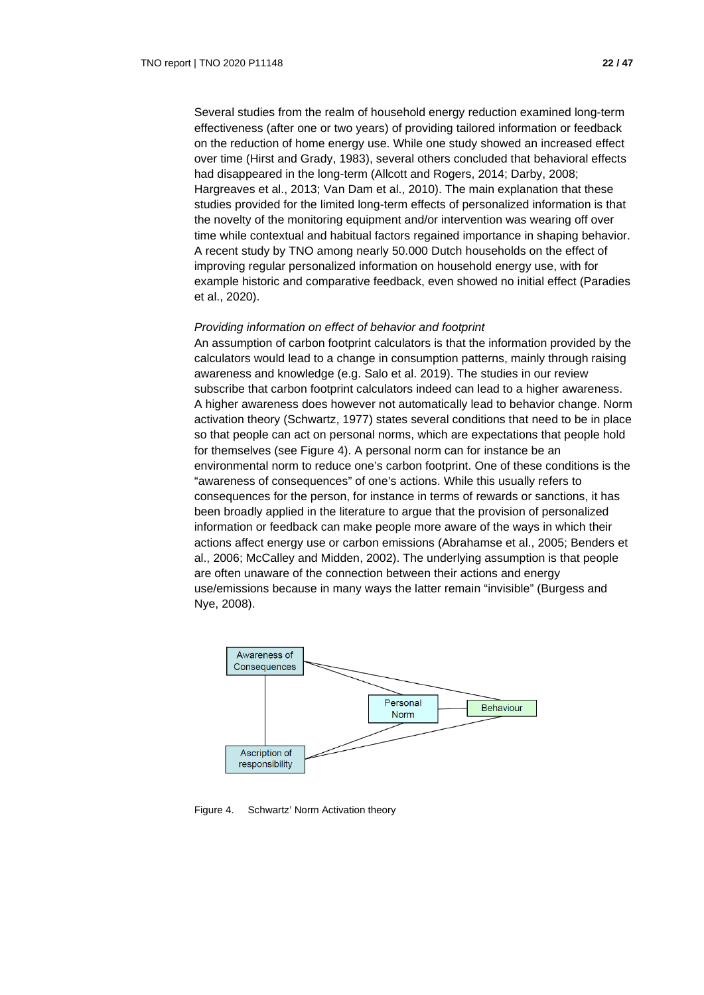Several studies from the realm of household energy reduction examined long-term effectiveness (after one or two years) of providing tailored information or feedback on the reduction of home energy use. While one study showed an increased effect over time (Hirst and Grady, 1983), several others concluded that behavioral effects had disappeared in the long-term (Allcott and Rogers, 2014; Darby, 2008; Hargreaves et al., 2013; Van Dam et al., 2010). The main explanation that these studies provided for the limited long-term effects of personalized information is that the novelty of the monitoring equipment and/or intervention was wearing off over time while contextual and habitual factors regained importance in shaping behavior. A recent study by TNO among nearly 50.000 Dutch households on the effect of improving regular personalized information on household energy use, with for example historic and comparative feedback, even showed no initial effect (Paradies et al., 2020).

#### *Providing information on effect of behavior and footprint*

An assumption of carbon footprint calculators is that the information provided by the calculators would lead to a change in consumption patterns, mainly through raising awareness and knowledge (e.g. Salo et al. 2019). The studies in our review subscribe that carbon footprint calculators indeed can lead to a higher awareness. A higher awareness does however not automatically lead to behavior change. Norm activation theory (Schwartz, 1977) states several conditions that need to be in place so that people can act on personal norms, which are expectations that people hold for themselves (see Figure 4). A personal norm can for instance be an environmental norm to reduce one's carbon footprint. One of these conditions is the "awareness of consequences" of one's actions. While this usually refers to consequences for the person, for instance in terms of rewards or sanctions, it has been broadly applied in the literature to argue that the provision of personalized information or feedback can make people more aware of the ways in which their actions affect energy use or carbon emissions (Abrahamse et al., 2005; Benders et al., 2006; McCalley and Midden, 2002). The underlying assumption is that people are often unaware of the connection between their actions and energy use/emissions because in many ways the latter remain "invisible" (Burgess and Nye, 2008).



Figure 4. Schwartz' Norm Activation theory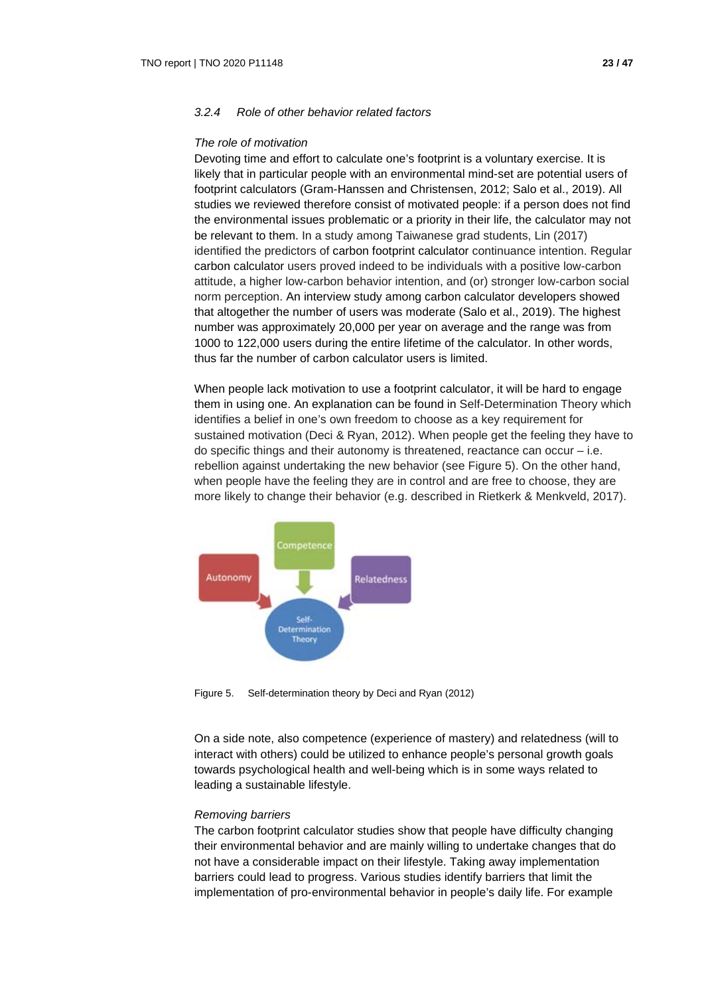## *3.2.4 Role of other behavior related factors*

#### *The role of motivation*

Devoting time and effort to calculate one's footprint is a voluntary exercise. It is likely that in particular people with an environmental mind-set are potential users of footprint calculators (Gram-Hanssen and Christensen, 2012; Salo et al., 2019). All studies we reviewed therefore consist of motivated people: if a person does not find the environmental issues problematic or a priority in their life, the calculator may not be relevant to them. In a study among Taiwanese grad students, Lin (2017) identified the predictors of carbon footprint calculator continuance intention. Regular carbon calculator users proved indeed to be individuals with a positive low-carbon attitude, a higher low-carbon behavior intention, and (or) stronger low-carbon social norm perception. An interview study among carbon calculator developers showed that altogether the number of users was moderate (Salo et al., 2019). The highest number was approximately 20,000 per year on average and the range was from 1000 to 122,000 users during the entire lifetime of the calculator. In other words, thus far the number of carbon calculator users is limited.

When people lack motivation to use a footprint calculator, it will be hard to engage them in using one. An explanation can be found in Self-Determination Theory which identifies a belief in one's own freedom to choose as a key requirement for sustained motivation (Deci & Ryan, 2012). When people get the feeling they have to do specific things and their autonomy is threatened, reactance can occur – i.e. rebellion against undertaking the new behavior (see Figure 5). On the other hand, when people have the feeling they are in control and are free to choose, they are more likely to change their behavior (e.g. described in Rietkerk & Menkveld, 2017).



Figure 5. Self-determination theory by Deci and Ryan (2012)

On a side note, also competence (experience of mastery) and relatedness (will to interact with others) could be utilized to enhance people's personal growth goals towards psychological health and well-being which is in some ways related to leading a sustainable lifestyle.

#### *Removing barriers*

The carbon footprint calculator studies show that people have difficulty changing their environmental behavior and are mainly willing to undertake changes that do not have a considerable impact on their lifestyle. Taking away implementation barriers could lead to progress. Various studies identify barriers that limit the implementation of pro-environmental behavior in people's daily life. For example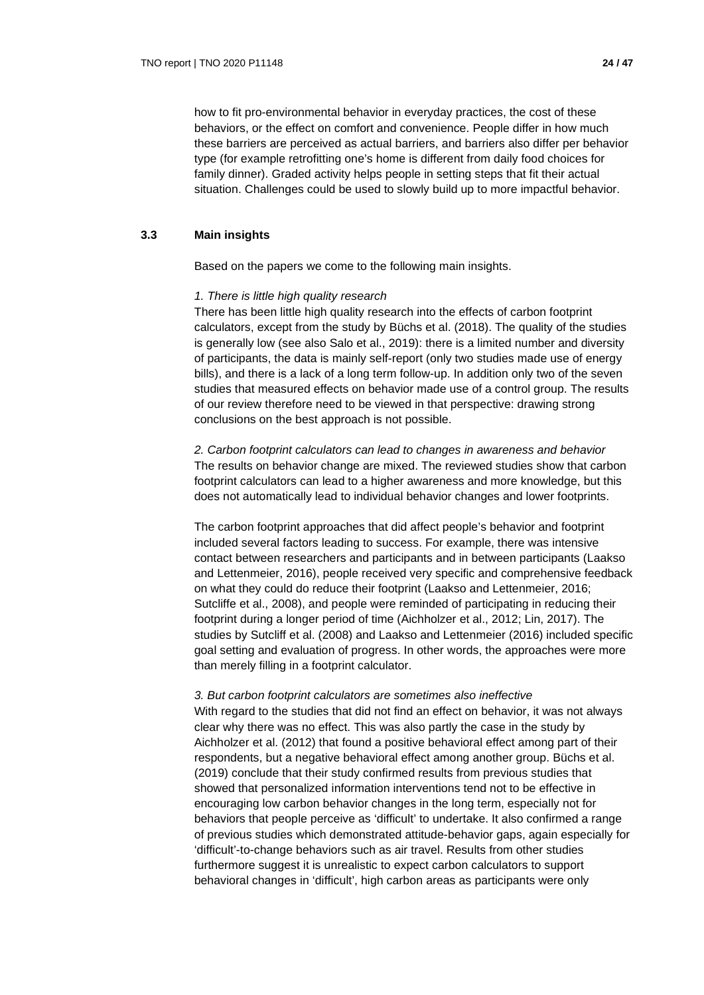how to fit pro-environmental behavior in everyday practices, the cost of these behaviors, or the effect on comfort and convenience. People differ in how much these barriers are perceived as actual barriers, and barriers also differ per behavior type (for example retrofitting one's home is different from daily food choices for family dinner). Graded activity helps people in setting steps that fit their actual situation. Challenges could be used to slowly build up to more impactful behavior.

#### **3.3 Main insights**

Based on the papers we come to the following main insights.

#### *1. There is little high quality research*

There has been little high quality research into the effects of carbon footprint calculators, except from the study by Büchs et al. (2018). The quality of the studies is generally low (see also Salo et al., 2019): there is a limited number and diversity of participants, the data is mainly self-report (only two studies made use of energy bills), and there is a lack of a long term follow-up. In addition only two of the seven studies that measured effects on behavior made use of a control group. The results of our review therefore need to be viewed in that perspective: drawing strong conclusions on the best approach is not possible.

*2. Carbon footprint calculators can lead to changes in awareness and behavior* The results on behavior change are mixed. The reviewed studies show that carbon footprint calculators can lead to a higher awareness and more knowledge, but this does not automatically lead to individual behavior changes and lower footprints.

The carbon footprint approaches that did affect people's behavior and footprint included several factors leading to success. For example, there was intensive contact between researchers and participants and in between participants (Laakso and Lettenmeier, 2016), people received very specific and comprehensive feedback on what they could do reduce their footprint (Laakso and Lettenmeier, 2016; Sutcliffe et al., 2008), and people were reminded of participating in reducing their footprint during a longer period of time (Aichholzer et al., 2012; Lin, 2017). The studies by Sutcliff et al. (2008) and Laakso and Lettenmeier (2016) included specific goal setting and evaluation of progress. In other words, the approaches were more than merely filling in a footprint calculator.

#### *3. But carbon footprint calculators are sometimes also ineffective*

With regard to the studies that did not find an effect on behavior, it was not always clear why there was no effect. This was also partly the case in the study by Aichholzer et al. (2012) that found a positive behavioral effect among part of their respondents, but a negative behavioral effect among another group. Büchs et al. (2019) conclude that their study confirmed results from previous studies that showed that personalized information interventions tend not to be effective in encouraging low carbon behavior changes in the long term, especially not for behaviors that people perceive as 'difficult' to undertake. It also confirmed a range of previous studies which demonstrated attitude-behavior gaps, again especially for 'difficult'-to-change behaviors such as air travel. Results from other studies furthermore suggest it is unrealistic to expect carbon calculators to support behavioral changes in 'difficult', high carbon areas as participants were only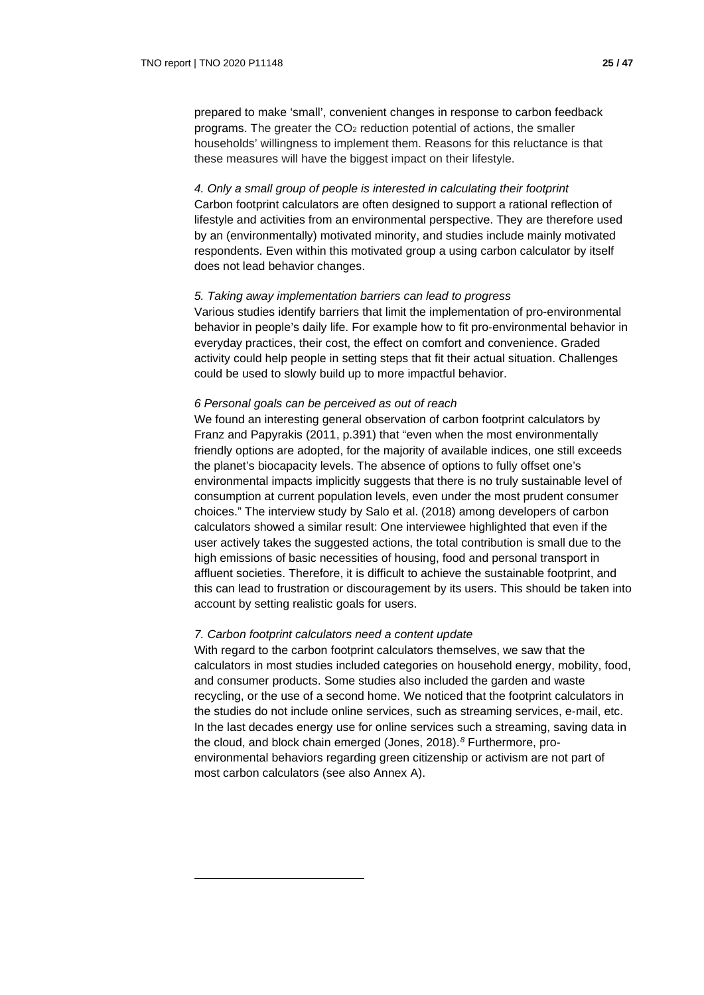prepared to make 'small', convenient changes in response to carbon feedback programs. The greater the  $CO<sub>2</sub>$  reduction potential of actions, the smaller households' willingness to implement them. Reasons for this reluctance is that these measures will have the biggest impact on their lifestyle.

*4. Only a small group of people is interested in calculating their footprint*  Carbon footprint calculators are often designed to support a rational reflection of lifestyle and activities from an environmental perspective. They are therefore used by an (environmentally) motivated minority, and studies include mainly motivated respondents. Even within this motivated group a using carbon calculator by itself does not lead behavior changes.

#### *5. Taking away implementation barriers can lead to progress*

Various studies identify barriers that limit the implementation of pro-environmental behavior in people's daily life. For example how to fit pro-environmental behavior in everyday practices, their cost, the effect on comfort and convenience. Graded activity could help people in setting steps that fit their actual situation. Challenges could be used to slowly build up to more impactful behavior.

#### *6 Personal goals can be perceived as out of reach*

We found an interesting general observation of carbon footprint calculators by Franz and Papyrakis (2011, p.391) that "even when the most environmentally friendly options are adopted, for the majority of available indices, one still exceeds the planet's biocapacity levels. The absence of options to fully offset one's environmental impacts implicitly suggests that there is no truly sustainable level of consumption at current population levels, even under the most prudent consumer choices." The interview study by Salo et al. (2018) among developers of carbon calculators showed a similar result: One interviewee highlighted that even if the user actively takes the suggested actions, the total contribution is small due to the high emissions of basic necessities of housing, food and personal transport in affluent societies. Therefore, it is difficult to achieve the sustainable footprint, and this can lead to frustration or discouragement by its users. This should be taken into account by setting realistic goals for users.

#### *7. Carbon footprint calculators need a content update*

<span id="page-24-0"></span>With regard to the carbon footprint calculators themselves, we saw that the calculators in most studies included categories on household energy, mobility, food, and consumer products. Some studies also included the garden and waste recycling, or the use of a second home. We noticed that the footprint calculators in the studies do not include online services, such as streaming services, e-mail, etc. In the last decades energy use for online services such a streaming, saving data in the cloud, and block chain emerged (Jones, 2018).*[8](#page-24-0)* Furthermore, proenvironmental behaviors regarding green citizenship or activism are not part of most carbon calculators (see also Annex A).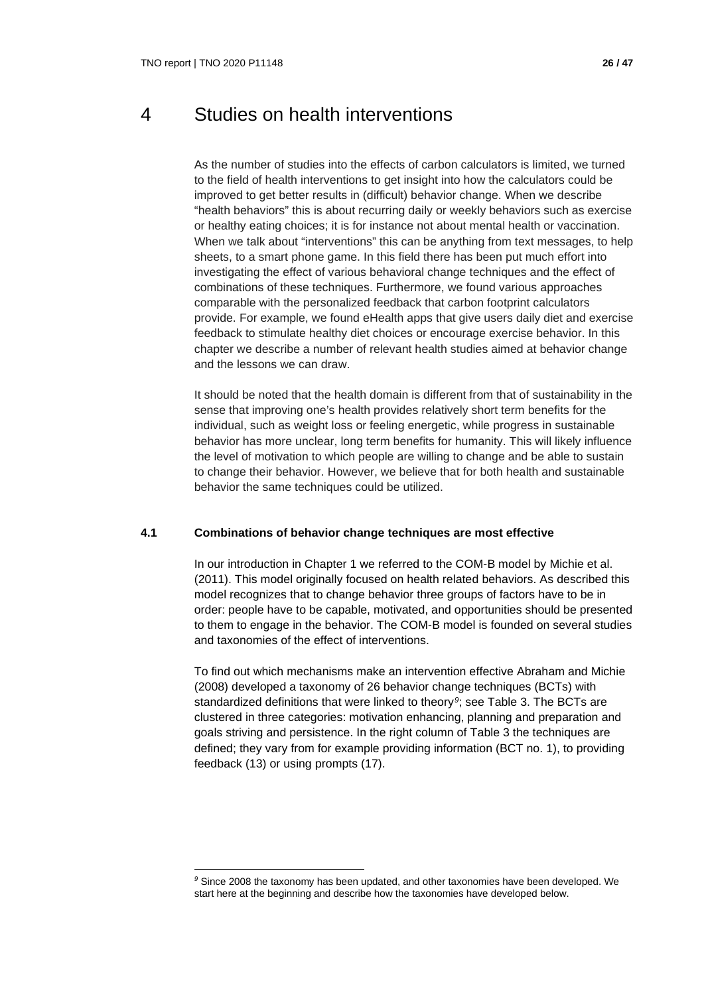## 4 Studies on health interventions

As the number of studies into the effects of carbon calculators is limited, we turned to the field of health interventions to get insight into how the calculators could be improved to get better results in (difficult) behavior change. When we describe "health behaviors" this is about recurring daily or weekly behaviors such as exercise or healthy eating choices; it is for instance not about mental health or vaccination. When we talk about "interventions" this can be anything from text messages, to help sheets, to a smart phone game. In this field there has been put much effort into investigating the effect of various behavioral change techniques and the effect of combinations of these techniques. Furthermore, we found various approaches comparable with the personalized feedback that carbon footprint calculators provide. For example, we found eHealth apps that give users daily diet and exercise feedback to stimulate healthy diet choices or encourage exercise behavior. In this chapter we describe a number of relevant health studies aimed at behavior change and the lessons we can draw.

It should be noted that the health domain is different from that of sustainability in the sense that improving one's health provides relatively short term benefits for the individual, such as weight loss or feeling energetic, while progress in sustainable behavior has more unclear, long term benefits for humanity. This will likely influence the level of motivation to which people are willing to change and be able to sustain to change their behavior. However, we believe that for both health and sustainable behavior the same techniques could be utilized.

## **4.1 Combinations of behavior change techniques are most effective**

In our introduction in Chapter 1 we referred to the COM-B model by Michie et al. (2011). This model originally focused on health related behaviors. As described this model recognizes that to change behavior three groups of factors have to be in order: people have to be capable, motivated, and opportunities should be presented to them to engage in the behavior. The COM-B model is founded on several studies and taxonomies of the effect of interventions.

To find out which mechanisms make an intervention effective Abraham and Michie (2008) developed a taxonomy of 26 behavior change techniques (BCTs) with standardized definitions that were linked to theory*[9](#page-25-0)*; see Table 3. The BCTs are clustered in three categories: motivation enhancing, planning and preparation and goals striving and persistence. In the right column of Table 3 the techniques are defined; they vary from for example providing information (BCT no. 1), to providing feedback (13) or using prompts (17).

<span id="page-25-0"></span>*<sup>9</sup>* Since 2008 the taxonomy has been updated, and other taxonomies have been developed. We start here at the beginning and describe how the taxonomies have developed below.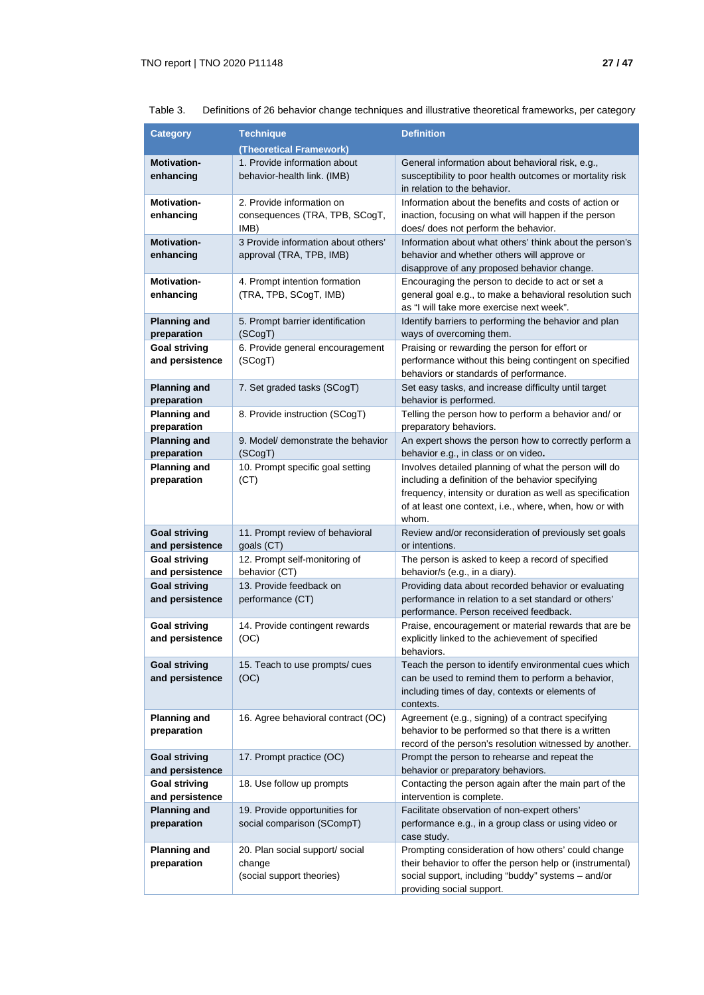| <b>Category</b>                         | <b>Technique</b>                                            | <b>Definition</b>                                                                                                                            |
|-----------------------------------------|-------------------------------------------------------------|----------------------------------------------------------------------------------------------------------------------------------------------|
|                                         | (Theoretical Framework)                                     |                                                                                                                                              |
| <b>Motivation-</b><br>enhancing         | 1. Provide information about<br>behavior-health link. (IMB) | General information about behavioral risk, e.g.,<br>susceptibility to poor health outcomes or mortality risk<br>in relation to the behavior. |
| <b>Motivation-</b>                      | 2. Provide information on                                   | Information about the benefits and costs of action or                                                                                        |
| enhancing                               | consequences (TRA, TPB, SCogT,<br>IMB)                      | inaction, focusing on what will happen if the person<br>does/ does not perform the behavior.                                                 |
| <b>Motivation-</b>                      | 3 Provide information about others'                         | Information about what others' think about the person's                                                                                      |
| enhancing                               | approval (TRA, TPB, IMB)                                    | behavior and whether others will approve or<br>disapprove of any proposed behavior change.                                                   |
| <b>Motivation-</b>                      | 4. Prompt intention formation                               | Encouraging the person to decide to act or set a                                                                                             |
| enhancing                               | (TRA, TPB, SCogT, IMB)                                      | general goal e.g., to make a behavioral resolution such<br>as "I will take more exercise next week".                                         |
| <b>Planning and</b><br>preparation      | 5. Prompt barrier identification<br>(SCogT)                 | Identify barriers to performing the behavior and plan<br>ways of overcoming them.                                                            |
| <b>Goal striving</b>                    | 6. Provide general encouragement                            | Praising or rewarding the person for effort or                                                                                               |
| and persistence                         | (SCogT)                                                     | performance without this being contingent on specified<br>behaviors or standards of performance.                                             |
| <b>Planning and</b>                     | 7. Set graded tasks (SCogT)                                 | Set easy tasks, and increase difficulty until target                                                                                         |
| preparation                             |                                                             | behavior is performed.                                                                                                                       |
| <b>Planning and</b><br>preparation      | 8. Provide instruction (SCogT)                              | Telling the person how to perform a behavior and/ or<br>preparatory behaviors.                                                               |
| <b>Planning and</b>                     | 9. Model/ demonstrate the behavior                          | An expert shows the person how to correctly perform a                                                                                        |
| preparation                             | (SCogT)                                                     | behavior e.g., in class or on video.                                                                                                         |
| <b>Planning and</b>                     | 10. Prompt specific goal setting                            | Involves detailed planning of what the person will do                                                                                        |
| preparation                             | (CT)                                                        | including a definition of the behavior specifying                                                                                            |
|                                         |                                                             | frequency, intensity or duration as well as specification                                                                                    |
|                                         |                                                             | of at least one context, i.e., where, when, how or with<br>whom.                                                                             |
| <b>Goal striving</b>                    | 11. Prompt review of behavioral                             | Review and/or reconsideration of previously set goals                                                                                        |
| and persistence                         | goals (CT)                                                  | or intentions.                                                                                                                               |
| <b>Goal striving</b>                    | 12. Prompt self-monitoring of                               | The person is asked to keep a record of specified                                                                                            |
| and persistence                         | behavior (CT)                                               | behavior/s (e.g., in a diary).                                                                                                               |
| <b>Goal striving</b>                    | 13. Provide feedback on                                     | Providing data about recorded behavior or evaluating                                                                                         |
| and persistence                         | performance (CT)                                            | performance in relation to a set standard or others'<br>performance. Person received feedback.                                               |
| <b>Goal striving</b>                    | 14. Provide contingent rewards                              | Praise, encouragement or material rewards that are be                                                                                        |
| and persistence                         | (OC)                                                        | explicitly linked to the achievement of specified<br>behaviors.                                                                              |
| <b>Goal striving</b>                    | 15. Teach to use prompts/ cues                              | Teach the person to identify environmental cues which                                                                                        |
| and persistence                         | (OC)                                                        | can be used to remind them to perform a behavior,                                                                                            |
|                                         |                                                             | including times of day, contexts or elements of<br>contexts.                                                                                 |
| <b>Planning and</b>                     | 16. Agree behavioral contract (OC)                          | Agreement (e.g., signing) of a contract specifying                                                                                           |
| preparation                             |                                                             | behavior to be performed so that there is a written                                                                                          |
|                                         |                                                             | record of the person's resolution witnessed by another.                                                                                      |
| <b>Goal striving</b>                    | 17. Prompt practice (OC)                                    | Prompt the person to rehearse and repeat the                                                                                                 |
| and persistence                         |                                                             | behavior or preparatory behaviors.                                                                                                           |
| <b>Goal striving</b><br>and persistence | 18. Use follow up prompts                                   | Contacting the person again after the main part of the<br>intervention is complete.                                                          |
| <b>Planning and</b>                     | 19. Provide opportunities for                               | Facilitate observation of non-expert others'                                                                                                 |
| preparation                             | social comparison (SCompT)                                  | performance e.g., in a group class or using video or<br>case study.                                                                          |
| <b>Planning and</b>                     | 20. Plan social support/ social                             | Prompting consideration of how others' could change                                                                                          |
| preparation                             | change                                                      | their behavior to offer the person help or (instrumental)                                                                                    |
|                                         | (social support theories)                                   | social support, including "buddy" systems - and/or                                                                                           |
|                                         |                                                             | providing social support.                                                                                                                    |

Table 3. Definitions of 26 behavior change techniques and illustrative theoretical frameworks, per category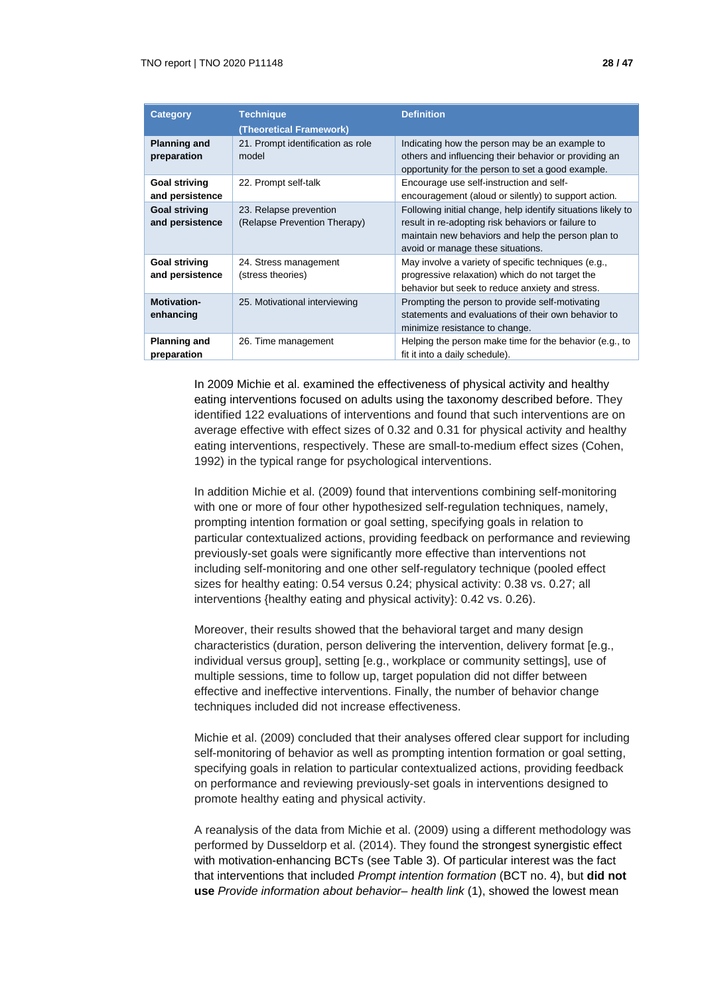| <b>Category</b>                         | <b>Technique</b><br>(Theoretical Framework)            | <b>Definition</b>                                                                                                                                                                                             |
|-----------------------------------------|--------------------------------------------------------|---------------------------------------------------------------------------------------------------------------------------------------------------------------------------------------------------------------|
| <b>Planning and</b><br>preparation      | 21. Prompt identification as role<br>model             | Indicating how the person may be an example to<br>others and influencing their behavior or providing an<br>opportunity for the person to set a good example.                                                  |
| <b>Goal striving</b><br>and persistence | 22. Prompt self-talk                                   | Encourage use self-instruction and self-<br>encouragement (aloud or silently) to support action.                                                                                                              |
| <b>Goal striving</b><br>and persistence | 23. Relapse prevention<br>(Relapse Prevention Therapy) | Following initial change, help identify situations likely to<br>result in re-adopting risk behaviors or failure to<br>maintain new behaviors and help the person plan to<br>avoid or manage these situations. |
| <b>Goal striving</b><br>and persistence | 24. Stress management<br>(stress theories)             | May involve a variety of specific techniques (e.g.,<br>progressive relaxation) which do not target the<br>behavior but seek to reduce anxiety and stress.                                                     |
| <b>Motivation-</b><br>enhancing         | 25. Motivational interviewing                          | Prompting the person to provide self-motivating<br>statements and evaluations of their own behavior to<br>minimize resistance to change.                                                                      |
| <b>Planning and</b><br>preparation      | 26. Time management                                    | Helping the person make time for the behavior (e.g., to<br>fit it into a daily schedule).                                                                                                                     |

In 2009 Michie et al. examined the effectiveness of physical activity and healthy eating interventions focused on adults using the taxonomy described before. They identified 122 evaluations of interventions and found that such interventions are on average effective with effect sizes of 0.32 and 0.31 for physical activity and healthy eating interventions, respectively. These are small-to-medium effect sizes (Cohen, 1992) in the typical range for psychological interventions.

In addition Michie et al. (2009) found that interventions combining self-monitoring with one or more of four other hypothesized self-regulation techniques, namely, prompting intention formation or goal setting, specifying goals in relation to particular contextualized actions, providing feedback on performance and reviewing previously-set goals were significantly more effective than interventions not including self-monitoring and one other self-regulatory technique (pooled effect sizes for healthy eating: 0.54 versus 0.24; physical activity: 0.38 vs. 0.27; all interventions {healthy eating and physical activity}: 0.42 vs. 0.26).

Moreover, their results showed that the behavioral target and many design characteristics (duration, person delivering the intervention, delivery format [e.g., individual versus group], setting [e.g., workplace or community settings], use of multiple sessions, time to follow up, target population did not differ between effective and ineffective interventions. Finally, the number of behavior change techniques included did not increase effectiveness.

Michie et al. (2009) concluded that their analyses offered clear support for including self-monitoring of behavior as well as prompting intention formation or goal setting, specifying goals in relation to particular contextualized actions, providing feedback on performance and reviewing previously-set goals in interventions designed to promote healthy eating and physical activity.

A reanalysis of the data from Michie et al. (2009) using a different methodology was performed by Dusseldorp et al. (2014). They found the strongest synergistic effect with motivation-enhancing BCTs (see Table 3). Of particular interest was the fact that interventions that included *Prompt intention formation* (BCT no. 4), but **did not use** *Provide information about behavior– health link* (1), showed the lowest mean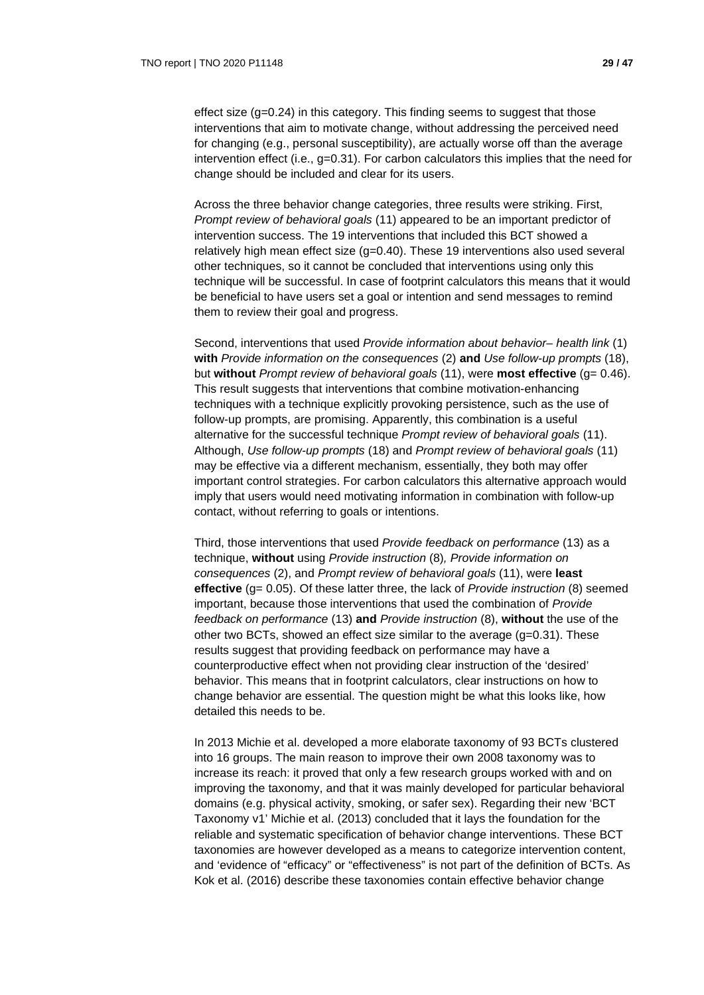effect size (g=0.24) in this category. This finding seems to suggest that those interventions that aim to motivate change, without addressing the perceived need for changing (e.g., personal susceptibility), are actually worse off than the average intervention effect (i.e.,  $g=0.31$ ). For carbon calculators this implies that the need for change should be included and clear for its users.

Across the three behavior change categories, three results were striking. First, *Prompt review of behavioral goals* (11) appeared to be an important predictor of intervention success. The 19 interventions that included this BCT showed a relatively high mean effect size (g=0.40). These 19 interventions also used several other techniques, so it cannot be concluded that interventions using only this technique will be successful. In case of footprint calculators this means that it would be beneficial to have users set a goal or intention and send messages to remind them to review their goal and progress.

Second, interventions that used *Provide information about behavior– health link* (1) **with** *Provide information on the consequences* (2) **and** *Use follow-up prompts* (18), but **without** *Prompt review of behavioral goals* (11), were **most effective** (g= 0.46). This result suggests that interventions that combine motivation-enhancing techniques with a technique explicitly provoking persistence, such as the use of follow-up prompts, are promising. Apparently, this combination is a useful alternative for the successful technique *Prompt review of behavioral goals* (11). Although, *Use follow-up prompts* (18) and *Prompt review of behavioral goals* (11) may be effective via a different mechanism, essentially, they both may offer important control strategies. For carbon calculators this alternative approach would imply that users would need motivating information in combination with follow-up contact, without referring to goals or intentions.

Third, those interventions that used *Provide feedback on performance* (13) as a technique, **without** using *Provide instruction* (8)*, Provide information on consequences* (2), and *Prompt review of behavioral goals* (11), were **least effective** (g= 0.05). Of these latter three, the lack of *Provide instruction* (8) seemed important, because those interventions that used the combination of *Provide feedback on performance* (13) **and** *Provide instruction* (8), **without** the use of the other two BCTs, showed an effect size similar to the average (g=0.31). These results suggest that providing feedback on performance may have a counterproductive effect when not providing clear instruction of the 'desired' behavior. This means that in footprint calculators, clear instructions on how to change behavior are essential. The question might be what this looks like, how detailed this needs to be.

In 2013 Michie et al. developed a more elaborate taxonomy of 93 BCTs clustered into 16 groups. The main reason to improve their own 2008 taxonomy was to increase its reach: it proved that only a few research groups worked with and on improving the taxonomy, and that it was mainly developed for particular behavioral domains (e.g. physical activity, smoking, or safer sex). Regarding their new 'BCT Taxonomy v1' Michie et al. (2013) concluded that it lays the foundation for the reliable and systematic specification of behavior change interventions. These BCT taxonomies are however developed as a means to categorize intervention content, and 'evidence of "efficacy" or "effectiveness" is not part of the definition of BCTs. As Kok et al. (2016) describe these taxonomies contain effective behavior change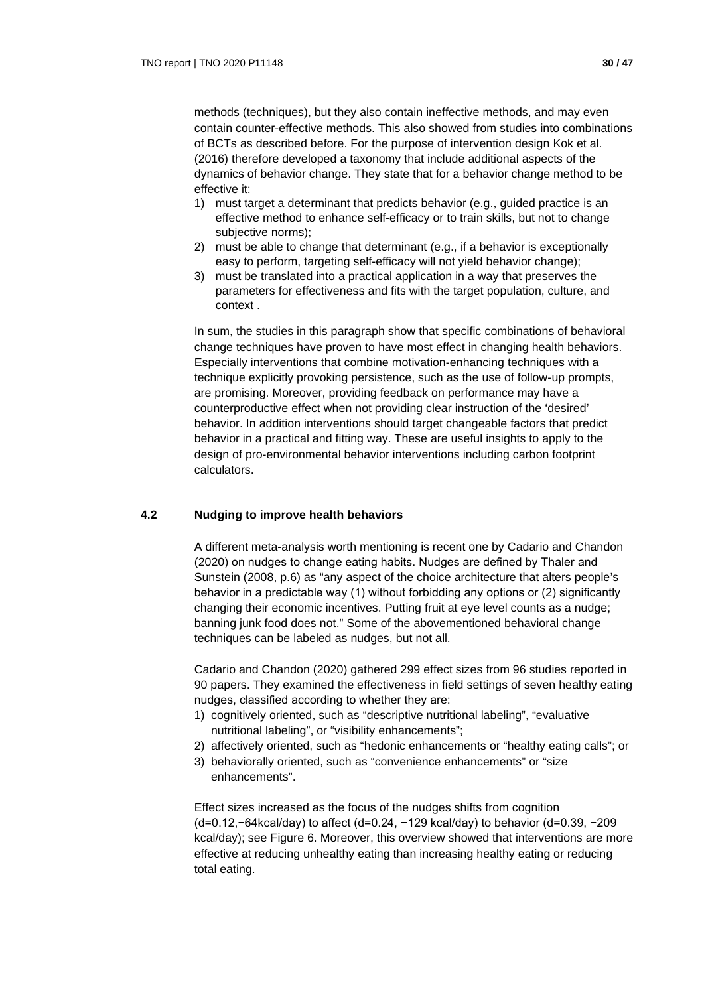methods (techniques), but they also contain ineffective methods, and may even contain counter-effective methods. This also showed from studies into combinations of BCTs as described before. For the purpose of intervention design Kok et al. (2016) therefore developed a taxonomy that include additional aspects of the dynamics of behavior change. They state that for a behavior change method to be effective it:

- 1) must target a determinant that predicts behavior (e.g., guided practice is an effective method to enhance self-efficacy or to train skills, but not to change subjective norms);
- 2) must be able to change that determinant (e.g., if a behavior is exceptionally easy to perform, targeting self-efficacy will not yield behavior change);
- 3) must be translated into a practical application in a way that preserves the parameters for effectiveness and fits with the target population, culture, and context .

In sum, the studies in this paragraph show that specific combinations of behavioral change techniques have proven to have most effect in changing health behaviors. Especially interventions that combine motivation-enhancing techniques with a technique explicitly provoking persistence, such as the use of follow-up prompts, are promising. Moreover, providing feedback on performance may have a counterproductive effect when not providing clear instruction of the 'desired' behavior. In addition interventions should target changeable factors that predict behavior in a practical and fitting way. These are useful insights to apply to the design of pro-environmental behavior interventions including carbon footprint calculators.

## **4.2 Nudging to improve health behaviors**

A different meta-analysis worth mentioning is recent one by Cadario and Chandon (2020) on nudges to change eating habits. Nudges are defined by Thaler and Sunstein (2008, p.6) as "any aspect of the choice architecture that alters people's behavior in a predictable way (1) without forbidding any options or (2) significantly changing their economic incentives. Putting fruit at eye level counts as a nudge; banning junk food does not." Some of the abovementioned behavioral change techniques can be labeled as nudges, but not all.

Cadario and Chandon (2020) gathered 299 effect sizes from 96 studies reported in 90 papers. They examined the effectiveness in field settings of seven healthy eating nudges, classified according to whether they are:

- 1) cognitively oriented, such as "descriptive nutritional labeling", "evaluative nutritional labeling", or "visibility enhancements";
- 2) affectively oriented, such as "hedonic enhancements or "healthy eating calls"; or
- 3) behaviorally oriented, such as "convenience enhancements" or "size enhancements".

Effect sizes increased as the focus of the nudges shifts from cognition (d=0.12,−64kcal/day) to affect (d=0.24, −129 kcal/day) to behavior (d=0.39, −209 kcal/day); see Figure 6. Moreover, this overview showed that interventions are more effective at reducing unhealthy eating than increasing healthy eating or reducing total eating.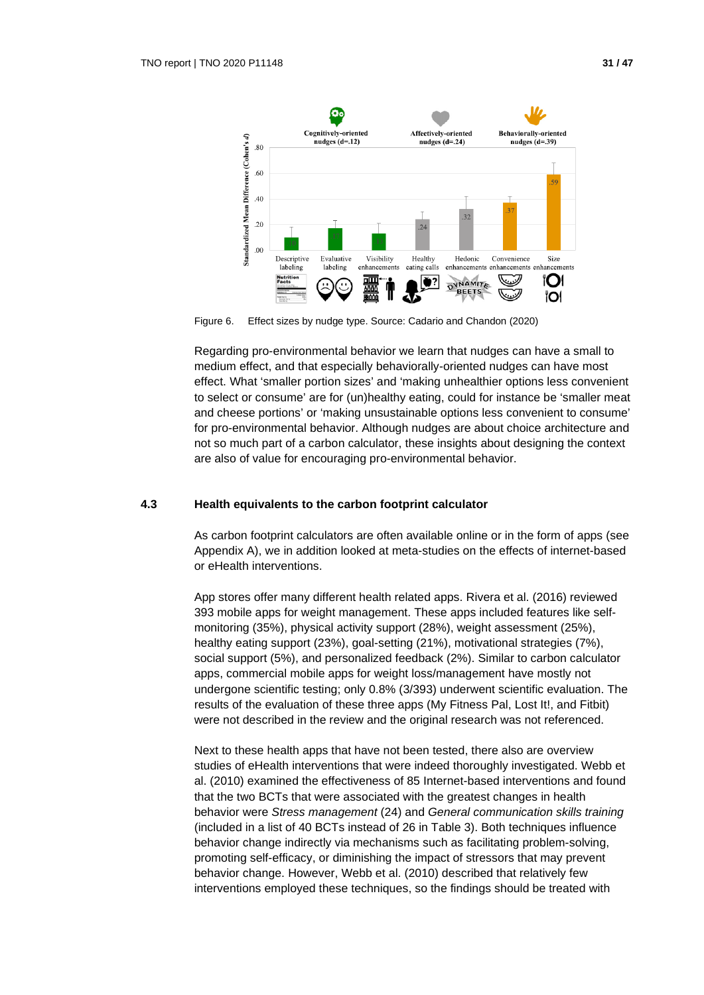

Figure 6. Effect sizes by nudge type. Source: Cadario and Chandon (2020)

Regarding pro-environmental behavior we learn that nudges can have a small to medium effect, and that especially behaviorally-oriented nudges can have most effect. What 'smaller portion sizes' and 'making unhealthier options less convenient to select or consume' are for (un)healthy eating, could for instance be 'smaller meat and cheese portions' or 'making unsustainable options less convenient to consume' for pro-environmental behavior. Although nudges are about choice architecture and not so much part of a carbon calculator, these insights about designing the context are also of value for encouraging pro-environmental behavior.

## **4.3 Health equivalents to the carbon footprint calculator**

As carbon footprint calculators are often available online or in the form of apps (see Appendix A), we in addition looked at meta-studies on the effects of internet-based or eHealth interventions.

App stores offer many different health related apps. Rivera et al. (2016) reviewed 393 mobile apps for weight management. These apps included features like selfmonitoring (35%), physical activity support (28%), weight assessment (25%), healthy eating support (23%), goal-setting (21%), motivational strategies (7%), social support (5%), and personalized feedback (2%). Similar to carbon calculator apps, commercial mobile apps for weight loss/management have mostly not undergone scientific testing; only 0.8% (3/393) underwent scientific evaluation. The results of the evaluation of these three apps (My Fitness Pal, Lost It!, and Fitbit) were not described in the review and the original research was not referenced.

Next to these health apps that have not been tested, there also are overview studies of eHealth interventions that were indeed thoroughly investigated. Webb et al. (2010) examined the effectiveness of 85 Internet-based interventions and found that the two BCTs that were associated with the greatest changes in health behavior were *Stress management* (24) and *General communication skills training* (included in a list of 40 BCTs instead of 26 in Table 3). Both techniques influence behavior change indirectly via mechanisms such as facilitating problem-solving, promoting self-efficacy, or diminishing the impact of stressors that may prevent behavior change. However, Webb et al. (2010) described that relatively few interventions employed these techniques, so the findings should be treated with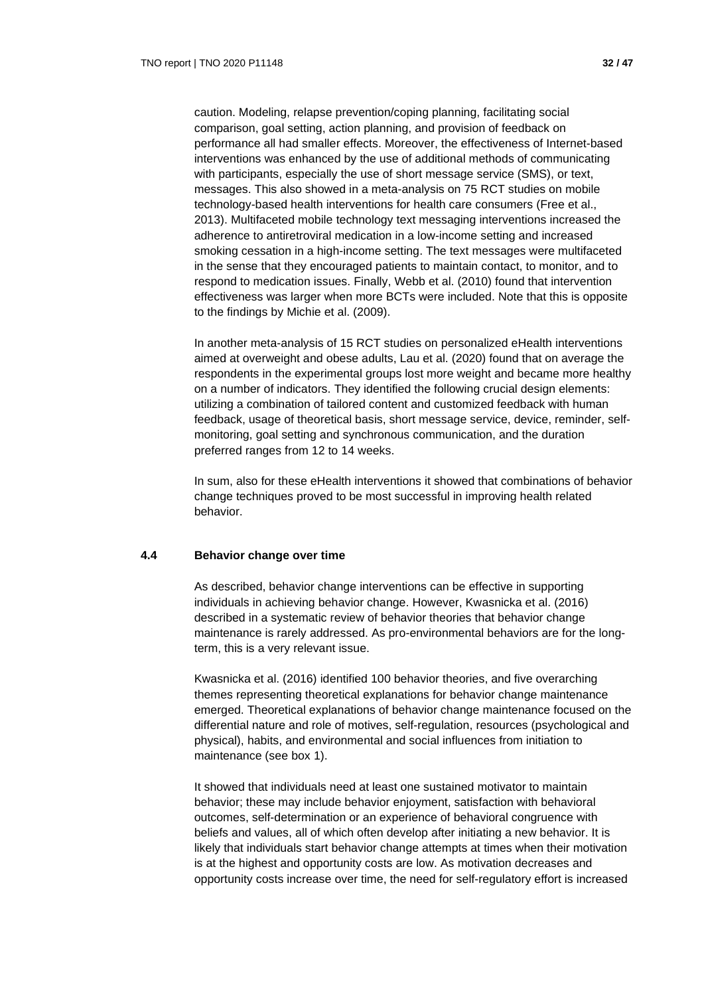caution. Modeling, relapse prevention/coping planning, facilitating social comparison, goal setting, action planning, and provision of feedback on performance all had smaller effects. Moreover, the effectiveness of Internet-based interventions was enhanced by the use of additional methods of communicating with participants, especially the use of short message service (SMS), or text, messages. This also showed in a meta-analysis on 75 RCT studies on mobile technology-based health interventions for health care consumers (Free et al., 2013). Multifaceted mobile technology text messaging interventions increased the adherence to antiretroviral medication in a low-income setting and increased smoking cessation in a high-income setting. The text messages were multifaceted in the sense that they encouraged patients to maintain contact, to monitor, and to respond to medication issues. Finally, Webb et al. (2010) found that intervention effectiveness was larger when more BCTs were included. Note that this is opposite to the findings by Michie et al. (2009).

In another meta-analysis of 15 RCT studies on personalized eHealth interventions aimed at overweight and obese adults, Lau et al. (2020) found that on average the respondents in the experimental groups lost more weight and became more healthy on a number of indicators. They identified the following crucial design elements: utilizing a combination of tailored content and customized feedback with human feedback, usage of theoretical basis, short message service, device, reminder, selfmonitoring, goal setting and synchronous communication, and the duration preferred ranges from 12 to 14 weeks.

In sum, also for these eHealth interventions it showed that combinations of behavior change techniques proved to be most successful in improving health related behavior.

#### **4.4 Behavior change over time**

As described, behavior change interventions can be effective in supporting individuals in achieving behavior change. However, Kwasnicka et al. (2016) described in a systematic review of behavior theories that behavior change maintenance is rarely addressed. As pro-environmental behaviors are for the longterm, this is a very relevant issue.

Kwasnicka et al. (2016) identified 100 behavior theories, and five overarching themes representing theoretical explanations for behavior change maintenance emerged. Theoretical explanations of behavior change maintenance focused on the differential nature and role of motives, self-regulation, resources (psychological and physical), habits, and environmental and social influences from initiation to maintenance (see box 1).

It showed that individuals need at least one sustained motivator to maintain behavior; these may include behavior enjoyment, satisfaction with behavioral outcomes, self-determination or an experience of behavioral congruence with beliefs and values, all of which often develop after initiating a new behavior. It is likely that individuals start behavior change attempts at times when their motivation is at the highest and opportunity costs are low. As motivation decreases and opportunity costs increase over time, the need for self-regulatory effort is increased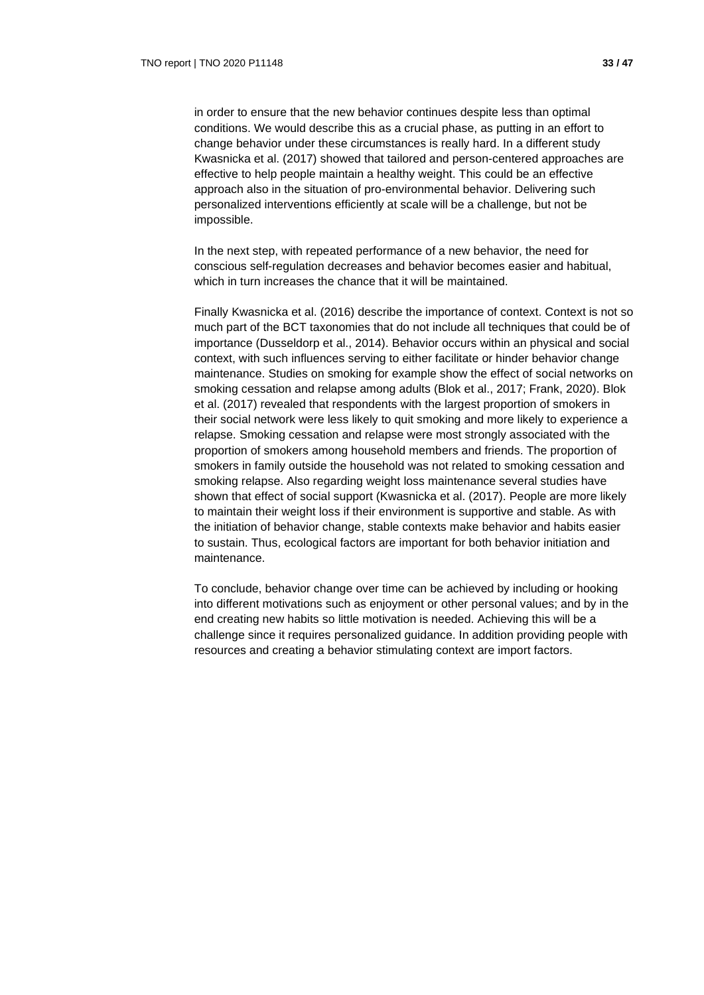in order to ensure that the new behavior continues despite less than optimal conditions. We would describe this as a crucial phase, as putting in an effort to change behavior under these circumstances is really hard. In a different study Kwasnicka et al. (2017) showed that tailored and person-centered approaches are effective to help people maintain a healthy weight. This could be an effective approach also in the situation of pro-environmental behavior. Delivering such personalized interventions efficiently at scale will be a challenge, but not be impossible.

In the next step, with repeated performance of a new behavior, the need for conscious self-regulation decreases and behavior becomes easier and habitual, which in turn increases the chance that it will be maintained.

Finally Kwasnicka et al. (2016) describe the importance of context. Context is not so much part of the BCT taxonomies that do not include all techniques that could be of importance (Dusseldorp et al., 2014). Behavior occurs within an physical and social context, with such influences serving to either facilitate or hinder behavior change maintenance. Studies on smoking for example show the effect of social networks on smoking cessation and relapse among adults (Blok et al., 2017; Frank, 2020). Blok et al. (2017) revealed that respondents with the largest proportion of smokers in their social network were less likely to quit smoking and more likely to experience a relapse. Smoking cessation and relapse were most strongly associated with the proportion of smokers among household members and friends. The proportion of smokers in family outside the household was not related to smoking cessation and smoking relapse. Also regarding weight loss maintenance several studies have shown that effect of social support (Kwasnicka et al. (2017). People are more likely to maintain their weight loss if their environment is supportive and stable. As with the initiation of behavior change, stable contexts make behavior and habits easier to sustain. Thus, ecological factors are important for both behavior initiation and maintenance.

To conclude, behavior change over time can be achieved by including or hooking into different motivations such as enjoyment or other personal values; and by in the end creating new habits so little motivation is needed. Achieving this will be a challenge since it requires personalized guidance. In addition providing people with resources and creating a behavior stimulating context are import factors.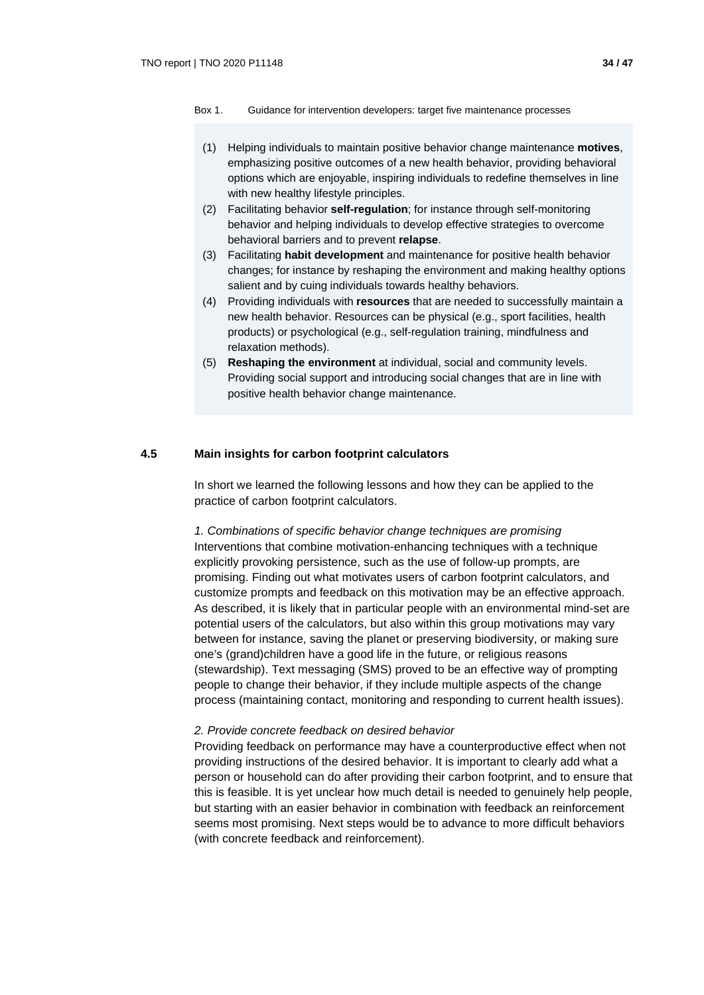- (1) Helping individuals to maintain positive behavior change maintenance **motives**, emphasizing positive outcomes of a new health behavior, providing behavioral options which are enjoyable, inspiring individuals to redefine themselves in line with new healthy lifestyle principles.
- (2) Facilitating behavior **self-regulation**; for instance through self-monitoring behavior and helping individuals to develop effective strategies to overcome behavioral barriers and to prevent **relapse**.
- (3) Facilitating **habit development** and maintenance for positive health behavior changes; for instance by reshaping the environment and making healthy options salient and by cuing individuals towards healthy behaviors.
- (4) Providing individuals with **resources** that are needed to successfully maintain a new health behavior. Resources can be physical (e.g., sport facilities, health products) or psychological (e.g., self-regulation training, mindfulness and relaxation methods).
- (5) **Reshaping the environment** at individual, social and community levels. Providing social support and introducing social changes that are in line with positive health behavior change maintenance.

#### **4.5 Main insights for carbon footprint calculators**

In short we learned the following lessons and how they can be applied to the practice of carbon footprint calculators.

*1. Combinations of specific behavior change techniques are promising* Interventions that combine motivation-enhancing techniques with a technique explicitly provoking persistence, such as the use of follow-up prompts, are promising. Finding out what motivates users of carbon footprint calculators, and customize prompts and feedback on this motivation may be an effective approach. As described, it is likely that in particular people with an environmental mind-set are potential users of the calculators, but also within this group motivations may vary between for instance, saving the planet or preserving biodiversity, or making sure one's (grand)children have a good life in the future, or religious reasons (stewardship). Text messaging (SMS) proved to be an effective way of prompting people to change their behavior, if they include multiple aspects of the change process (maintaining contact, monitoring and responding to current health issues).

#### *2. Provide concrete feedback on desired behavior*

Providing feedback on performance may have a counterproductive effect when not providing instructions of the desired behavior. It is important to clearly add what a person or household can do after providing their carbon footprint, and to ensure that this is feasible. It is yet unclear how much detail is needed to genuinely help people, but starting with an easier behavior in combination with feedback an reinforcement seems most promising. Next steps would be to advance to more difficult behaviors (with concrete feedback and reinforcement).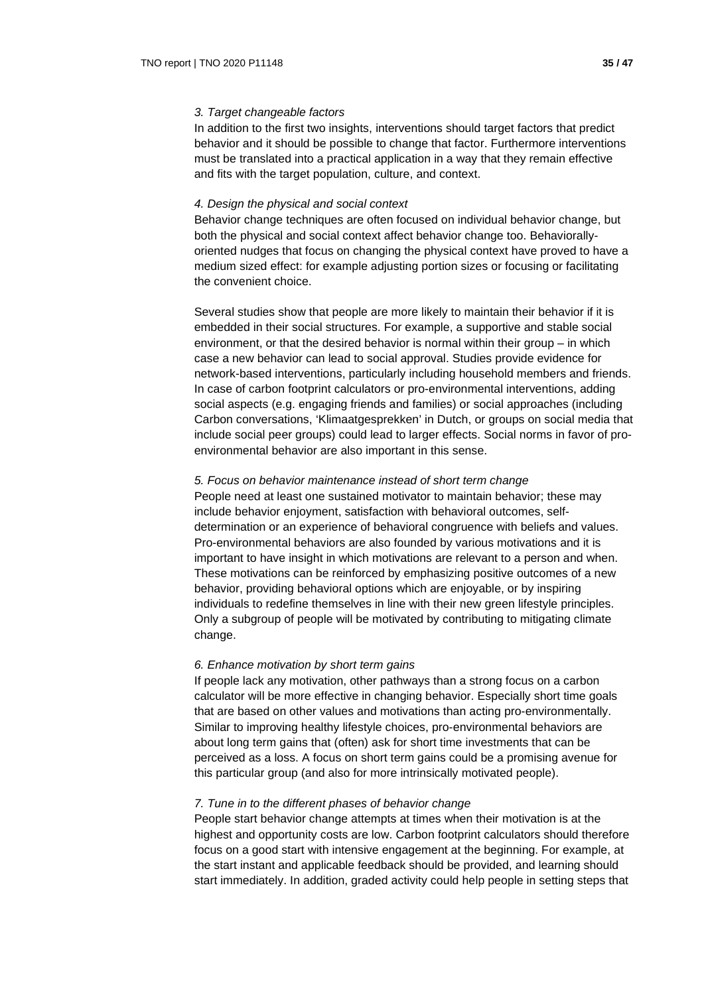In addition to the first two insights, interventions should target factors that predict behavior and it should be possible to change that factor. Furthermore interventions must be translated into a practical application in a way that they remain effective and fits with the target population, culture, and context.

#### *4. Design the physical and social context*

Behavior change techniques are often focused on individual behavior change, but both the physical and social context affect behavior change too. Behaviorallyoriented nudges that focus on changing the physical context have proved to have a medium sized effect: for example adjusting portion sizes or focusing or facilitating the convenient choice.

Several studies show that people are more likely to maintain their behavior if it is embedded in their social structures. For example, a supportive and stable social environment, or that the desired behavior is normal within their group – in which case a new behavior can lead to social approval. Studies provide evidence for network-based interventions, particularly including household members and friends. In case of carbon footprint calculators or pro-environmental interventions, adding social aspects (e.g. engaging friends and families) or social approaches (including Carbon conversations, 'Klimaatgesprekken' in Dutch, or groups on social media that include social peer groups) could lead to larger effects. Social norms in favor of proenvironmental behavior are also important in this sense.

#### *5. Focus on behavior maintenance instead of short term change*

People need at least one sustained motivator to maintain behavior; these may include behavior enjoyment, satisfaction with behavioral outcomes, selfdetermination or an experience of behavioral congruence with beliefs and values. Pro-environmental behaviors are also founded by various motivations and it is important to have insight in which motivations are relevant to a person and when. These motivations can be reinforced by emphasizing positive outcomes of a new behavior, providing behavioral options which are enjoyable, or by inspiring individuals to redefine themselves in line with their new green lifestyle principles. Only a subgroup of people will be motivated by contributing to mitigating climate change.

#### *6. Enhance motivation by short term gains*

If people lack any motivation, other pathways than a strong focus on a carbon calculator will be more effective in changing behavior. Especially short time goals that are based on other values and motivations than acting pro-environmentally. Similar to improving healthy lifestyle choices, pro-environmental behaviors are about long term gains that (often) ask for short time investments that can be perceived as a loss. A focus on short term gains could be a promising avenue for this particular group (and also for more intrinsically motivated people).

#### *7. Tune in to the different phases of behavior change*

People start behavior change attempts at times when their motivation is at the highest and opportunity costs are low. Carbon footprint calculators should therefore focus on a good start with intensive engagement at the beginning. For example, at the start instant and applicable feedback should be provided, and learning should start immediately. In addition, graded activity could help people in setting steps that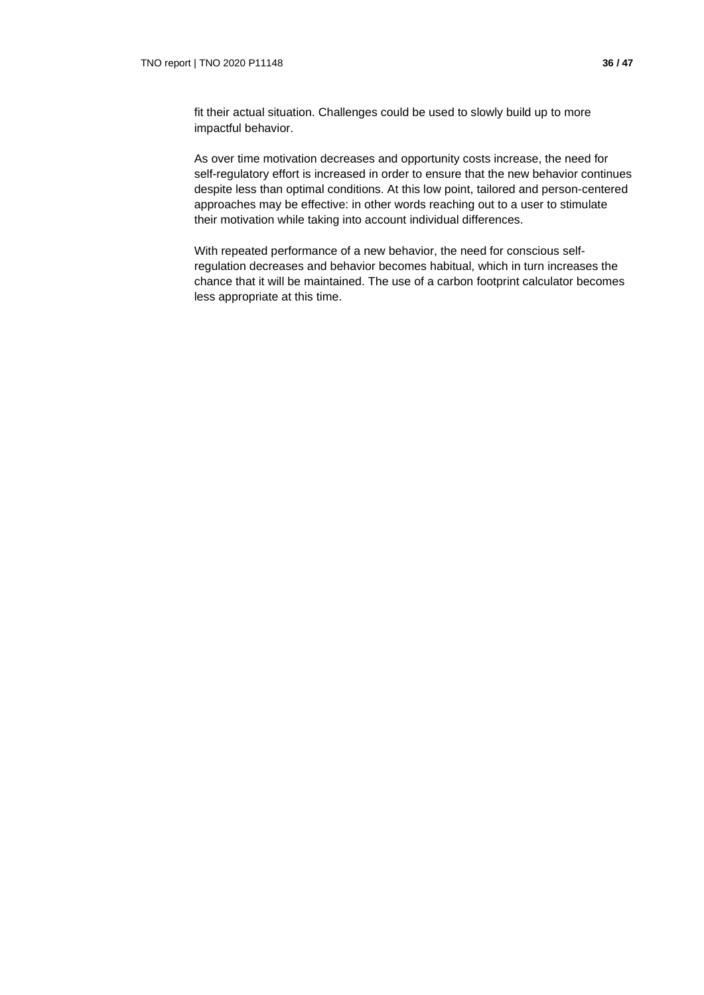fit their actual situation. Challenges could be used to slowly build up to more impactful behavior.

As over time motivation decreases and opportunity costs increase, the need for self-regulatory effort is increased in order to ensure that the new behavior continues despite less than optimal conditions. At this low point, tailored and person-centered approaches may be effective: in other words reaching out to a user to stimulate their motivation while taking into account individual differences.

With repeated performance of a new behavior, the need for conscious selfregulation decreases and behavior becomes habitual, which in turn increases the chance that it will be maintained. The use of a carbon footprint calculator becomes less appropriate at this time.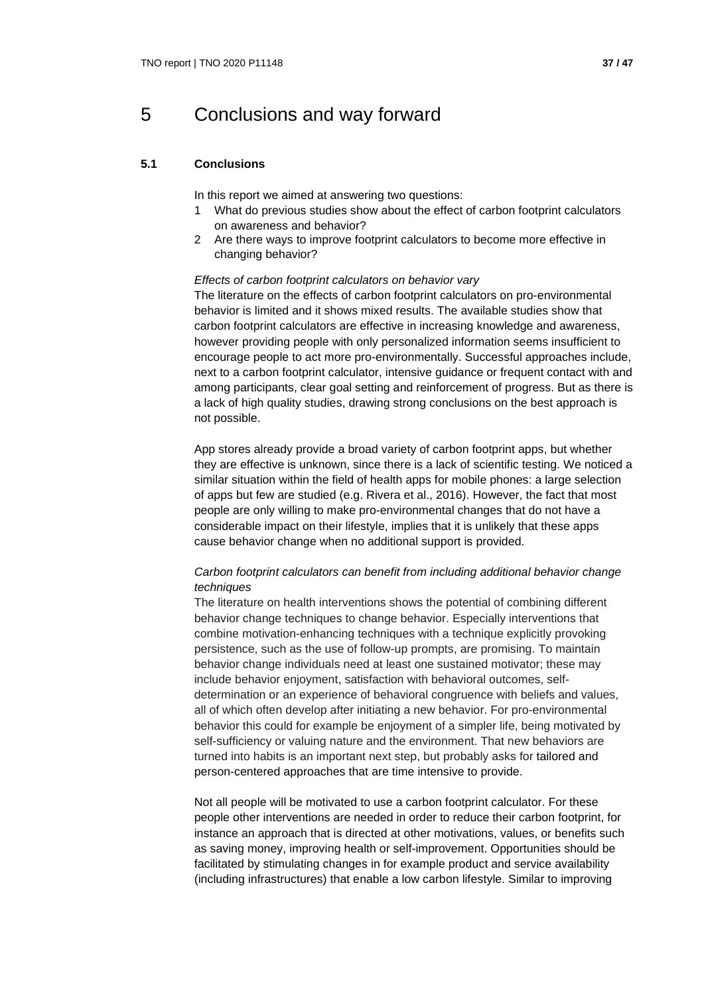## 5 Conclusions and way forward

## **5.1 Conclusions**

In this report we aimed at answering two questions:

- 1 What do previous studies show about the effect of carbon footprint calculators on awareness and behavior?
- 2 Are there ways to improve footprint calculators to become more effective in changing behavior?

#### *Effects of carbon footprint calculators on behavior vary*

The literature on the effects of carbon footprint calculators on pro-environmental behavior is limited and it shows mixed results. The available studies show that carbon footprint calculators are effective in increasing knowledge and awareness, however providing people with only personalized information seems insufficient to encourage people to act more pro-environmentally. Successful approaches include, next to a carbon footprint calculator, intensive guidance or frequent contact with and among participants, clear goal setting and reinforcement of progress. But as there is a lack of high quality studies, drawing strong conclusions on the best approach is not possible.

App stores already provide a broad variety of carbon footprint apps, but whether they are effective is unknown, since there is a lack of scientific testing. We noticed a similar situation within the field of health apps for mobile phones: a large selection of apps but few are studied (e.g. Rivera et al., 2016). However, the fact that most people are only willing to make pro-environmental changes that do not have a considerable impact on their lifestyle, implies that it is unlikely that these apps cause behavior change when no additional support is provided.

## *Carbon footprint calculators can benefit from including additional behavior change techniques*

The literature on health interventions shows the potential of combining different behavior change techniques to change behavior. Especially interventions that combine motivation-enhancing techniques with a technique explicitly provoking persistence, such as the use of follow-up prompts, are promising. To maintain behavior change individuals need at least one sustained motivator; these may include behavior enjoyment, satisfaction with behavioral outcomes, selfdetermination or an experience of behavioral congruence with beliefs and values, all of which often develop after initiating a new behavior. For pro-environmental behavior this could for example be enjoyment of a simpler life, being motivated by self-sufficiency or valuing nature and the environment. That new behaviors are turned into habits is an important next step, but probably asks for tailored and person-centered approaches that are time intensive to provide.

Not all people will be motivated to use a carbon footprint calculator. For these people other interventions are needed in order to reduce their carbon footprint, for instance an approach that is directed at other motivations, values, or benefits such as saving money, improving health or self-improvement. Opportunities should be facilitated by stimulating changes in for example product and service availability (including infrastructures) that enable a low carbon lifestyle. Similar to improving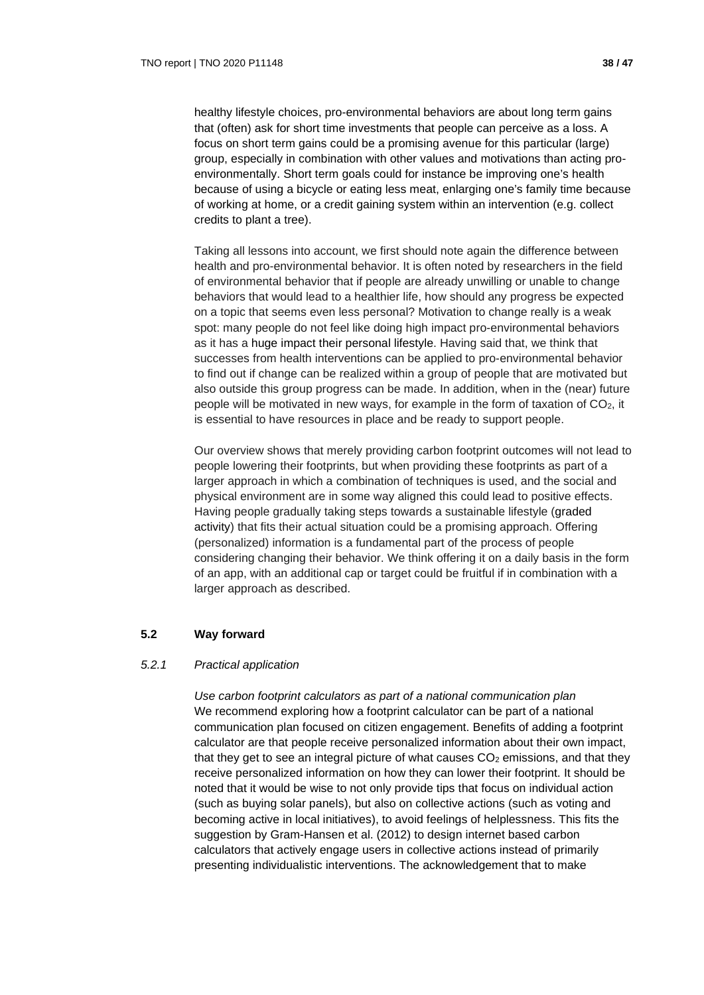healthy lifestyle choices, pro-environmental behaviors are about long term gains that (often) ask for short time investments that people can perceive as a loss. A focus on short term gains could be a promising avenue for this particular (large) group, especially in combination with other values and motivations than acting proenvironmentally. Short term goals could for instance be improving one's health because of using a bicycle or eating less meat, enlarging one's family time because of working at home, or a credit gaining system within an intervention (e.g. collect credits to plant a tree).

Taking all lessons into account, we first should note again the difference between health and pro-environmental behavior. It is often noted by researchers in the field of environmental behavior that if people are already unwilling or unable to change behaviors that would lead to a healthier life, how should any progress be expected on a topic that seems even less personal? Motivation to change really is a weak spot: many people do not feel like doing high impact pro-environmental behaviors as it has a huge impact their personal lifestyle. Having said that, we think that successes from health interventions can be applied to pro-environmental behavior to find out if change can be realized within a group of people that are motivated but also outside this group progress can be made. In addition, when in the (near) future people will be motivated in new ways, for example in the form of taxation of  $CO<sub>2</sub>$ , it is essential to have resources in place and be ready to support people.

Our overview shows that merely providing carbon footprint outcomes will not lead to people lowering their footprints, but when providing these footprints as part of a larger approach in which a combination of techniques is used, and the social and physical environment are in some way aligned this could lead to positive effects. Having people gradually taking steps towards a sustainable lifestyle (graded activity) that fits their actual situation could be a promising approach. Offering (personalized) information is a fundamental part of the process of people considering changing their behavior. We think offering it on a daily basis in the form of an app, with an additional cap or target could be fruitful if in combination with a larger approach as described.

## **5.2 Way forward**

## *5.2.1 Practical application*

*Use carbon footprint calculators as part of a national communication plan* We recommend exploring how a footprint calculator can be part of a national communication plan focused on citizen engagement. Benefits of adding a footprint calculator are that people receive personalized information about their own impact, that they get to see an integral picture of what causes  $CO<sub>2</sub>$  emissions, and that they receive personalized information on how they can lower their footprint. It should be noted that it would be wise to not only provide tips that focus on individual action (such as buying solar panels), but also on collective actions (such as voting and becoming active in local initiatives), to avoid feelings of helplessness. This fits the suggestion by Gram-Hansen et al. (2012) to design internet based carbon calculators that actively engage users in collective actions instead of primarily presenting individualistic interventions. The acknowledgement that to make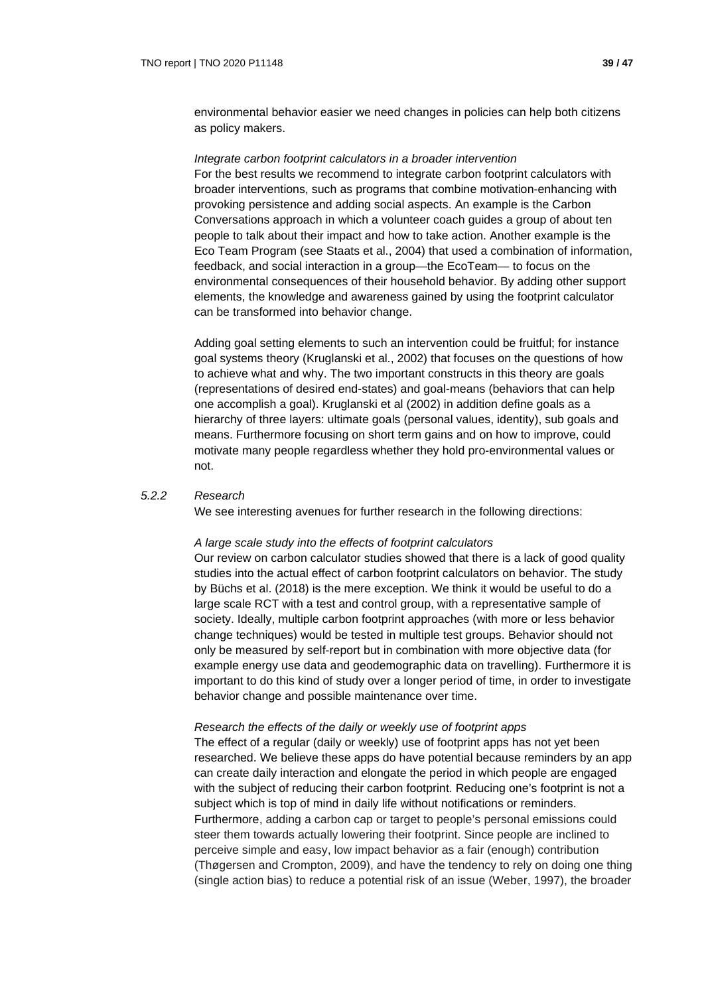environmental behavior easier we need changes in policies can help both citizens as policy makers.

#### *Integrate carbon footprint calculators in a broader intervention*

For the best results we recommend to integrate carbon footprint calculators with broader interventions, such as programs that combine motivation-enhancing with provoking persistence and adding social aspects. An example is the Carbon Conversations approach in which a volunteer coach guides a group of about ten people to talk about their impact and how to take action. Another example is the Eco Team Program (see Staats et al., 2004) that used a combination of information, feedback, and social interaction in a group—the EcoTeam— to focus on the environmental consequences of their household behavior. By adding other support elements, the knowledge and awareness gained by using the footprint calculator can be transformed into behavior change.

Adding goal setting elements to such an intervention could be fruitful; for instance goal systems theory (Kruglanski et al., 2002) that focuses on the questions of how to achieve what and why. The two important constructs in this theory are goals (representations of desired end-states) and goal-means (behaviors that can help one accomplish a goal). Kruglanski et al (2002) in addition define goals as a hierarchy of three layers: ultimate goals (personal values, identity), sub goals and means. Furthermore focusing on short term gains and on how to improve, could motivate many people regardless whether they hold pro-environmental values or not.

### *5.2.2 Research*

We see interesting avenues for further research in the following directions:

#### *A large scale study into the effects of footprint calculators*

Our review on carbon calculator studies showed that there is a lack of good quality studies into the actual effect of carbon footprint calculators on behavior. The study by Büchs et al. (2018) is the mere exception. We think it would be useful to do a large scale RCT with a test and control group, with a representative sample of society. Ideally, multiple carbon footprint approaches (with more or less behavior change techniques) would be tested in multiple test groups. Behavior should not only be measured by self-report but in combination with more objective data (for example energy use data and geodemographic data on travelling). Furthermore it is important to do this kind of study over a longer period of time, in order to investigate behavior change and possible maintenance over time.

#### *Research the effects of the daily or weekly use of footprint apps*

The effect of a regular (daily or weekly) use of footprint apps has not yet been researched. We believe these apps do have potential because reminders by an app can create daily interaction and elongate the period in which people are engaged with the subject of reducing their carbon footprint. Reducing one's footprint is not a subject which is top of mind in daily life without notifications or reminders. Furthermore, adding a carbon cap or target to people's personal emissions could steer them towards actually lowering their footprint. Since people are inclined to perceive simple and easy, low impact behavior as a fair (enough) contribution (Thøgersen and Crompton, 2009), and have the tendency to rely on doing one thing (single action bias) to reduce a potential risk of an issue (Weber, 1997), the broader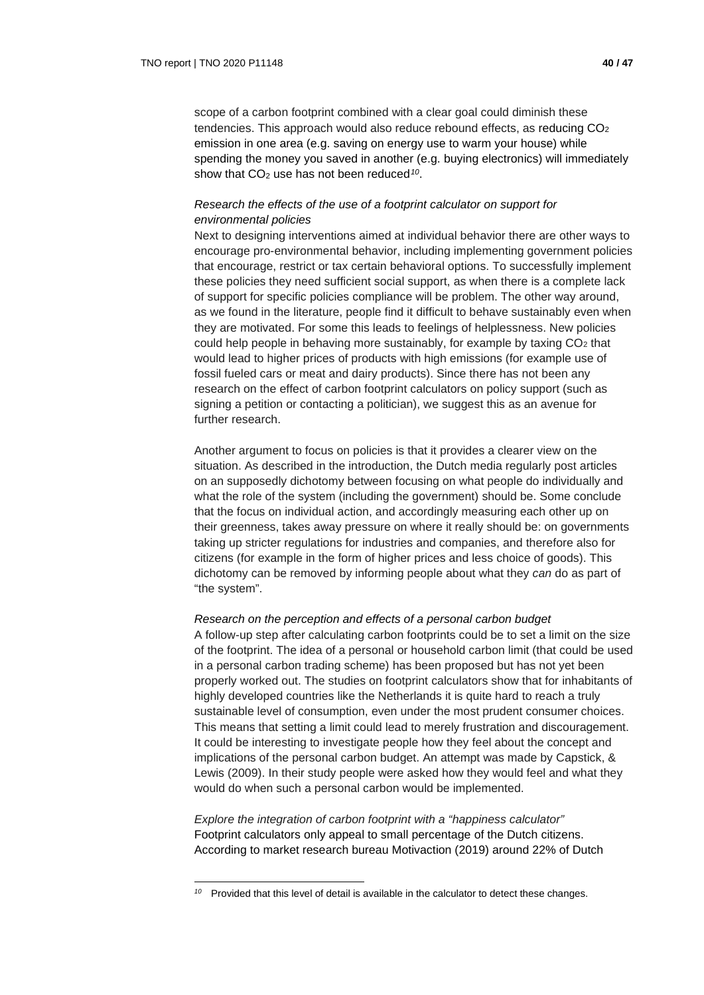scope of a carbon footprint combined with a clear goal could diminish these tendencies. This approach would also reduce rebound effects, as reducing CO2 emission in one area (e.g. saving on energy use to warm your house) while spending the money you saved in another (e.g. buying electronics) will immediately show that CO2 use has not been reduced*[10](#page-39-0)*.

## *Research the effects of the use of a footprint calculator on support for environmental policies*

Next to designing interventions aimed at individual behavior there are other ways to encourage pro-environmental behavior, including implementing government policies that encourage, restrict or tax certain behavioral options. To successfully implement these policies they need sufficient social support, as when there is a complete lack of support for specific policies compliance will be problem. The other way around, as we found in the literature, people find it difficult to behave sustainably even when they are motivated. For some this leads to feelings of helplessness. New policies could help people in behaving more sustainably, for example by taxing  $CO<sub>2</sub>$  that would lead to higher prices of products with high emissions (for example use of fossil fueled cars or meat and dairy products). Since there has not been any research on the effect of carbon footprint calculators on policy support (such as signing a petition or contacting a politician), we suggest this as an avenue for further research.

Another argument to focus on policies is that it provides a clearer view on the situation. As described in the introduction, the Dutch media regularly post articles on an supposedly dichotomy between focusing on what people do individually and what the role of the system (including the government) should be. Some conclude that the focus on individual action, and accordingly measuring each other up on their greenness, takes away pressure on where it really should be: on governments taking up stricter regulations for industries and companies, and therefore also for citizens (for example in the form of higher prices and less choice of goods). This dichotomy can be removed by informing people about what they *can* do as part of "the system".

#### *Research on the perception and effects of a personal carbon budget*

A follow-up step after calculating carbon footprints could be to set a limit on the size of the footprint. The idea of a personal or household carbon limit (that could be used in a personal carbon trading scheme) has been proposed but has not yet been properly worked out. The studies on footprint calculators show that for inhabitants of highly developed countries like the Netherlands it is quite hard to reach a truly sustainable level of consumption, even under the most prudent consumer choices. This means that setting a limit could lead to merely frustration and discouragement. It could be interesting to investigate people how they feel about the concept and implications of the personal carbon budget. An attempt was made by Capstick, & Lewis (2009). In their study people were asked how they would feel and what they would do when such a personal carbon would be implemented.

*Explore the integration of carbon footprint with a "happiness calculator"* Footprint calculators only appeal to small percentage of the Dutch citizens. According to market research bureau Motivaction (2019) around 22% of Dutch

<span id="page-39-0"></span>*<sup>10</sup>* Provided that this level of detail is available in the calculator to detect these changes.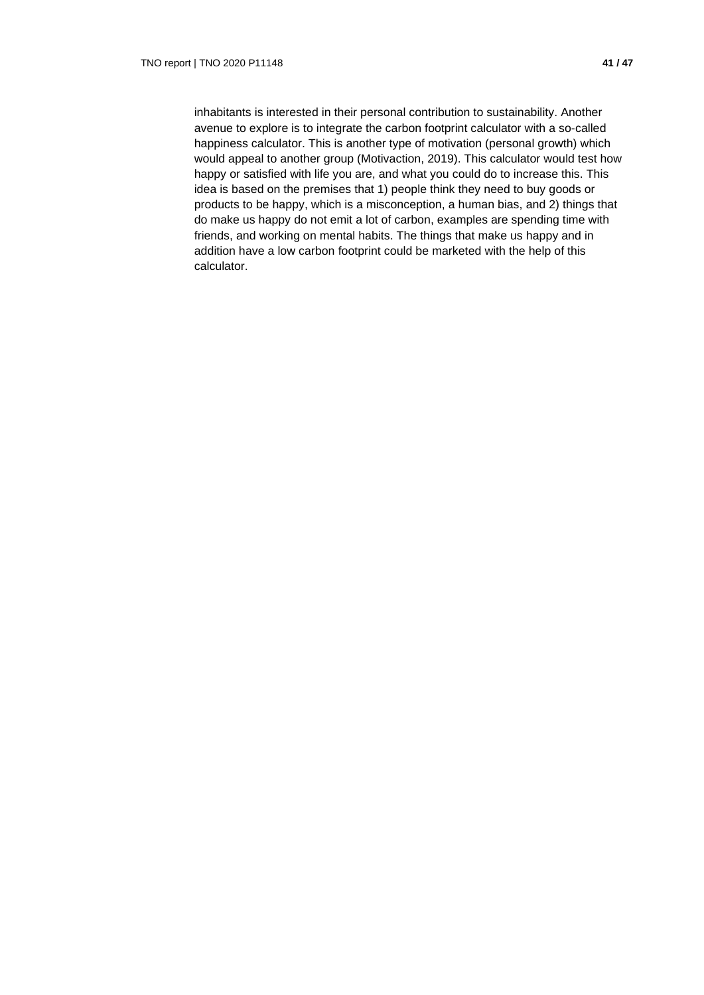inhabitants is interested in their personal contribution to sustainability. Another avenue to explore is to integrate the carbon footprint calculator with a so-called happiness calculator. This is another type of motivation (personal growth) which would appeal to another group (Motivaction, 2019). This calculator would test how happy or satisfied with life you are, and what you could do to increase this. This idea is based on the premises that 1) people think they need to buy goods or products to be happy, which is a misconception, a human bias, and 2) things that do make us happy do not emit a lot of carbon, examples are spending time with friends, and working on mental habits. The things that make us happy and in addition have a low carbon footprint could be marketed with the help of this calculator.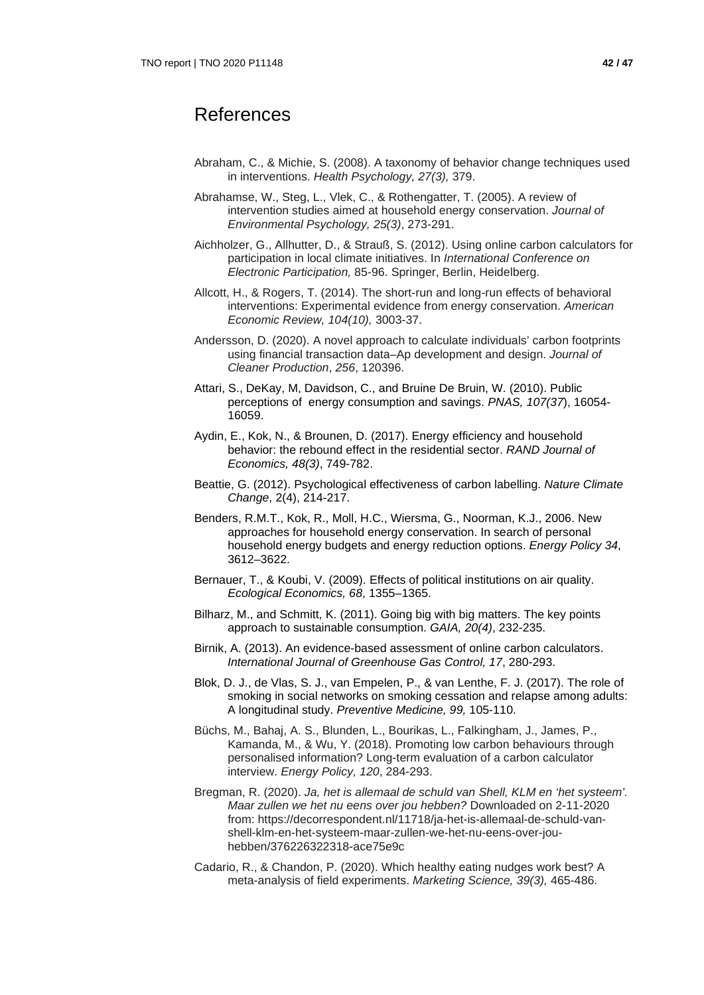- Abraham, C., & Michie, S. (2008). A taxonomy of behavior change techniques used in interventions. *Health Psychology, 27(3),* 379.
- Abrahamse, W., Steg, L., Vlek, C., & Rothengatter, T. (2005). A review of intervention studies aimed at household energy conservation. *Journal of Environmental Psychology, 25(3)*, 273-291.
- Aichholzer, G., Allhutter, D., & Strauß, S. (2012). Using online carbon calculators for participation in local climate initiatives. In *International Conference on Electronic Participation,* 85-96. Springer, Berlin, Heidelberg.
- Allcott, H., & Rogers, T. (2014). The short-run and long-run effects of behavioral interventions: Experimental evidence from energy conservation. *American Economic Review, 104(10),* 3003-37.
- Andersson, D. (2020). A novel approach to calculate individuals' carbon footprints using financial transaction data–Ap development and design. *Journal of Cleaner Production*, *256*, 120396.
- Attari, S., DeKay, M, Davidson, C., and Bruine De Bruin, W. (2010). Public perceptions of energy consumption and savings. *PNAS, 107(37*), 16054- 16059.
- Aydin, E., Kok, N., & Brounen, D. (2017). Energy efficiency and household behavior: the rebound effect in the residential sector. *RAND Journal of Economics, 48(3)*, 749-782.
- Beattie, G. (2012). Psychological effectiveness of carbon labelling. *Nature Climate Change*, 2(4), 214-217.
- Benders, R.M.T., Kok, R., Moll, H.C., Wiersma, G., Noorman, K.J., 2006. New approaches for household energy conservation. In search of personal household energy budgets and energy reduction options. *Energy Policy 34*, 3612–3622.
- Bernauer, T., & Koubi, V. (2009). Effects of political institutions on air quality. *Ecological Economics, 68*, 1355–1365.
- Bilharz, M., and Schmitt, K. (2011). Going big with big matters. The key points approach to sustainable consumption. *GAIA, 20(4)*, 232-235.
- Birnik, A. (2013). An evidence-based assessment of online carbon calculators. *International Journal of Greenhouse Gas Control, 17*, 280-293.
- Blok, D. J., de Vlas, S. J., van Empelen, P., & van Lenthe, F. J. (2017). The role of smoking in social networks on smoking cessation and relapse among adults: A longitudinal study. *Preventive Medicine, 99,* 105-110.
- Büchs, M., Bahaj, A. S., Blunden, L., Bourikas, L., Falkingham, J., James, P., Kamanda, M., & Wu, Y. (2018). Promoting low carbon behaviours through personalised information? Long-term evaluation of a carbon calculator interview. *Energy Policy, 120*, 284-293.
- Bregman, R. (2020). *Ja, het is allemaal de schuld van Shell, KLM en 'het systeem'. Maar zullen we het nu eens over jou hebben?* Downloaded on 2-11-2020 from: https://decorrespondent.nl/11718/ja-het-is-allemaal-de-schuld-vanshell-klm-en-het-systeem-maar-zullen-we-het-nu-eens-over-jouhebben/376226322318-ace75e9c
- Cadario, R., & Chandon, P. (2020). Which healthy eating nudges work best? A meta-analysis of field experiments. *Marketing Science, 39(3),* 465-486.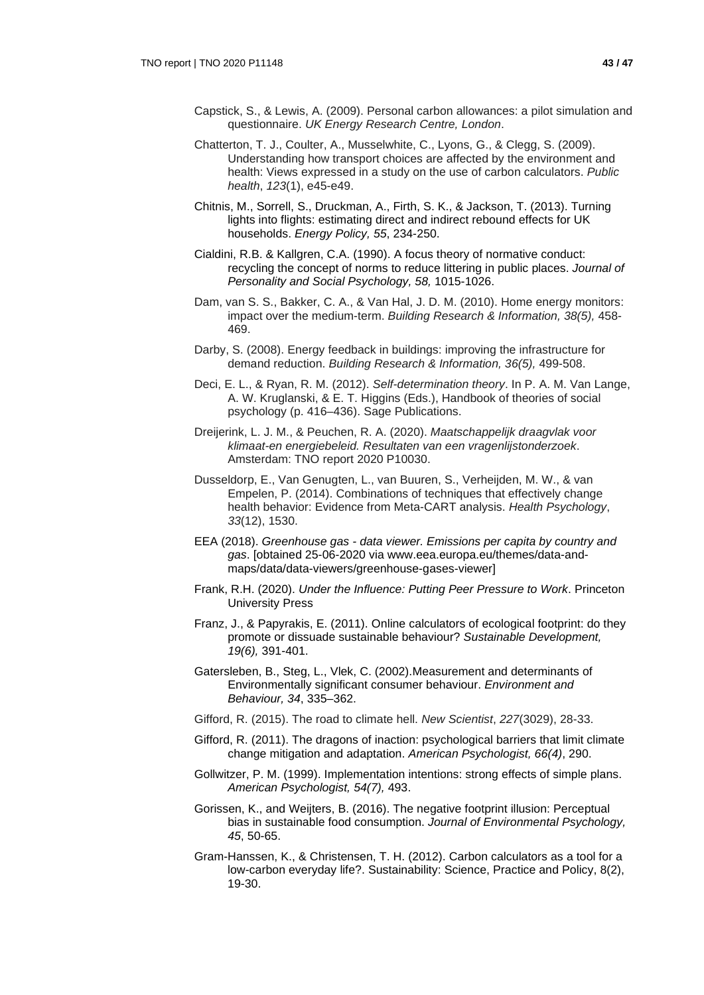- Capstick, S., & Lewis, A. (2009). Personal carbon allowances: a pilot simulation and questionnaire. *UK Energy Research Centre, London*.
- Chatterton, T. J., Coulter, A., Musselwhite, C., Lyons, G., & Clegg, S. (2009). Understanding how transport choices are affected by the environment and health: Views expressed in a study on the use of carbon calculators. *Public health*, *123*(1), e45-e49.
- Chitnis, M., Sorrell, S., Druckman, A., Firth, S. K., & Jackson, T. (2013). Turning lights into flights: estimating direct and indirect rebound effects for UK households. *Energy Policy, 55*, 234-250.
- Cialdini, R.B. & Kallgren, C.A. (1990). A focus theory of normative conduct: recycling the concept of norms to reduce littering in public places. *Journal of Personality and Social Psychology, 58,* 1015-1026.
- Dam, van S. S., Bakker, C. A., & Van Hal, J. D. M. (2010). Home energy monitors: impact over the medium-term. *Building Research & Information, 38(5),* 458- 469.
- Darby, S. (2008). Energy feedback in buildings: improving the infrastructure for demand reduction. *Building Research & Information, 36(5),* 499-508.
- Deci, E. L., & Ryan, R. M. (2012). *Self-determination theory*. In P. A. M. Van Lange, A. W. Kruglanski, & E. T. Higgins (Eds.), Handbook of theories of social psychology (p. 416–436). Sage Publications.
- Dreijerink, L. J. M., & Peuchen, R. A. (2020). *Maatschappelijk draagvlak voor klimaat-en energiebeleid. Resultaten van een vragenlijstonderzoek*. Amsterdam: TNO report 2020 P10030.
- Dusseldorp, E., Van Genugten, L., van Buuren, S., Verheijden, M. W., & van Empelen, P. (2014). Combinations of techniques that effectively change health behavior: Evidence from Meta-CART analysis. *Health Psychology*, *33*(12), 1530.
- EEA (2018). *Greenhouse gas - data viewer. Emissions per capita by country and gas*. [obtained 25-06-2020 via www.eea.europa.eu/themes/data-andmaps/data/data-viewers/greenhouse-gases-viewer]
- Frank, R.H. (2020). *Under the Influence: Putting Peer Pressure to Work*. Princeton University Press
- Franz, J., & Papyrakis, E. (2011). Online calculators of ecological footprint: do they promote or dissuade sustainable behaviour? *Sustainable Development, 19(6),* 391-401.
- Gatersleben, B., Steg, L., Vlek, C. (2002).Measurement and determinants of Environmentally significant consumer behaviour. *Environment and Behaviour, 34*, 335–362.
- Gifford, R. (2015). The road to climate hell. *New Scientist*, *227*(3029), 28-33.
- Gifford, R. (2011). The dragons of inaction: psychological barriers that limit climate change mitigation and adaptation. *American Psychologist, 66(4)*, 290.
- Gollwitzer, P. M. (1999). Implementation intentions: strong effects of simple plans. *American Psychologist, 54(7),* 493.
- Gorissen, K., and Weijters, B. (2016). The negative footprint illusion: Perceptual bias in sustainable food consumption. *Journal of Environmental Psychology, 45*, 50-65.
- Gram-Hanssen, K., & Christensen, T. H. (2012). Carbon calculators as a tool for a low-carbon everyday life?. Sustainability: Science, Practice and Policy, 8(2), 19-30.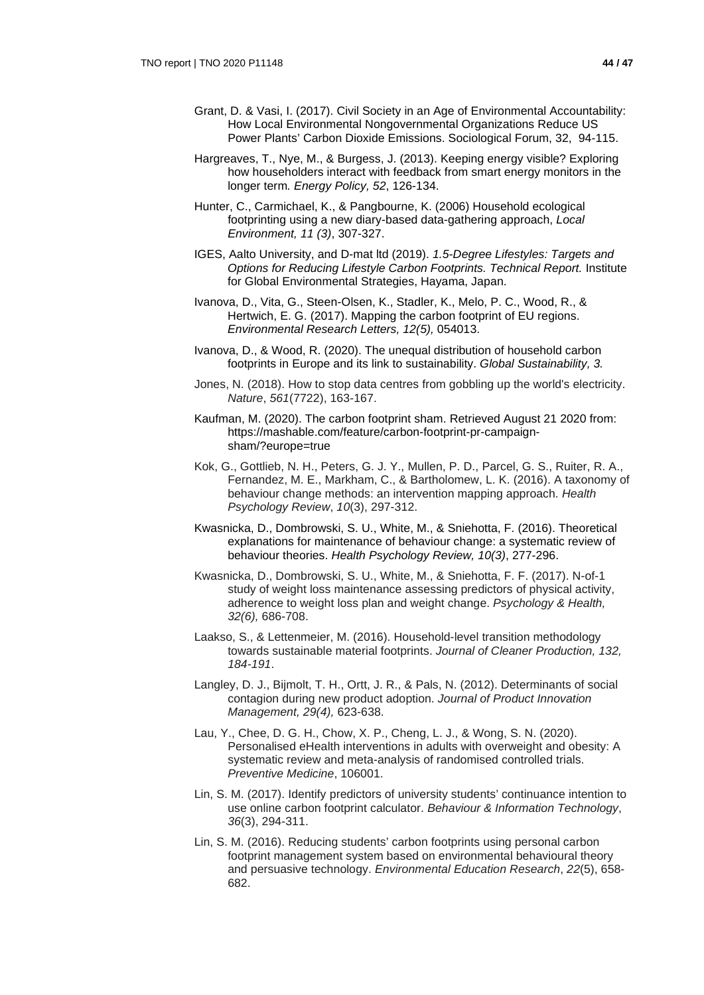- Grant, D. & Vasi, I. (2017). Civil Society in an Age of Environmental Accountability: How Local Environmental Nongovernmental Organizations Reduce US Power Plants' Carbon Dioxide Emissions. Sociological Forum, 32, 94-115.
- Hargreaves, T., Nye, M., & Burgess, J. (2013). Keeping energy visible? Exploring how householders interact with feedback from smart energy monitors in the longer term*. Energy Policy, 52*, 126-134.
- Hunter, C., Carmichael, K., & Pangbourne, K. (2006) Household ecological footprinting using a new diary-based data-gathering approach, *Local Environment, 11 (3)*, 307-327.
- IGES, Aalto University, and D-mat ltd (2019). *1.5-Degree Lifestyles: Targets and Options for Reducing Lifestyle Carbon Footprints. Technical Report.* Institute for Global Environmental Strategies, Hayama, Japan.
- Ivanova, D., Vita, G., Steen-Olsen, K., Stadler, K., Melo, P. C., Wood, R., & Hertwich, E. G. (2017). Mapping the carbon footprint of EU regions. *Environmental Research Letters, 12(5),* 054013.
- Ivanova, D., & Wood, R. (2020). The unequal distribution of household carbon footprints in Europe and its link to sustainability. *Global Sustainability, 3.*
- Jones, N. (2018). How to stop data centres from gobbling up the world's electricity. *Nature*, *561*(7722), 163-167.
- Kaufman, M. (2020). The carbon footprint sham. Retrieved August 21 2020 from: https://mashable.com/feature/carbon-footprint-pr-campaignsham/?europe=true
- Kok, G., Gottlieb, N. H., Peters, G. J. Y., Mullen, P. D., Parcel, G. S., Ruiter, R. A., Fernandez, M. E., Markham, C., & Bartholomew, L. K. (2016). A taxonomy of behaviour change methods: an intervention mapping approach. *Health Psychology Review*, *10*(3), 297-312.
- Kwasnicka, D., Dombrowski, S. U., White, M., & Sniehotta, F. (2016). Theoretical explanations for maintenance of behaviour change: a systematic review of behaviour theories. *Health Psychology Review, 10(3)*, 277-296.
- Kwasnicka, D., Dombrowski, S. U., White, M., & Sniehotta, F. F. (2017). N-of-1 study of weight loss maintenance assessing predictors of physical activity, adherence to weight loss plan and weight change. *Psychology & Health, 32(6),* 686-708.
- Laakso, S., & Lettenmeier, M. (2016). Household-level transition methodology towards sustainable material footprints. *Journal of Cleaner Production, 132, 184-191*.
- Langley, D. J., Bijmolt, T. H., Ortt, J. R., & Pals, N. (2012). Determinants of social contagion during new product adoption. *Journal of Product Innovation Management, 29(4),* 623-638.
- Lau, Y., Chee, D. G. H., Chow, X. P., Cheng, L. J., & Wong, S. N. (2020). Personalised eHealth interventions in adults with overweight and obesity: A systematic review and meta-analysis of randomised controlled trials. *Preventive Medicine*, 106001.
- Lin, S. M. (2017). Identify predictors of university students' continuance intention to use online carbon footprint calculator. *Behaviour & Information Technology*, *36*(3), 294-311.
- Lin, S. M. (2016). Reducing students' carbon footprints using personal carbon footprint management system based on environmental behavioural theory and persuasive technology. *Environmental Education Research*, *22*(5), 658- 682.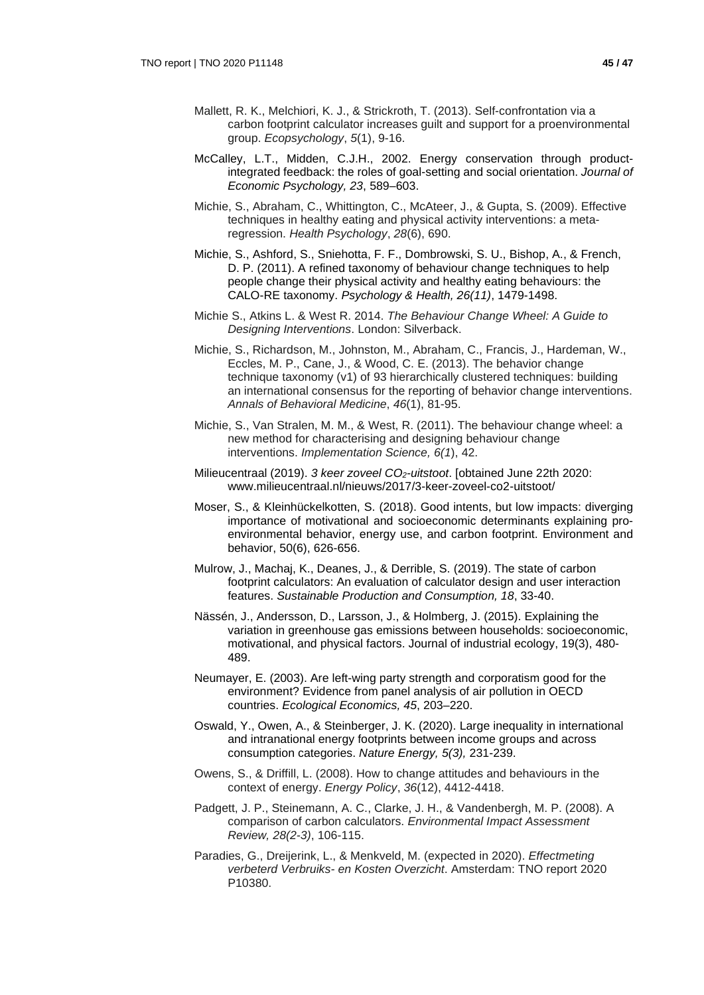- Mallett, R. K., Melchiori, K. J., & Strickroth, T. (2013). Self-confrontation via a carbon footprint calculator increases guilt and support for a proenvironmental group. *Ecopsychology*, *5*(1), 9-16.
- McCalley, L.T., Midden, C.J.H., 2002. Energy conservation through productintegrated feedback: the roles of goal-setting and social orientation. *Journal of Economic Psychology, 23*, 589–603.
- Michie, S., Abraham, C., Whittington, C., McAteer, J., & Gupta, S. (2009). Effective techniques in healthy eating and physical activity interventions: a metaregression. *Health Psychology*, *28*(6), 690.
- Michie, S., Ashford, S., Sniehotta, F. F., Dombrowski, S. U., Bishop, A., & French, D. P. (2011). A refined taxonomy of behaviour change techniques to help people change their physical activity and healthy eating behaviours: the CALO-RE taxonomy. *Psychology & Health, 26(11)*, 1479-1498.
- Michie S., Atkins L. & West R. 2014. *The Behaviour Change Wheel: A Guide to Designing Interventions*. London: Silverback.
- Michie, S., Richardson, M., Johnston, M., Abraham, C., Francis, J., Hardeman, W., Eccles, M. P., Cane, J., & Wood, C. E. (2013). The behavior change technique taxonomy (v1) of 93 hierarchically clustered techniques: building an international consensus for the reporting of behavior change interventions. *Annals of Behavioral Medicine*, *46*(1), 81-95.
- Michie, S., Van Stralen, M. M., & West, R. (2011). The behaviour change wheel: a new method for characterising and designing behaviour change interventions. *Implementation Science, 6(1*), 42.
- Milieucentraal (2019). *3 keer zoveel CO2-uitstoot*. [obtained June 22th 2020: www.milieucentraal.nl/nieuws/2017/3-keer-zoveel-co2-uitstoot/
- Moser, S., & Kleinhückelkotten, S. (2018). Good intents, but low impacts: diverging importance of motivational and socioeconomic determinants explaining proenvironmental behavior, energy use, and carbon footprint. Environment and behavior, 50(6), 626-656.
- Mulrow, J., Machaj, K., Deanes, J., & Derrible, S. (2019). The state of carbon footprint calculators: An evaluation of calculator design and user interaction features. *Sustainable Production and Consumption, 18*, 33-40.
- Nässén, J., Andersson, D., Larsson, J., & Holmberg, J. (2015). Explaining the variation in greenhouse gas emissions between households: socioeconomic, motivational, and physical factors. Journal of industrial ecology, 19(3), 480- 489.
- Neumayer, E. (2003). Are left-wing party strength and corporatism good for the environment? Evidence from panel analysis of air pollution in OECD countries. *Ecological Economics, 45*, 203–220.
- Oswald, Y., Owen, A., & Steinberger, J. K. (2020). Large inequality in international and intranational energy footprints between income groups and across consumption categories. *Nature Energy, 5(3),* 231-239.
- Owens, S., & Driffill, L. (2008). How to change attitudes and behaviours in the context of energy. *Energy Policy*, *36*(12), 4412-4418.
- Padgett, J. P., Steinemann, A. C., Clarke, J. H., & Vandenbergh, M. P. (2008). A comparison of carbon calculators. *Environmental Impact Assessment Review, 28(2-3)*, 106-115.
- Paradies, G., Dreijerink, L., & Menkveld, M. (expected in 2020). *Effectmeting verbeterd Verbruiks- en Kosten Overzicht*. Amsterdam: TNO report 2020 P10380.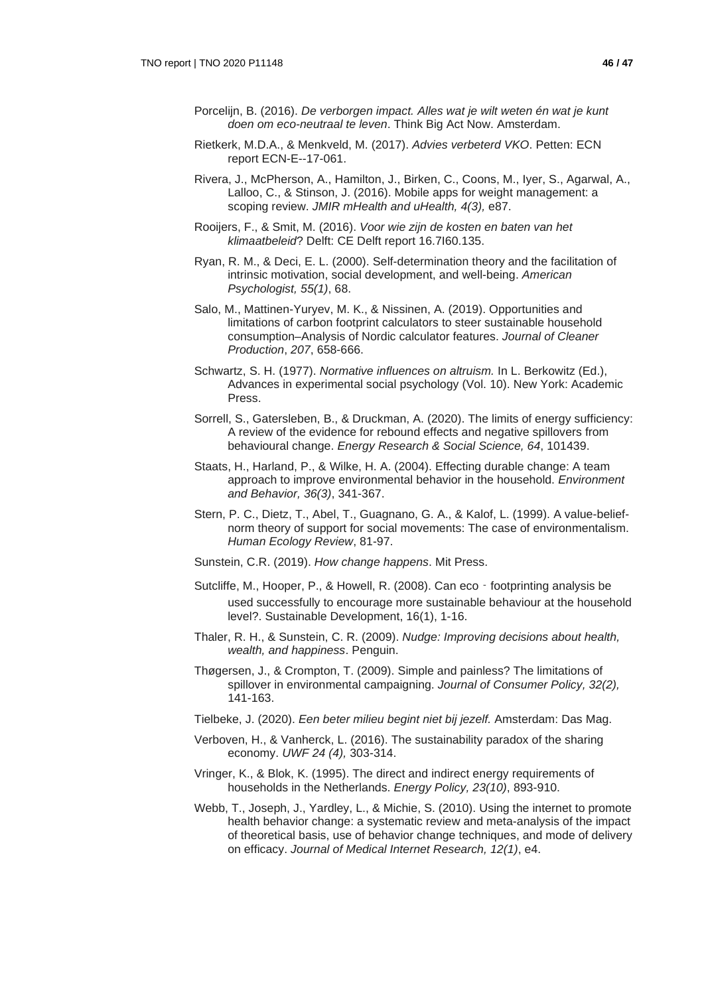- Porcelijn, B. (2016). *De verborgen impact. Alles wat je wilt weten én wat je kunt doen om eco-neutraal te leven*. Think Big Act Now. Amsterdam.
- Rietkerk, M.D.A., & Menkveld, M. (2017). *Advies verbeterd VKO*. Petten: ECN report ECN-E--17-061.
- Rivera, J., McPherson, A., Hamilton, J., Birken, C., Coons, M., Iyer, S., Agarwal, A., Lalloo, C., & Stinson, J. (2016). Mobile apps for weight management: a scoping review. *JMIR mHealth and uHealth, 4(3),* e87.
- Rooijers, F., & Smit, M. (2016). *Voor wie zijn de kosten en baten van het klimaatbeleid*? Delft: CE Delft report 16.7I60.135.
- Ryan, R. M., & Deci, E. L. (2000). Self-determination theory and the facilitation of intrinsic motivation, social development, and well-being. *American Psychologist, 55(1)*, 68.
- Salo, M., Mattinen-Yuryev, M. K., & Nissinen, A. (2019). Opportunities and limitations of carbon footprint calculators to steer sustainable household consumption–Analysis of Nordic calculator features. *Journal of Cleaner Production*, *207*, 658-666.
- Schwartz, S. H. (1977). *Normative influences on altruism.* In L. Berkowitz (Ed.), Advances in experimental social psychology (Vol. 10). New York: Academic Press.
- Sorrell, S., Gatersleben, B., & Druckman, A. (2020). The limits of energy sufficiency: A review of the evidence for rebound effects and negative spillovers from behavioural change. *Energy Research & Social Science, 64*, 101439.
- Staats, H., Harland, P., & Wilke, H. A. (2004). Effecting durable change: A team approach to improve environmental behavior in the household. *Environment and Behavior, 36(3)*, 341-367.
- Stern, P. C., Dietz, T., Abel, T., Guagnano, G. A., & Kalof, L. (1999). A value-beliefnorm theory of support for social movements: The case of environmentalism. *Human Ecology Review*, 81-97.
- Sunstein, C.R. (2019). *How change happens*. Mit Press.
- Sutcliffe, M., Hooper, P., & Howell, R. (2008). Can eco footprinting analysis be used successfully to encourage more sustainable behaviour at the household level?. Sustainable Development, 16(1), 1-16.
- Thaler, R. H., & Sunstein, C. R. (2009). *Nudge: Improving decisions about health, wealth, and happiness*. Penguin.
- Thøgersen, J., & Crompton, T. (2009). Simple and painless? The limitations of spillover in environmental campaigning. *Journal of Consumer Policy, 32(2),* 141-163.
- Tielbeke, J. (2020). *Een beter milieu begint niet bij jezelf.* Amsterdam: Das Mag.
- Verboven, H., & Vanherck, L. (2016). The sustainability paradox of the sharing economy. *UWF 24 (4),* 303-314.
- Vringer, K., & Blok, K. (1995). The direct and indirect energy requirements of households in the Netherlands. *Energy Policy, 23(10)*, 893-910.
- Webb, T., Joseph, J., Yardley, L., & Michie, S. (2010). Using the internet to promote health behavior change: a systematic review and meta-analysis of the impact of theoretical basis, use of behavior change techniques, and mode of delivery on efficacy. *Journal of Medical Internet Research, 12(1)*, e4.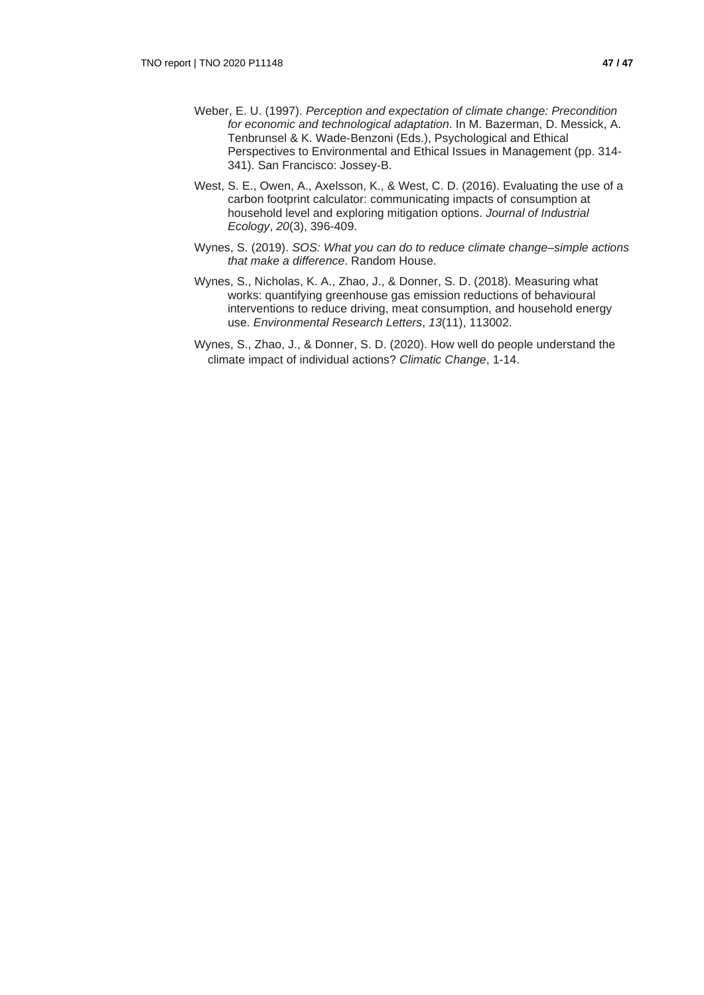- Weber, E. U. (1997). *Perception and expectation of climate change: Precondition for economic and technological adaptation*. In M. Bazerman, D. Messick, A. Tenbrunsel & K. Wade-Benzoni (Eds.), Psychological and Ethical Perspectives to Environmental and Ethical Issues in Management (pp. 314- 341). San Francisco: Jossey-B.
- West, S. E., Owen, A., Axelsson, K., & West, C. D. (2016). Evaluating the use of a carbon footprint calculator: communicating impacts of consumption at household level and exploring mitigation options. *Journal of Industrial Ecology*, *20*(3), 396-409.
- Wynes, S. (2019). *SOS: What you can do to reduce climate change–simple actions that make a difference*. Random House.
- Wynes, S., Nicholas, K. A., Zhao, J., & Donner, S. D. (2018). Measuring what works: quantifying greenhouse gas emission reductions of behavioural interventions to reduce driving, meat consumption, and household energy use. *Environmental Research Letters*, *13*(11), 113002.
- Wynes, S., Zhao, J., & Donner, S. D. (2020). How well do people understand the climate impact of individual actions? *Climatic Change*, 1-14.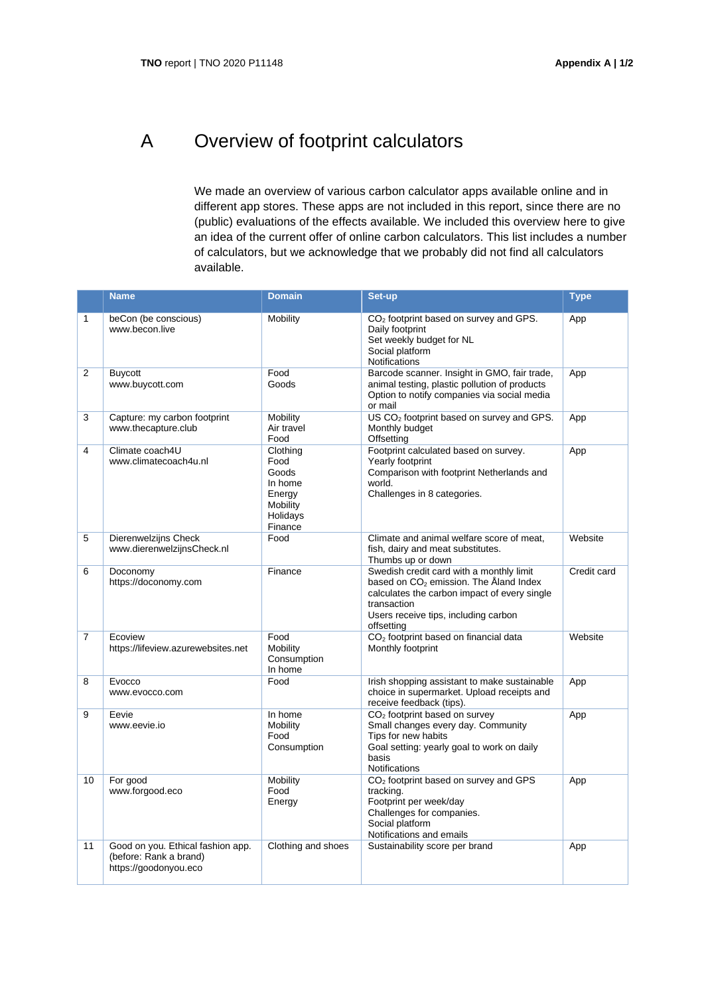# A Overview of footprint calculators

We made an overview of various carbon calculator apps available online and in different app stores. These apps are not included in this report, since there are no (public) evaluations of the effects available. We included this overview here to give an idea of the current offer of online carbon calculators. This list includes a number of calculators, but we acknowledge that we probably did not find all calculators available.

|                | <b>Name</b>                                                                          | <b>Domain</b>                                                                     | Set-up                                                                                                                                                                                                    | <b>Type</b> |
|----------------|--------------------------------------------------------------------------------------|-----------------------------------------------------------------------------------|-----------------------------------------------------------------------------------------------------------------------------------------------------------------------------------------------------------|-------------|
| $\mathbf{1}$   | beCon (be conscious)<br>www.becon.live                                               | Mobility                                                                          | CO <sub>2</sub> footprint based on survey and GPS.<br>Daily footprint<br>Set weekly budget for NL<br>Social platform<br><b>Notifications</b>                                                              | App         |
| $\overline{2}$ | Buycott<br>www.buycott.com                                                           | Food<br>Goods                                                                     | Barcode scanner. Insight in GMO, fair trade,<br>animal testing, plastic pollution of products<br>Option to notify companies via social media<br>or mail                                                   | App         |
| 3              | Capture: my carbon footprint<br>www.thecapture.club                                  | Mobility<br>Air travel<br>Food                                                    | US CO <sub>2</sub> footprint based on survey and GPS.<br>Monthly budget<br>Offsetting                                                                                                                     | App         |
| 4              | Climate coach4U<br>www.climatecoach4u.nl                                             | Clothing<br>Food<br>Goods<br>In home<br>Energy<br>Mobility<br>Holidays<br>Finance | Footprint calculated based on survey.<br>Yearly footprint<br>Comparison with footprint Netherlands and<br>world.<br>Challenges in 8 categories.                                                           | App         |
| 5              | Dierenwelzijns Check<br>www.dierenwelzijnsCheck.nl                                   | Food                                                                              | Climate and animal welfare score of meat,<br>fish, dairy and meat substitutes.<br>Thumbs up or down                                                                                                       | Website     |
| 6              | Doconomy<br>https://doconomy.com                                                     | Finance                                                                           | Swedish credit card with a monthly limit<br>based on $CO2$ emission. The Åland Index<br>calculates the carbon impact of every single<br>transaction<br>Users receive tips, including carbon<br>offsetting | Credit card |
| $\overline{7}$ | Ecoview<br>https://lifeview.azurewebsites.net                                        | Food<br>Mobility<br>Consumption<br>In home                                        | CO <sub>2</sub> footprint based on financial data<br>Monthly footprint                                                                                                                                    | Website     |
| 8              | Evocco<br>www.evocco.com                                                             | Food                                                                              | Irish shopping assistant to make sustainable<br>choice in supermarket. Upload receipts and<br>receive feedback (tips).                                                                                    | App         |
| 9              | Eevie<br>www.eevie.io                                                                | In home<br>Mobility<br>Food<br>Consumption                                        | CO <sub>2</sub> footprint based on survey<br>Small changes every day. Community<br>Tips for new habits<br>Goal setting: yearly goal to work on daily<br>basis<br>Notifications                            | App         |
| 10             | For good<br>www.forgood.eco                                                          | Mobility<br>Food<br>Energy                                                        | CO <sub>2</sub> footprint based on survey and GPS<br>tracking.<br>Footprint per week/day<br>Challenges for companies.<br>Social platform<br>Notifications and emails                                      | App         |
| 11             | Good on you. Ethical fashion app.<br>(before: Rank a brand)<br>https://goodonyou.eco | Clothing and shoes                                                                | Sustainability score per brand                                                                                                                                                                            | App         |